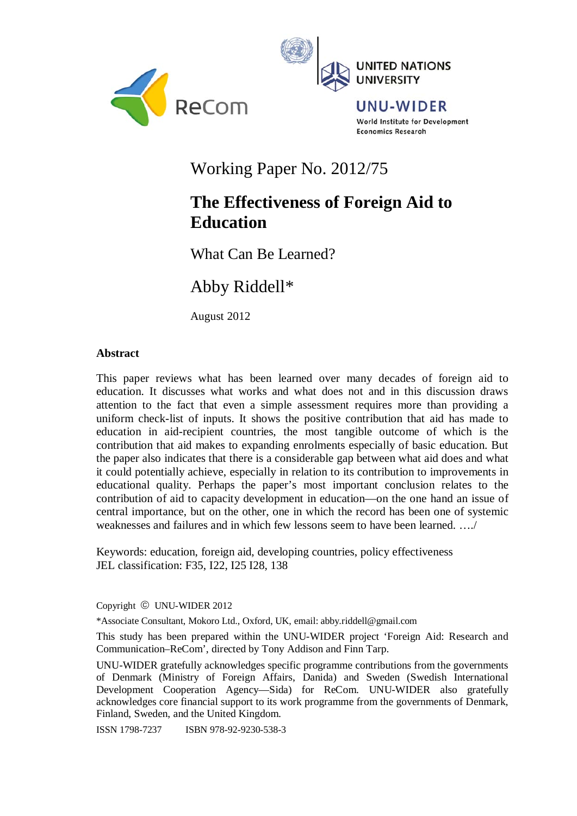



# Working Paper No. 2012/75

# **The Effectiveness of Foreign Aid to Education**

What Can Be Learned?

Abby Riddell\*

August 2012

## **Abstract**

This paper reviews what has been learned over many decades of foreign aid to education. It discusses what works and what does not and in this discussion draws attention to the fact that even a simple assessment requires more than providing a uniform check-list of inputs. It shows the positive contribution that aid has made to education in aid-recipient countries, the most tangible outcome of which is the contribution that aid makes to expanding enrolments especially of basic education. But the paper also indicates that there is a considerable gap between what aid does and what it could potentially achieve, especially in relation to its contribution to improvements in educational quality. Perhaps the paper's most important conclusion relates to the contribution of aid to capacity development in education—on the one hand an issue of central importance, but on the other, one in which the record has been one of systemic weaknesses and failures and in which few lessons seem to have been learned. …./

Keywords: education, foreign aid, developing countries, policy effectiveness JEL classification: F35, I22, I25 I28, 138

Copyright © UNU-WIDER 2012

\*Associate Consultant, Mokoro Ltd., Oxford, UK, email: abby.riddell@gmail.com

This study has been prepared within the UNU-WIDER project 'Foreign Aid: Research and Communication–ReCom', directed by Tony Addison and Finn Tarp.

UNU-WIDER gratefully acknowledges specific programme contributions from the governments of Denmark (Ministry of Foreign Affairs, Danida) and Sweden (Swedish International Development Cooperation Agency—Sida) for ReCom. UNU-WIDER also gratefully acknowledges core financial support to its work programme from the governments of Denmark, Finland, Sweden, and the United Kingdom.

ISSN 1798-7237 ISBN 978-92-9230-538-3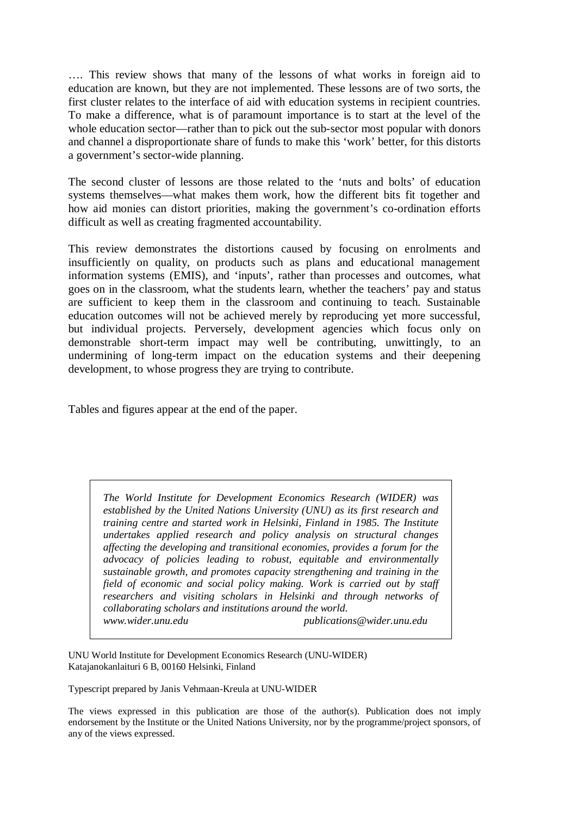…. This review shows that many of the lessons of what works in foreign aid to education are known, but they are not implemented. These lessons are of two sorts, the first cluster relates to the interface of aid with education systems in recipient countries. To make a difference, what is of paramount importance is to start at the level of the whole education sector—rather than to pick out the sub-sector most popular with donors and channel a disproportionate share of funds to make this 'work' better, for this distorts a government's sector-wide planning.

The second cluster of lessons are those related to the 'nuts and bolts' of education systems themselves—what makes them work, how the different bits fit together and how aid monies can distort priorities, making the government's co-ordination efforts difficult as well as creating fragmented accountability.

This review demonstrates the distortions caused by focusing on enrolments and insufficiently on quality, on products such as plans and educational management information systems (EMIS), and 'inputs', rather than processes and outcomes, what goes on in the classroom, what the students learn, whether the teachers' pay and status are sufficient to keep them in the classroom and continuing to teach. Sustainable education outcomes will not be achieved merely by reproducing yet more successful, but individual projects. Perversely, development agencies which focus only on demonstrable short-term impact may well be contributing, unwittingly, to an undermining of long-term impact on the education systems and their deepening development, to whose progress they are trying to contribute.

Tables and figures appear at the end of the paper.

*The World Institute for Development Economics Research (WIDER) was established by the United Nations University (UNU) as its first research and training centre and started work in Helsinki, Finland in 1985. The Institute undertakes applied research and policy analysis on structural changes affecting the developing and transitional economies, provides a forum for the advocacy of policies leading to robust, equitable and environmentally sustainable growth, and promotes capacity strengthening and training in the field of economic and social policy making. Work is carried out by staff researchers and visiting scholars in Helsinki and through networks of collaborating scholars and institutions around the world. www.wider.unu.edu publications@wider.unu.edu* 

UNU World Institute for Development Economics Research (UNU-WIDER) Katajanokanlaituri 6 B, 00160 Helsinki, Finland

Typescript prepared by Janis Vehmaan-Kreula at UNU-WIDER

The views expressed in this publication are those of the author(s). Publication does not imply endorsement by the Institute or the United Nations University, nor by the programme/project sponsors, of any of the views expressed.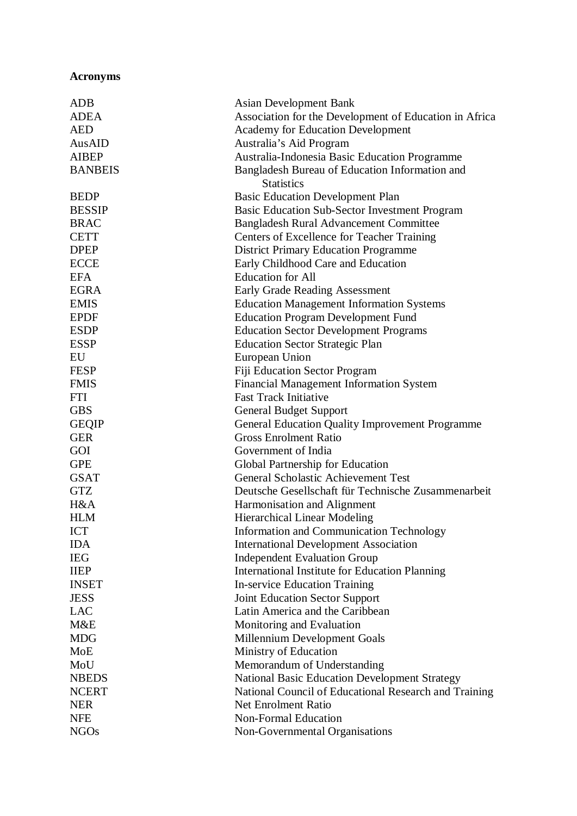# **Acronyms**

| <b>ADB</b>     | <b>Asian Development Bank</b>                          |
|----------------|--------------------------------------------------------|
| <b>ADEA</b>    | Association for the Development of Education in Africa |
| <b>AED</b>     | <b>Academy for Education Development</b>               |
| AusAID         | Australia's Aid Program                                |
| <b>AIBEP</b>   | Australia-Indonesia Basic Education Programme          |
| <b>BANBEIS</b> | Bangladesh Bureau of Education Information and         |
|                | <b>Statistics</b>                                      |
| <b>BEDP</b>    | <b>Basic Education Development Plan</b>                |
| <b>BESSIP</b>  | <b>Basic Education Sub-Sector Investment Program</b>   |
| <b>BRAC</b>    | <b>Bangladesh Rural Advancement Committee</b>          |
| <b>CETT</b>    | Centers of Excellence for Teacher Training             |
| <b>DPEP</b>    | <b>District Primary Education Programme</b>            |
| <b>ECCE</b>    | Early Childhood Care and Education                     |
| <b>EFA</b>     | <b>Education</b> for All                               |
| <b>EGRA</b>    | <b>Early Grade Reading Assessment</b>                  |
| <b>EMIS</b>    | <b>Education Management Information Systems</b>        |
| <b>EPDF</b>    | <b>Education Program Development Fund</b>              |
| <b>ESDP</b>    | <b>Education Sector Development Programs</b>           |
| <b>ESSP</b>    | <b>Education Sector Strategic Plan</b>                 |
| EU             | European Union                                         |
| <b>FESP</b>    | <b>Fiji Education Sector Program</b>                   |
| <b>FMIS</b>    | <b>Financial Management Information System</b>         |
| <b>FTI</b>     | <b>Fast Track Initiative</b>                           |
| <b>GBS</b>     | <b>General Budget Support</b>                          |
| <b>GEQIP</b>   | <b>General Education Quality Improvement Programme</b> |
| <b>GER</b>     | <b>Gross Enrolment Ratio</b>                           |
| GOI            | Government of India                                    |
| <b>GPE</b>     | Global Partnership for Education                       |
| <b>GSAT</b>    | <b>General Scholastic Achievement Test</b>             |
| <b>GTZ</b>     | Deutsche Gesellschaft für Technische Zusammenarbeit    |
| H&A            | Harmonisation and Alignment                            |
| <b>HLM</b>     | <b>Hierarchical Linear Modeling</b>                    |
| <b>ICT</b>     | <b>Information and Communication Technology</b>        |
| <b>IDA</b>     | <b>International Development Association</b>           |
| <b>IEG</b>     | <b>Independent Evaluation Group</b>                    |
| <b>IIEP</b>    | <b>International Institute for Education Planning</b>  |
| <b>INSET</b>   | <b>In-service Education Training</b>                   |
| <b>JESS</b>    | Joint Education Sector Support                         |
| <b>LAC</b>     | Latin America and the Caribbean                        |
| M&E            | Monitoring and Evaluation                              |
| <b>MDG</b>     | Millennium Development Goals                           |
| MoE            | Ministry of Education                                  |
| MoU            | Memorandum of Understanding                            |
| <b>NBEDS</b>   | <b>National Basic Education Development Strategy</b>   |
| <b>NCERT</b>   | National Council of Educational Research and Training  |
| <b>NER</b>     | <b>Net Enrolment Ratio</b>                             |
| <b>NFE</b>     | <b>Non-Formal Education</b>                            |
| <b>NGOs</b>    | Non-Governmental Organisations                         |
|                |                                                        |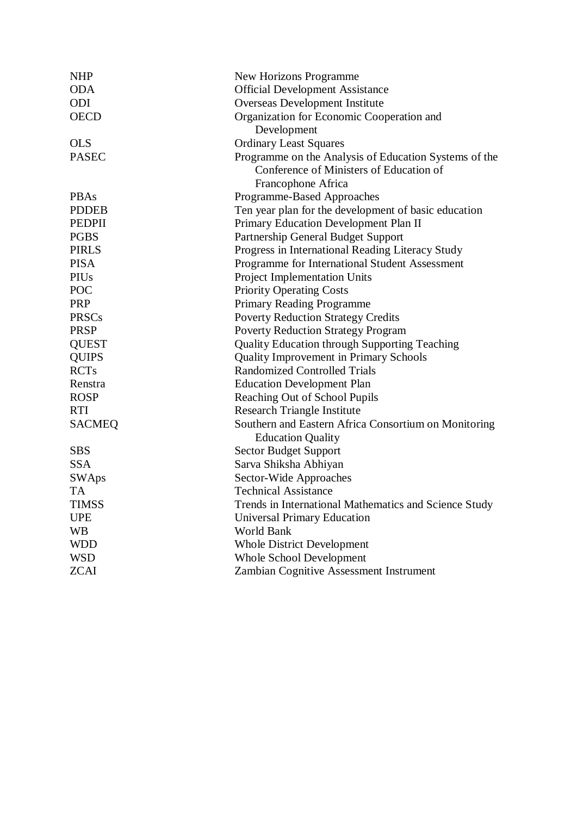| <b>NHP</b>               | New Horizons Programme                                |
|--------------------------|-------------------------------------------------------|
| <b>ODA</b>               | <b>Official Development Assistance</b>                |
| ODI                      | Overseas Development Institute                        |
| <b>OECD</b>              | Organization for Economic Cooperation and             |
|                          | Development                                           |
| <b>OLS</b>               | <b>Ordinary Least Squares</b>                         |
| <b>PASEC</b>             | Programme on the Analysis of Education Systems of the |
|                          | Conference of Ministers of Education of               |
|                          | Francophone Africa                                    |
| <b>PBAs</b>              | Programme-Based Approaches                            |
| <b>PDDEB</b>             | Ten year plan for the development of basic education  |
| <b>PEDPII</b>            | Primary Education Development Plan II                 |
| <b>PGBS</b>              | Partnership General Budget Support                    |
| <b>PIRLS</b>             | Progress in International Reading Literacy Study      |
| <b>PISA</b>              | Programme for International Student Assessment        |
| PIUs                     | <b>Project Implementation Units</b>                   |
| POC                      | <b>Priority Operating Costs</b>                       |
| <b>PRP</b>               | Primary Reading Programme                             |
| <b>PRSCs</b>             | <b>Poverty Reduction Strategy Credits</b>             |
| <b>PRSP</b>              | <b>Poverty Reduction Strategy Program</b>             |
| <b>QUEST</b>             | <b>Quality Education through Supporting Teaching</b>  |
| <b>QUIPS</b>             | <b>Quality Improvement in Primary Schools</b>         |
| <b>RCTs</b>              | <b>Randomized Controlled Trials</b>                   |
| Renstra                  | <b>Education Development Plan</b>                     |
| <b>ROSP</b>              | Reaching Out of School Pupils                         |
| <b>RTI</b>               | <b>Research Triangle Institute</b>                    |
| <b>SACMEQ</b>            | Southern and Eastern Africa Consortium on Monitoring  |
| <b>Education Quality</b> |                                                       |
| <b>SBS</b>               | <b>Sector Budget Support</b>                          |
| <b>SSA</b>               | Sarva Shiksha Abhiyan                                 |
| <b>SWAps</b>             | Sector-Wide Approaches                                |
| TA                       | <b>Technical Assistance</b>                           |
| <b>TIMSS</b>             | Trends in International Mathematics and Science Study |
| <b>UPE</b>               | <b>Universal Primary Education</b>                    |
| <b>WB</b>                | <b>World Bank</b>                                     |
| <b>WDD</b>               | <b>Whole District Development</b>                     |
| <b>WSD</b>               | <b>Whole School Development</b>                       |
| <b>ZCAI</b>              | Zambian Cognitive Assessment Instrument               |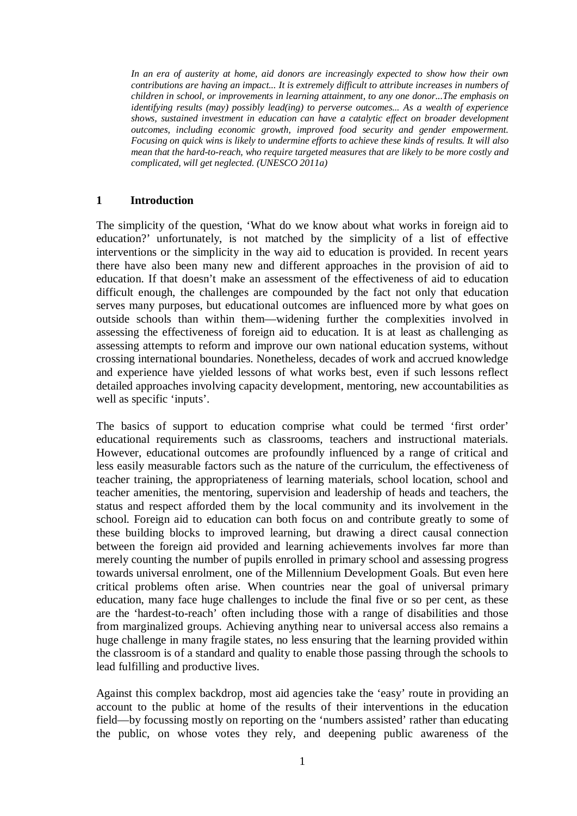*In an era of austerity at home, aid donors are increasingly expected to show how their own contributions are having an impact... It is extremely difficult to attribute increases in numbers of children in school, or improvements in learning attainment, to any one donor...The emphasis on identifying results (may) possibly lead(ing) to perverse outcomes... As a wealth of experience shows, sustained investment in education can have a catalytic effect on broader development outcomes, including economic growth, improved food security and gender empowerment. Focusing on quick wins is likely to undermine efforts to achieve these kinds of results. It will also mean that the hard-to-reach, who require targeted measures that are likely to be more costly and complicated, will get neglected. (UNESCO 2011a)* 

## **1 Introduction**

The simplicity of the question, 'What do we know about what works in foreign aid to education?' unfortunately, is not matched by the simplicity of a list of effective interventions or the simplicity in the way aid to education is provided. In recent years there have also been many new and different approaches in the provision of aid to education. If that doesn't make an assessment of the effectiveness of aid to education difficult enough, the challenges are compounded by the fact not only that education serves many purposes, but educational outcomes are influenced more by what goes on outside schools than within them—widening further the complexities involved in assessing the effectiveness of foreign aid to education. It is at least as challenging as assessing attempts to reform and improve our own national education systems, without crossing international boundaries. Nonetheless, decades of work and accrued knowledge and experience have yielded lessons of what works best, even if such lessons reflect detailed approaches involving capacity development, mentoring, new accountabilities as well as specific 'inputs'.

The basics of support to education comprise what could be termed 'first order' educational requirements such as classrooms, teachers and instructional materials. However, educational outcomes are profoundly influenced by a range of critical and less easily measurable factors such as the nature of the curriculum, the effectiveness of teacher training, the appropriateness of learning materials, school location, school and teacher amenities, the mentoring, supervision and leadership of heads and teachers, the status and respect afforded them by the local community and its involvement in the school. Foreign aid to education can both focus on and contribute greatly to some of these building blocks to improved learning, but drawing a direct causal connection between the foreign aid provided and learning achievements involves far more than merely counting the number of pupils enrolled in primary school and assessing progress towards universal enrolment, one of the Millennium Development Goals. But even here critical problems often arise. When countries near the goal of universal primary education, many face huge challenges to include the final five or so per cent, as these are the 'hardest-to-reach' often including those with a range of disabilities and those from marginalized groups. Achieving anything near to universal access also remains a huge challenge in many fragile states, no less ensuring that the learning provided within the classroom is of a standard and quality to enable those passing through the schools to lead fulfilling and productive lives.

Against this complex backdrop, most aid agencies take the 'easy' route in providing an account to the public at home of the results of their interventions in the education field—by focussing mostly on reporting on the 'numbers assisted' rather than educating the public, on whose votes they rely, and deepening public awareness of the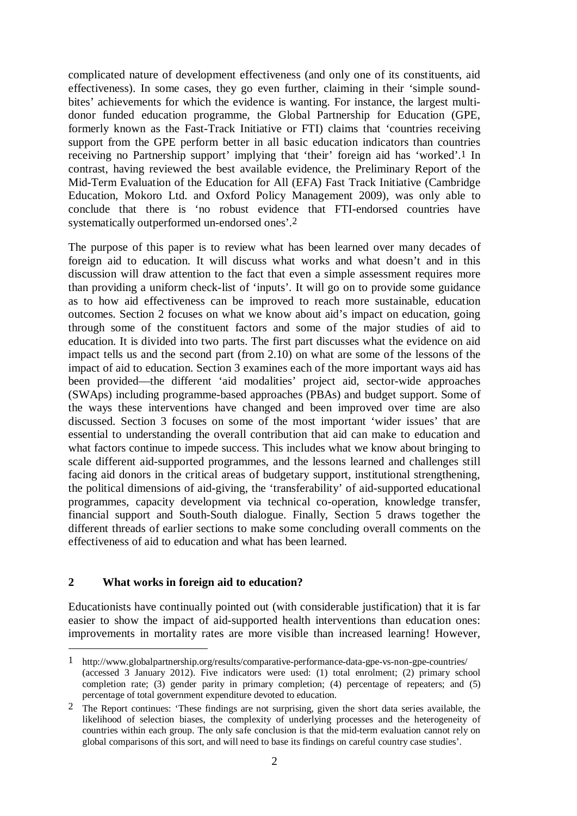complicated nature of development effectiveness (and only one of its constituents, aid effectiveness). In some cases, they go even further, claiming in their 'simple soundbites' achievements for which the evidence is wanting. For instance, the largest multidonor funded education programme, the Global Partnership for Education (GPE, formerly known as the Fast-Track Initiative or FTI) claims that 'countries receiving support from the GPE perform better in all basic education indicators than countries receiving no Partnership support' implying that 'their' foreign aid has 'worked'.1 In contrast, having reviewed the best available evidence, the Preliminary Report of the Mid-Term Evaluation of the Education for All (EFA) Fast Track Initiative (Cambridge Education, Mokoro Ltd. and Oxford Policy Management 2009), was only able to conclude that there is 'no robust evidence that FTI-endorsed countries have systematically outperformed un-endorsed ones'.2

The purpose of this paper is to review what has been learned over many decades of foreign aid to education. It will discuss what works and what doesn't and in this discussion will draw attention to the fact that even a simple assessment requires more than providing a uniform check-list of 'inputs'. It will go on to provide some guidance as to how aid effectiveness can be improved to reach more sustainable, education outcomes. Section 2 focuses on what we know about aid's impact on education, going through some of the constituent factors and some of the major studies of aid to education. It is divided into two parts. The first part discusses what the evidence on aid impact tells us and the second part (from 2.10) on what are some of the lessons of the impact of aid to education. Section 3 examines each of the more important ways aid has been provided—the different 'aid modalities' project aid, sector-wide approaches (SWAps) including programme-based approaches (PBAs) and budget support. Some of the ways these interventions have changed and been improved over time are also discussed. Section 3 focuses on some of the most important 'wider issues' that are essential to understanding the overall contribution that aid can make to education and what factors continue to impede success. This includes what we know about bringing to scale different aid-supported programmes, and the lessons learned and challenges still facing aid donors in the critical areas of budgetary support, institutional strengthening, the political dimensions of aid-giving, the 'transferability' of aid-supported educational programmes, capacity development via technical co-operation, knowledge transfer, financial support and South-South dialogue. Finally, Section 5 draws together the different threads of earlier sections to make some concluding overall comments on the effectiveness of aid to education and what has been learned.

### **2 What works in foreign aid to education?**

 $\overline{a}$ 

Educationists have continually pointed out (with considerable justification) that it is far easier to show the impact of aid-supported health interventions than education ones: improvements in mortality rates are more visible than increased learning! However,

<sup>1</sup> http://www.globalpartnership.org/results/comparative-performance-data-gpe-vs-non-gpe-countries/ (accessed 3 January 2012). Five indicators were used: (1) total enrolment; (2) primary school completion rate; (3) gender parity in primary completion; (4) percentage of repeaters; and (5) percentage of total government expenditure devoted to education.

<sup>2</sup> The Report continues: 'These findings are not surprising, given the short data series available, the likelihood of selection biases, the complexity of underlying processes and the heterogeneity of countries within each group. The only safe conclusion is that the mid-term evaluation cannot rely on global comparisons of this sort, and will need to base its findings on careful country case studies'.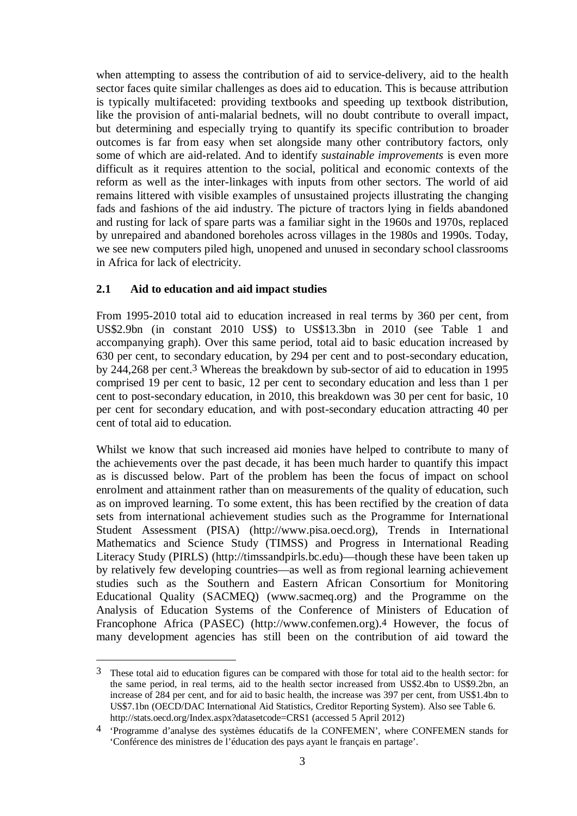when attempting to assess the contribution of aid to service-delivery, aid to the health sector faces quite similar challenges as does aid to education. This is because attribution is typically multifaceted: providing textbooks and speeding up textbook distribution, like the provision of anti-malarial bednets, will no doubt contribute to overall impact, but determining and especially trying to quantify its specific contribution to broader outcomes is far from easy when set alongside many other contributory factors, only some of which are aid-related. And to identify *sustainable improvements* is even more difficult as it requires attention to the social, political and economic contexts of the reform as well as the inter-linkages with inputs from other sectors. The world of aid remains littered with visible examples of unsustained projects illustrating the changing fads and fashions of the aid industry. The picture of tractors lying in fields abandoned and rusting for lack of spare parts was a familiar sight in the 1960s and 1970s, replaced by unrepaired and abandoned boreholes across villages in the 1980s and 1990s. Today, we see new computers piled high, unopened and unused in secondary school classrooms in Africa for lack of electricity.

## **2.1 Aid to education and aid impact studies**

<u>.</u>

From 1995-2010 total aid to education increased in real terms by 360 per cent, from US\$2.9bn (in constant 2010 US\$) to US\$13.3bn in 2010 (see Table 1 and accompanying graph). Over this same period, total aid to basic education increased by 630 per cent, to secondary education, by 294 per cent and to post-secondary education, by 244,268 per cent.3 Whereas the breakdown by sub-sector of aid to education in 1995 comprised 19 per cent to basic, 12 per cent to secondary education and less than 1 per cent to post-secondary education, in 2010, this breakdown was 30 per cent for basic, 10 per cent for secondary education, and with post-secondary education attracting 40 per cent of total aid to education.

Whilst we know that such increased aid monies have helped to contribute to many of the achievements over the past decade, it has been much harder to quantify this impact as is discussed below. Part of the problem has been the focus of impact on school enrolment and attainment rather than on measurements of the quality of education, such as on improved learning. To some extent, this has been rectified by the creation of data sets from international achievement studies such as the Programme for International Student Assessment (PISA) (http://www.pisa.oecd.org), Trends in International Mathematics and Science Study (TIMSS) and Progress in International Reading Literacy Study (PIRLS) (http://timssandpirls.bc.edu)—though these have been taken up by relatively few developing countries—as well as from regional learning achievement studies such as the Southern and Eastern African Consortium for Monitoring Educational Quality (SACMEQ) (www.sacmeq.org) and the Programme on the Analysis of Education Systems of the Conference of Ministers of Education of Francophone Africa (PASEC) (http://www.confemen.org).4 However, the focus of many development agencies has still been on the contribution of aid toward the

<sup>3</sup> These total aid to education figures can be compared with those for total aid to the health sector: for the same period, in real terms, aid to the health sector increased from US\$2.4bn to US\$9.2bn, an increase of 284 per cent, and for aid to basic health, the increase was 397 per cent, from US\$1.4bn to US\$7.1bn (OECD/DAC International Aid Statistics, Creditor Reporting System). Also see Table 6. http://stats.oecd.org/Index.aspx?datasetcode=CRS1 (accessed 5 April 2012)

<sup>4 &#</sup>x27;Programme d'analyse des systèmes éducatifs de la CONFEMEN', where CONFEMEN stands for 'Conférence des ministres de l'éducation des pays ayant le français en partage'.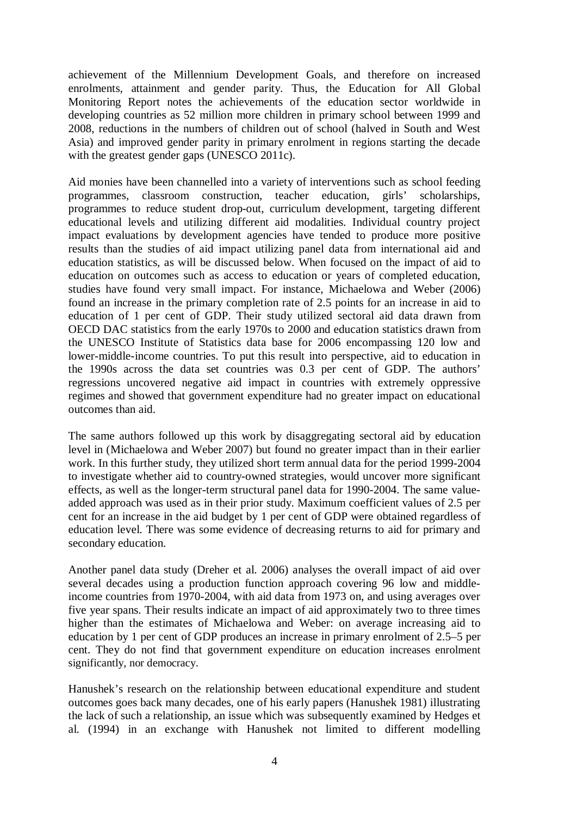achievement of the Millennium Development Goals, and therefore on increased enrolments, attainment and gender parity. Thus, the Education for All Global Monitoring Report notes the achievements of the education sector worldwide in developing countries as 52 million more children in primary school between 1999 and 2008, reductions in the numbers of children out of school (halved in South and West Asia) and improved gender parity in primary enrolment in regions starting the decade with the greatest gender gaps (UNESCO 2011c).

Aid monies have been channelled into a variety of interventions such as school feeding programmes, classroom construction, teacher education, girls' scholarships, programmes to reduce student drop-out, curriculum development, targeting different educational levels and utilizing different aid modalities. Individual country project impact evaluations by development agencies have tended to produce more positive results than the studies of aid impact utilizing panel data from international aid and education statistics, as will be discussed below. When focused on the impact of aid to education on outcomes such as access to education or years of completed education, studies have found very small impact. For instance, Michaelowa and Weber (2006) found an increase in the primary completion rate of 2.5 points for an increase in aid to education of 1 per cent of GDP. Their study utilized sectoral aid data drawn from OECD DAC statistics from the early 1970s to 2000 and education statistics drawn from the UNESCO Institute of Statistics data base for 2006 encompassing 120 low and lower-middle-income countries. To put this result into perspective, aid to education in the 1990s across the data set countries was 0.3 per cent of GDP. The authors' regressions uncovered negative aid impact in countries with extremely oppressive regimes and showed that government expenditure had no greater impact on educational outcomes than aid.

The same authors followed up this work by disaggregating sectoral aid by education level in (Michaelowa and Weber 2007) but found no greater impact than in their earlier work. In this further study, they utilized short term annual data for the period 1999-2004 to investigate whether aid to country-owned strategies, would uncover more significant effects, as well as the longer-term structural panel data for 1990-2004. The same valueadded approach was used as in their prior study. Maximum coefficient values of 2.5 per cent for an increase in the aid budget by 1 per cent of GDP were obtained regardless of education level. There was some evidence of decreasing returns to aid for primary and secondary education.

Another panel data study (Dreher et al. 2006) analyses the overall impact of aid over several decades using a production function approach covering 96 low and middleincome countries from 1970-2004, with aid data from 1973 on, and using averages over five year spans. Their results indicate an impact of aid approximately two to three times higher than the estimates of Michaelowa and Weber: on average increasing aid to education by 1 per cent of GDP produces an increase in primary enrolment of 2.5–5 per cent. They do not find that government expenditure on education increases enrolment significantly, nor democracy.

Hanushek's research on the relationship between educational expenditure and student outcomes goes back many decades, one of his early papers (Hanushek 1981) illustrating the lack of such a relationship, an issue which was subsequently examined by Hedges et al. (1994) in an exchange with Hanushek not limited to different modelling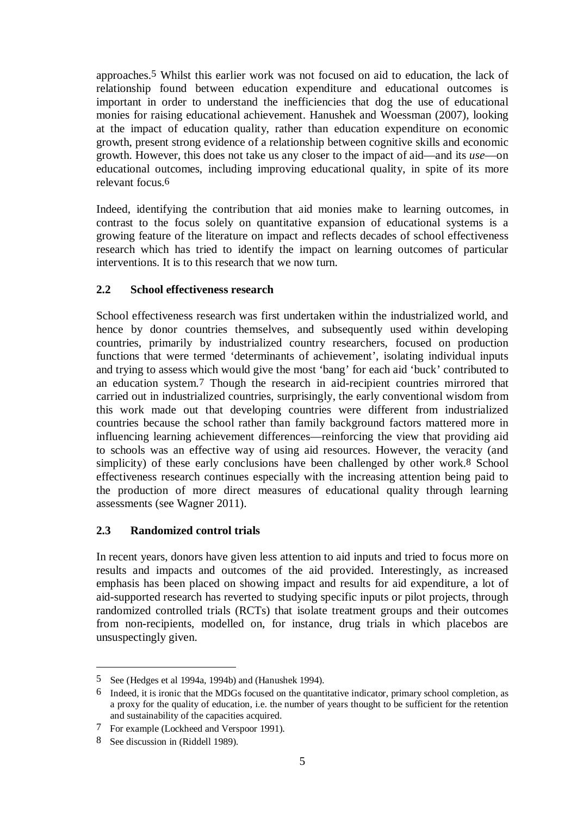approaches.5 Whilst this earlier work was not focused on aid to education, the lack of relationship found between education expenditure and educational outcomes is important in order to understand the inefficiencies that dog the use of educational monies for raising educational achievement. Hanushek and Woessman (2007), looking at the impact of education quality, rather than education expenditure on economic growth, present strong evidence of a relationship between cognitive skills and economic growth. However, this does not take us any closer to the impact of aid—and its *use*—on educational outcomes, including improving educational quality, in spite of its more relevant focus.6

Indeed, identifying the contribution that aid monies make to learning outcomes, in contrast to the focus solely on quantitative expansion of educational systems is a growing feature of the literature on impact and reflects decades of school effectiveness research which has tried to identify the impact on learning outcomes of particular interventions. It is to this research that we now turn.

# **2.2 School effectiveness research**

School effectiveness research was first undertaken within the industrialized world, and hence by donor countries themselves, and subsequently used within developing countries, primarily by industrialized country researchers, focused on production functions that were termed 'determinants of achievement', isolating individual inputs and trying to assess which would give the most 'bang' for each aid 'buck' contributed to an education system.7 Though the research in aid-recipient countries mirrored that carried out in industrialized countries, surprisingly, the early conventional wisdom from this work made out that developing countries were different from industrialized countries because the school rather than family background factors mattered more in influencing learning achievement differences—reinforcing the view that providing aid to schools was an effective way of using aid resources. However, the veracity (and simplicity) of these early conclusions have been challenged by other work.<sup>8</sup> School effectiveness research continues especially with the increasing attention being paid to the production of more direct measures of educational quality through learning assessments (see Wagner 2011).

# **2.3 Randomized control trials**

In recent years, donors have given less attention to aid inputs and tried to focus more on results and impacts and outcomes of the aid provided. Interestingly, as increased emphasis has been placed on showing impact and results for aid expenditure, a lot of aid-supported research has reverted to studying specific inputs or pilot projects, through randomized controlled trials (RCTs) that isolate treatment groups and their outcomes from non-recipients, modelled on, for instance, drug trials in which placebos are unsuspectingly given.

1

<sup>5</sup> See (Hedges et al 1994a, 1994b) and (Hanushek 1994).

<sup>6</sup> Indeed, it is ironic that the MDGs focused on the quantitative indicator, primary school completion, as a proxy for the quality of education, i.e. the number of years thought to be sufficient for the retention and sustainability of the capacities acquired.

<sup>7</sup> For example (Lockheed and Verspoor 1991).

<sup>8</sup> See discussion in (Riddell 1989).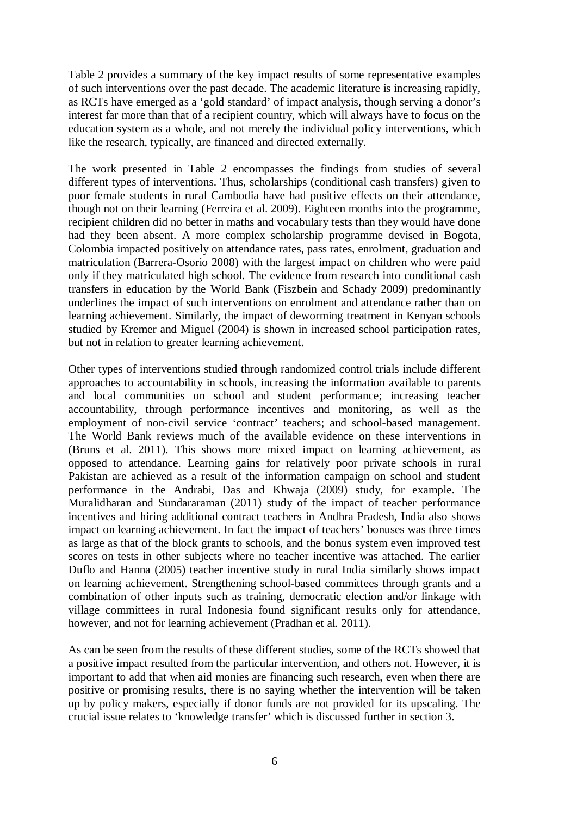Table 2 provides a summary of the key impact results of some representative examples of such interventions over the past decade. The academic literature is increasing rapidly, as RCTs have emerged as a 'gold standard' of impact analysis, though serving a donor's interest far more than that of a recipient country, which will always have to focus on the education system as a whole, and not merely the individual policy interventions, which like the research, typically, are financed and directed externally.

The work presented in Table 2 encompasses the findings from studies of several different types of interventions. Thus, scholarships (conditional cash transfers) given to poor female students in rural Cambodia have had positive effects on their attendance, though not on their learning (Ferreira et al. 2009). Eighteen months into the programme, recipient children did no better in maths and vocabulary tests than they would have done had they been absent. A more complex scholarship programme devised in Bogota, Colombia impacted positively on attendance rates, pass rates, enrolment, graduation and matriculation (Barrera-Osorio 2008) with the largest impact on children who were paid only if they matriculated high school. The evidence from research into conditional cash transfers in education by the World Bank (Fiszbein and Schady 2009) predominantly underlines the impact of such interventions on enrolment and attendance rather than on learning achievement. Similarly, the impact of deworming treatment in Kenyan schools studied by Kremer and Miguel (2004) is shown in increased school participation rates, but not in relation to greater learning achievement.

Other types of interventions studied through randomized control trials include different approaches to accountability in schools, increasing the information available to parents and local communities on school and student performance; increasing teacher accountability, through performance incentives and monitoring, as well as the employment of non-civil service 'contract' teachers; and school-based management. The World Bank reviews much of the available evidence on these interventions in (Bruns et al. 2011). This shows more mixed impact on learning achievement, as opposed to attendance. Learning gains for relatively poor private schools in rural Pakistan are achieved as a result of the information campaign on school and student performance in the Andrabi, Das and Khwaja (2009) study, for example. The Muralidharan and Sundararaman (2011) study of the impact of teacher performance incentives and hiring additional contract teachers in Andhra Pradesh, India also shows impact on learning achievement. In fact the impact of teachers' bonuses was three times as large as that of the block grants to schools, and the bonus system even improved test scores on tests in other subjects where no teacher incentive was attached. The earlier Duflo and Hanna (2005) teacher incentive study in rural India similarly shows impact on learning achievement. Strengthening school-based committees through grants and a combination of other inputs such as training, democratic election and/or linkage with village committees in rural Indonesia found significant results only for attendance, however, and not for learning achievement (Pradhan et al. 2011).

As can be seen from the results of these different studies, some of the RCTs showed that a positive impact resulted from the particular intervention, and others not. However, it is important to add that when aid monies are financing such research, even when there are positive or promising results, there is no saying whether the intervention will be taken up by policy makers, especially if donor funds are not provided for its upscaling. The crucial issue relates to 'knowledge transfer' which is discussed further in section 3.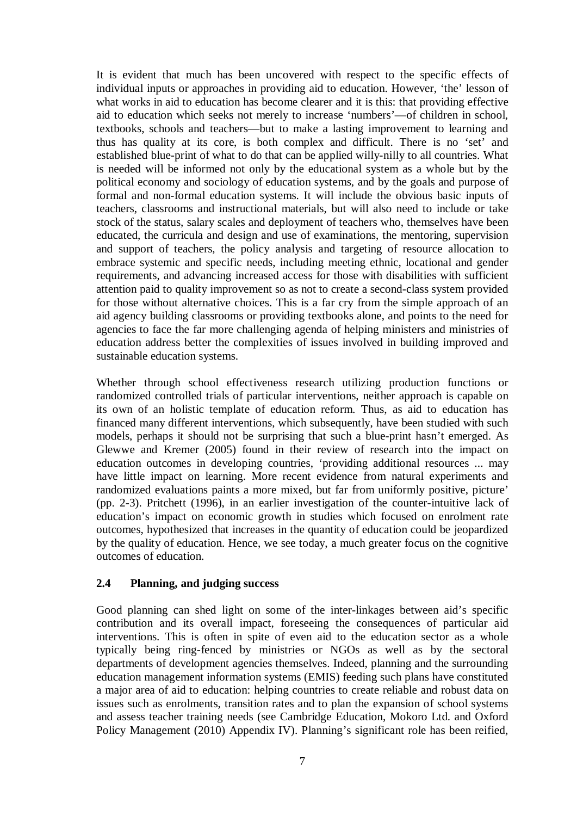It is evident that much has been uncovered with respect to the specific effects of individual inputs or approaches in providing aid to education. However, 'the' lesson of what works in aid to education has become clearer and it is this: that providing effective aid to education which seeks not merely to increase 'numbers'—of children in school, textbooks, schools and teachers—but to make a lasting improvement to learning and thus has quality at its core, is both complex and difficult. There is no 'set' and established blue-print of what to do that can be applied willy-nilly to all countries. What is needed will be informed not only by the educational system as a whole but by the political economy and sociology of education systems, and by the goals and purpose of formal and non-formal education systems. It will include the obvious basic inputs of teachers, classrooms and instructional materials, but will also need to include or take stock of the status, salary scales and deployment of teachers who, themselves have been educated, the curricula and design and use of examinations, the mentoring, supervision and support of teachers, the policy analysis and targeting of resource allocation to embrace systemic and specific needs, including meeting ethnic, locational and gender requirements, and advancing increased access for those with disabilities with sufficient attention paid to quality improvement so as not to create a second-class system provided for those without alternative choices. This is a far cry from the simple approach of an aid agency building classrooms or providing textbooks alone, and points to the need for agencies to face the far more challenging agenda of helping ministers and ministries of education address better the complexities of issues involved in building improved and sustainable education systems.

Whether through school effectiveness research utilizing production functions or randomized controlled trials of particular interventions, neither approach is capable on its own of an holistic template of education reform. Thus, as aid to education has financed many different interventions, which subsequently, have been studied with such models, perhaps it should not be surprising that such a blue-print hasn't emerged. As Glewwe and Kremer (2005) found in their review of research into the impact on education outcomes in developing countries, 'providing additional resources ... may have little impact on learning. More recent evidence from natural experiments and randomized evaluations paints a more mixed, but far from uniformly positive, picture' (pp. 2-3). Pritchett (1996), in an earlier investigation of the counter-intuitive lack of education's impact on economic growth in studies which focused on enrolment rate outcomes, hypothesized that increases in the quantity of education could be jeopardized by the quality of education. Hence, we see today, a much greater focus on the cognitive outcomes of education.

# **2.4 Planning, and judging success**

Good planning can shed light on some of the inter-linkages between aid's specific contribution and its overall impact, foreseeing the consequences of particular aid interventions. This is often in spite of even aid to the education sector as a whole typically being ring-fenced by ministries or NGOs as well as by the sectoral departments of development agencies themselves. Indeed, planning and the surrounding education management information systems (EMIS) feeding such plans have constituted a major area of aid to education: helping countries to create reliable and robust data on issues such as enrolments, transition rates and to plan the expansion of school systems and assess teacher training needs (see Cambridge Education, Mokoro Ltd. and Oxford Policy Management (2010) Appendix IV). Planning's significant role has been reified,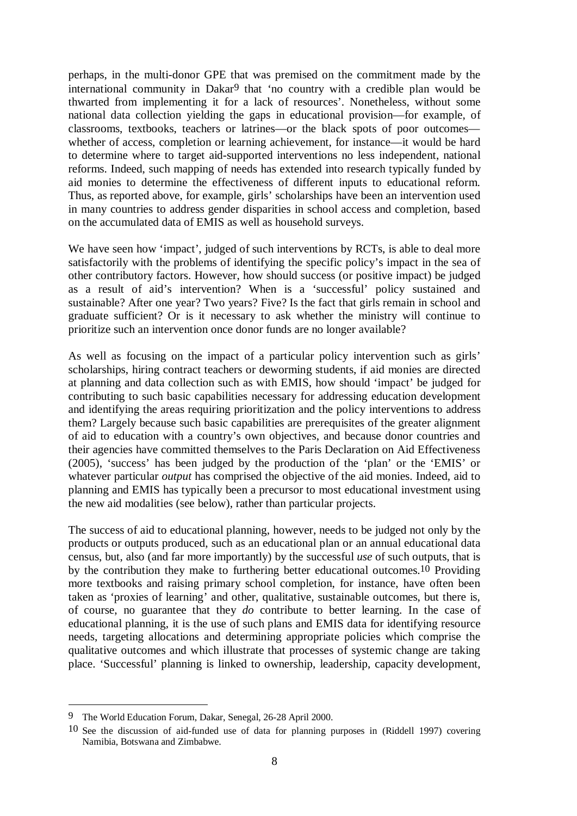perhaps, in the multi-donor GPE that was premised on the commitment made by the international community in Dakar9 that 'no country with a credible plan would be thwarted from implementing it for a lack of resources'. Nonetheless, without some national data collection yielding the gaps in educational provision—for example, of classrooms, textbooks, teachers or latrines—or the black spots of poor outcomes whether of access, completion or learning achievement, for instance—it would be hard to determine where to target aid-supported interventions no less independent, national reforms. Indeed, such mapping of needs has extended into research typically funded by aid monies to determine the effectiveness of different inputs to educational reform. Thus, as reported above, for example, girls' scholarships have been an intervention used in many countries to address gender disparities in school access and completion, based on the accumulated data of EMIS as well as household surveys.

We have seen how 'impact', judged of such interventions by RCTs, is able to deal more satisfactorily with the problems of identifying the specific policy's impact in the sea of other contributory factors. However, how should success (or positive impact) be judged as a result of aid's intervention? When is a 'successful' policy sustained and sustainable? After one year? Two years? Five? Is the fact that girls remain in school and graduate sufficient? Or is it necessary to ask whether the ministry will continue to prioritize such an intervention once donor funds are no longer available?

As well as focusing on the impact of a particular policy intervention such as girls' scholarships, hiring contract teachers or deworming students, if aid monies are directed at planning and data collection such as with EMIS, how should 'impact' be judged for contributing to such basic capabilities necessary for addressing education development and identifying the areas requiring prioritization and the policy interventions to address them? Largely because such basic capabilities are prerequisites of the greater alignment of aid to education with a country's own objectives, and because donor countries and their agencies have committed themselves to the Paris Declaration on Aid Effectiveness (2005), 'success' has been judged by the production of the 'plan' or the 'EMIS' or whatever particular *output* has comprised the objective of the aid monies. Indeed, aid to planning and EMIS has typically been a precursor to most educational investment using the new aid modalities (see below), rather than particular projects.

The success of aid to educational planning, however, needs to be judged not only by the products or outputs produced, such as an educational plan or an annual educational data census, but, also (and far more importantly) by the successful *use* of such outputs, that is by the contribution they make to furthering better educational outcomes.10 Providing more textbooks and raising primary school completion, for instance, have often been taken as 'proxies of learning' and other, qualitative, sustainable outcomes, but there is, of course, no guarantee that they *do* contribute to better learning. In the case of educational planning, it is the use of such plans and EMIS data for identifying resource needs, targeting allocations and determining appropriate policies which comprise the qualitative outcomes and which illustrate that processes of systemic change are taking place. 'Successful' planning is linked to ownership, leadership, capacity development,

 $\overline{a}$ 

<sup>9</sup> The World Education Forum, Dakar, Senegal, 26-28 April 2000.

<sup>10</sup> See the discussion of aid-funded use of data for planning purposes in (Riddell 1997) covering Namibia, Botswana and Zimbabwe.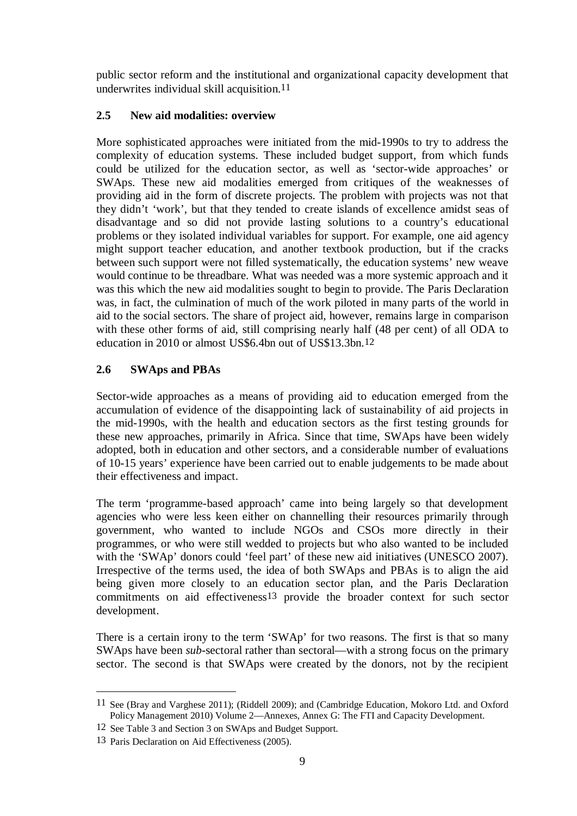public sector reform and the institutional and organizational capacity development that underwrites individual skill acquisition.11

# **2.5 New aid modalities: overview**

More sophisticated approaches were initiated from the mid-1990s to try to address the complexity of education systems. These included budget support, from which funds could be utilized for the education sector, as well as 'sector-wide approaches' or SWAps. These new aid modalities emerged from critiques of the weaknesses of providing aid in the form of discrete projects. The problem with projects was not that they didn't 'work', but that they tended to create islands of excellence amidst seas of disadvantage and so did not provide lasting solutions to a country's educational problems or they isolated individual variables for support. For example, one aid agency might support teacher education, and another textbook production, but if the cracks between such support were not filled systematically, the education systems' new weave would continue to be threadbare. What was needed was a more systemic approach and it was this which the new aid modalities sought to begin to provide. The Paris Declaration was, in fact, the culmination of much of the work piloted in many parts of the world in aid to the social sectors. The share of project aid, however, remains large in comparison with these other forms of aid, still comprising nearly half (48 per cent) of all ODA to education in 2010 or almost US\$6.4bn out of US\$13.3bn.12

# **2.6 SWAps and PBAs**

Sector-wide approaches as a means of providing aid to education emerged from the accumulation of evidence of the disappointing lack of sustainability of aid projects in the mid-1990s, with the health and education sectors as the first testing grounds for these new approaches, primarily in Africa. Since that time, SWAps have been widely adopted, both in education and other sectors, and a considerable number of evaluations of 10-15 years' experience have been carried out to enable judgements to be made about their effectiveness and impact.

The term 'programme-based approach' came into being largely so that development agencies who were less keen either on channelling their resources primarily through government, who wanted to include NGOs and CSOs more directly in their programmes, or who were still wedded to projects but who also wanted to be included with the 'SWAp' donors could 'feel part' of these new aid initiatives (UNESCO 2007). Irrespective of the terms used, the idea of both SWAps and PBAs is to align the aid being given more closely to an education sector plan, and the Paris Declaration commitments on aid effectiveness13 provide the broader context for such sector development.

There is a certain irony to the term 'SWAp' for two reasons. The first is that so many SWAps have been *sub-*sectoral rather than sectoral—with a strong focus on the primary sector. The second is that SWAps were created by the donors, not by the recipient

<u>.</u>

<sup>11</sup> See (Bray and Varghese 2011); (Riddell 2009); and (Cambridge Education, Mokoro Ltd. and Oxford Policy Management 2010) Volume 2—Annexes, Annex G: The FTI and Capacity Development.

<sup>12</sup> See Table 3 and Section 3 on SWAps and Budget Support.

<sup>13</sup> Paris Declaration on Aid Effectiveness (2005).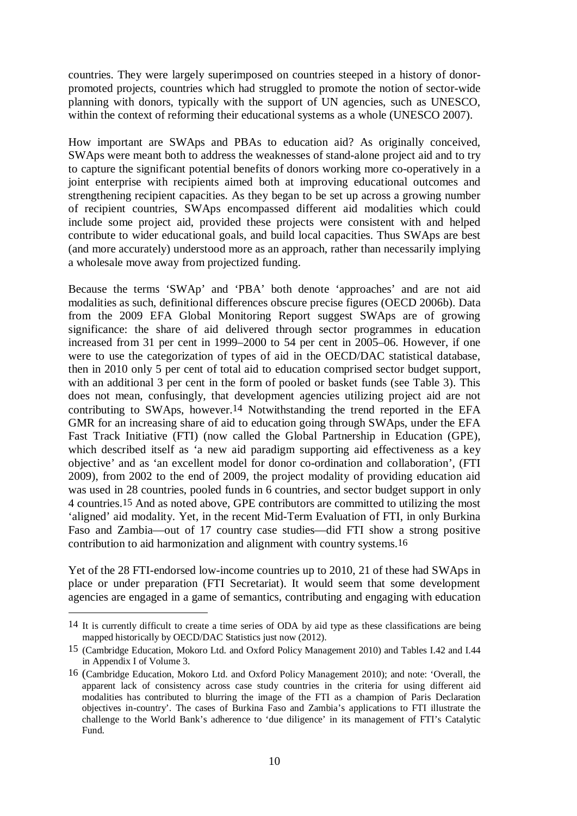countries. They were largely superimposed on countries steeped in a history of donorpromoted projects, countries which had struggled to promote the notion of sector-wide planning with donors, typically with the support of UN agencies, such as UNESCO, within the context of reforming their educational systems as a whole (UNESCO 2007).

How important are SWAps and PBAs to education aid? As originally conceived, SWAps were meant both to address the weaknesses of stand-alone project aid and to try to capture the significant potential benefits of donors working more co-operatively in a joint enterprise with recipients aimed both at improving educational outcomes and strengthening recipient capacities. As they began to be set up across a growing number of recipient countries, SWAps encompassed different aid modalities which could include some project aid, provided these projects were consistent with and helped contribute to wider educational goals, and build local capacities. Thus SWAps are best (and more accurately) understood more as an approach, rather than necessarily implying a wholesale move away from projectized funding.

Because the terms 'SWAp' and 'PBA' both denote 'approaches' and are not aid modalities as such, definitional differences obscure precise figures (OECD 2006b). Data from the 2009 EFA Global Monitoring Report suggest SWAps are of growing significance: the share of aid delivered through sector programmes in education increased from 31 per cent in 1999–2000 to 54 per cent in 2005–06. However, if one were to use the categorization of types of aid in the OECD/DAC statistical database, then in 2010 only 5 per cent of total aid to education comprised sector budget support, with an additional 3 per cent in the form of pooled or basket funds (see Table 3). This does not mean, confusingly, that development agencies utilizing project aid are not contributing to SWAps, however.14 Notwithstanding the trend reported in the EFA GMR for an increasing share of aid to education going through SWAps, under the EFA Fast Track Initiative (FTI) (now called the Global Partnership in Education (GPE), which described itself as 'a new aid paradigm supporting aid effectiveness as a key objective' and as 'an excellent model for donor co-ordination and collaboration', (FTI 2009), from 2002 to the end of 2009, the project modality of providing education aid was used in 28 countries, pooled funds in 6 countries, and sector budget support in only 4 countries.15 And as noted above, GPE contributors are committed to utilizing the most 'aligned' aid modality. Yet, in the recent Mid-Term Evaluation of FTI, in only Burkina Faso and Zambia—out of 17 country case studies—did FTI show a strong positive contribution to aid harmonization and alignment with country systems.16

Yet of the 28 FTI-endorsed low-income countries up to 2010, 21 of these had SWAps in place or under preparation (FTI Secretariat). It would seem that some development agencies are engaged in a game of semantics, contributing and engaging with education

 $\overline{a}$ 

<sup>14</sup> It is currently difficult to create a time series of ODA by aid type as these classifications are being mapped historically by OECD/DAC Statistics just now (2012).

<sup>15 (</sup>Cambridge Education, Mokoro Ltd. and Oxford Policy Management 2010) and Tables I.42 and I.44 in Appendix I of Volume 3.

<sup>16 (</sup>Cambridge Education, Mokoro Ltd. and Oxford Policy Management 2010); and note: 'Overall, the apparent lack of consistency across case study countries in the criteria for using different aid modalities has contributed to blurring the image of the FTI as a champion of Paris Declaration objectives in-country'. The cases of Burkina Faso and Zambia's applications to FTI illustrate the challenge to the World Bank's adherence to 'due diligence' in its management of FTI's Catalytic Fund.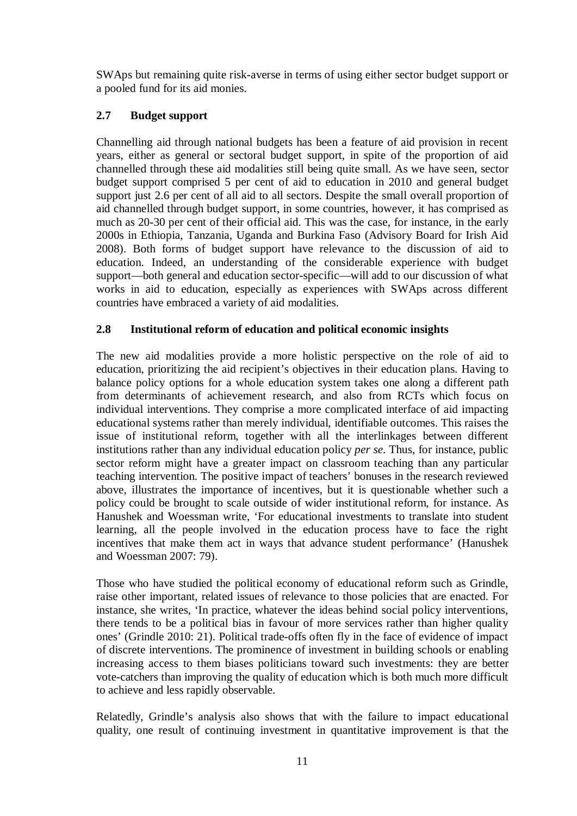SWAps but remaining quite risk-averse in terms of using either sector budget support or a pooled fund for its aid monies.

# **2.7 Budget support**

Channelling aid through national budgets has been a feature of aid provision in recent years, either as general or sectoral budget support, in spite of the proportion of aid channelled through these aid modalities still being quite small. As we have seen, sector budget support comprised 5 per cent of aid to education in 2010 and general budget support just 2.6 per cent of all aid to all sectors. Despite the small overall proportion of aid channelled through budget support, in some countries, however, it has comprised as much as 20-30 per cent of their official aid. This was the case, for instance, in the early 2000s in Ethiopia, Tanzania, Uganda and Burkina Faso (Advisory Board for Irish Aid 2008). Both forms of budget support have relevance to the discussion of aid to education. Indeed, an understanding of the considerable experience with budget support—both general and education sector-specific—will add to our discussion of what works in aid to education, especially as experiences with SWAps across different countries have embraced a variety of aid modalities.

# **2.8 Institutional reform of education and political economic insights**

The new aid modalities provide a more holistic perspective on the role of aid to education, prioritizing the aid recipient's objectives in their education plans. Having to balance policy options for a whole education system takes one along a different path from determinants of achievement research, and also from RCTs which focus on individual interventions. They comprise a more complicated interface of aid impacting educational systems rather than merely individual, identifiable outcomes. This raises the issue of institutional reform, together with all the interlinkages between different institutions rather than any individual education policy *per se*. Thus, for instance, public sector reform might have a greater impact on classroom teaching than any particular teaching intervention. The positive impact of teachers' bonuses in the research reviewed above, illustrates the importance of incentives, but it is questionable whether such a policy could be brought to scale outside of wider institutional reform, for instance. As Hanushek and Woessman write, 'For educational investments to translate into student learning, all the people involved in the education process have to face the right incentives that make them act in ways that advance student performance' (Hanushek and Woessman 2007: 79).

Those who have studied the political economy of educational reform such as Grindle, raise other important, related issues of relevance to those policies that are enacted. For instance, she writes, 'In practice, whatever the ideas behind social policy interventions, there tends to be a political bias in favour of more services rather than higher quality ones' (Grindle 2010: 21). Political trade-offs often fly in the face of evidence of impact of discrete interventions. The prominence of investment in building schools or enabling increasing access to them biases politicians toward such investments: they are better vote-catchers than improving the quality of education which is both much more difficult to achieve and less rapidly observable.

Relatedly, Grindle's analysis also shows that with the failure to impact educational quality, one result of continuing investment in quantitative improvement is that the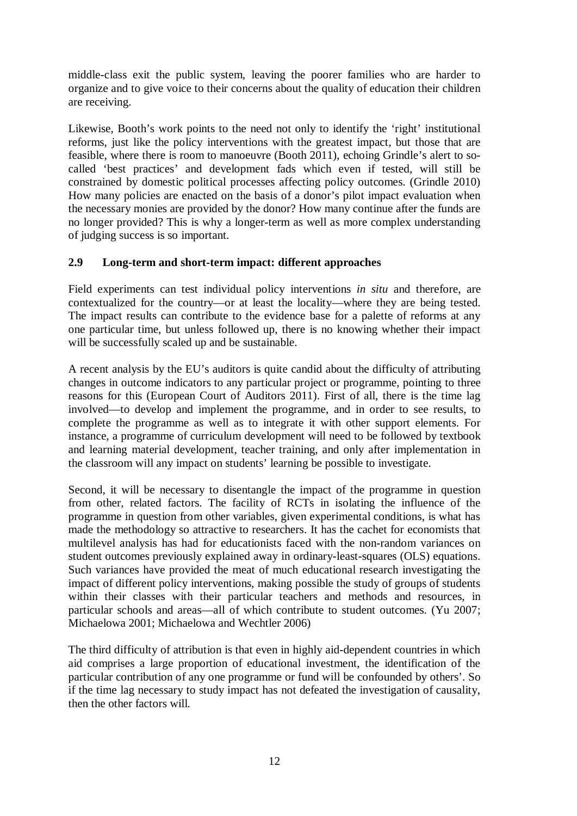middle-class exit the public system, leaving the poorer families who are harder to organize and to give voice to their concerns about the quality of education their children are receiving.

Likewise, Booth's work points to the need not only to identify the 'right' institutional reforms, just like the policy interventions with the greatest impact, but those that are feasible, where there is room to manoeuvre (Booth 2011), echoing Grindle's alert to socalled 'best practices' and development fads which even if tested, will still be constrained by domestic political processes affecting policy outcomes. (Grindle 2010) How many policies are enacted on the basis of a donor's pilot impact evaluation when the necessary monies are provided by the donor? How many continue after the funds are no longer provided? This is why a longer-term as well as more complex understanding of judging success is so important.

## **2.9 Long-term and short-term impact: different approaches**

Field experiments can test individual policy interventions *in situ* and therefore, are contextualized for the country—or at least the locality—where they are being tested. The impact results can contribute to the evidence base for a palette of reforms at any one particular time, but unless followed up, there is no knowing whether their impact will be successfully scaled up and be sustainable.

A recent analysis by the EU's auditors is quite candid about the difficulty of attributing changes in outcome indicators to any particular project or programme, pointing to three reasons for this (European Court of Auditors 2011). First of all, there is the time lag involved—to develop and implement the programme, and in order to see results, to complete the programme as well as to integrate it with other support elements. For instance, a programme of curriculum development will need to be followed by textbook and learning material development, teacher training, and only after implementation in the classroom will any impact on students' learning be possible to investigate.

Second, it will be necessary to disentangle the impact of the programme in question from other, related factors. The facility of RCTs in isolating the influence of the programme in question from other variables, given experimental conditions, is what has made the methodology so attractive to researchers. It has the cachet for economists that multilevel analysis has had for educationists faced with the non-random variances on student outcomes previously explained away in ordinary-least-squares (OLS) equations. Such variances have provided the meat of much educational research investigating the impact of different policy interventions, making possible the study of groups of students within their classes with their particular teachers and methods and resources, in particular schools and areas—all of which contribute to student outcomes. (Yu 2007; Michaelowa 2001; Michaelowa and Wechtler 2006)

The third difficulty of attribution is that even in highly aid-dependent countries in which aid comprises a large proportion of educational investment, the identification of the particular contribution of any one programme or fund will be confounded by others'. So if the time lag necessary to study impact has not defeated the investigation of causality, then the other factors will.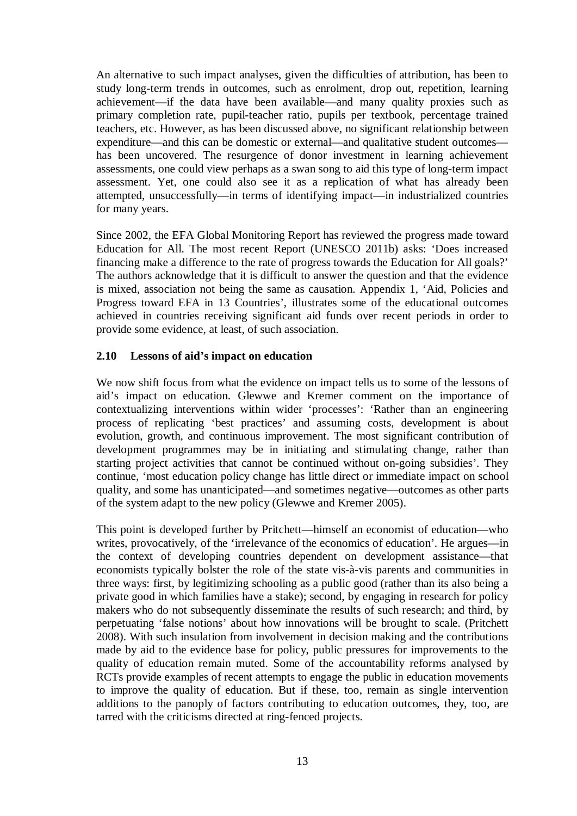An alternative to such impact analyses, given the difficulties of attribution, has been to study long-term trends in outcomes, such as enrolment, drop out, repetition, learning achievement—if the data have been available—and many quality proxies such as primary completion rate, pupil-teacher ratio, pupils per textbook, percentage trained teachers, etc. However, as has been discussed above, no significant relationship between expenditure—and this can be domestic or external—and qualitative student outcomes has been uncovered. The resurgence of donor investment in learning achievement assessments, one could view perhaps as a swan song to aid this type of long-term impact assessment. Yet, one could also see it as a replication of what has already been attempted, unsuccessfully—in terms of identifying impact—in industrialized countries for many years.

Since 2002, the EFA Global Monitoring Report has reviewed the progress made toward Education for All. The most recent Report (UNESCO 2011b) asks: 'Does increased financing make a difference to the rate of progress towards the Education for All goals?' The authors acknowledge that it is difficult to answer the question and that the evidence is mixed, association not being the same as causation. Appendix 1, 'Aid, Policies and Progress toward EFA in 13 Countries', illustrates some of the educational outcomes achieved in countries receiving significant aid funds over recent periods in order to provide some evidence, at least, of such association.

### **2.10 Lessons of aid's impact on education**

We now shift focus from what the evidence on impact tells us to some of the lessons of aid's impact on education. Glewwe and Kremer comment on the importance of contextualizing interventions within wider 'processes': 'Rather than an engineering process of replicating 'best practices' and assuming costs, development is about evolution, growth, and continuous improvement. The most significant contribution of development programmes may be in initiating and stimulating change, rather than starting project activities that cannot be continued without on-going subsidies'. They continue, 'most education policy change has little direct or immediate impact on school quality, and some has unanticipated—and sometimes negative—outcomes as other parts of the system adapt to the new policy (Glewwe and Kremer 2005).

This point is developed further by Pritchett—himself an economist of education—who writes, provocatively, of the 'irrelevance of the economics of education'. He argues—in the context of developing countries dependent on development assistance—that economists typically bolster the role of the state vis-à-vis parents and communities in three ways: first, by legitimizing schooling as a public good (rather than its also being a private good in which families have a stake); second, by engaging in research for policy makers who do not subsequently disseminate the results of such research; and third, by perpetuating 'false notions' about how innovations will be brought to scale. (Pritchett 2008). With such insulation from involvement in decision making and the contributions made by aid to the evidence base for policy, public pressures for improvements to the quality of education remain muted. Some of the accountability reforms analysed by RCTs provide examples of recent attempts to engage the public in education movements to improve the quality of education. But if these, too, remain as single intervention additions to the panoply of factors contributing to education outcomes, they, too, are tarred with the criticisms directed at ring-fenced projects.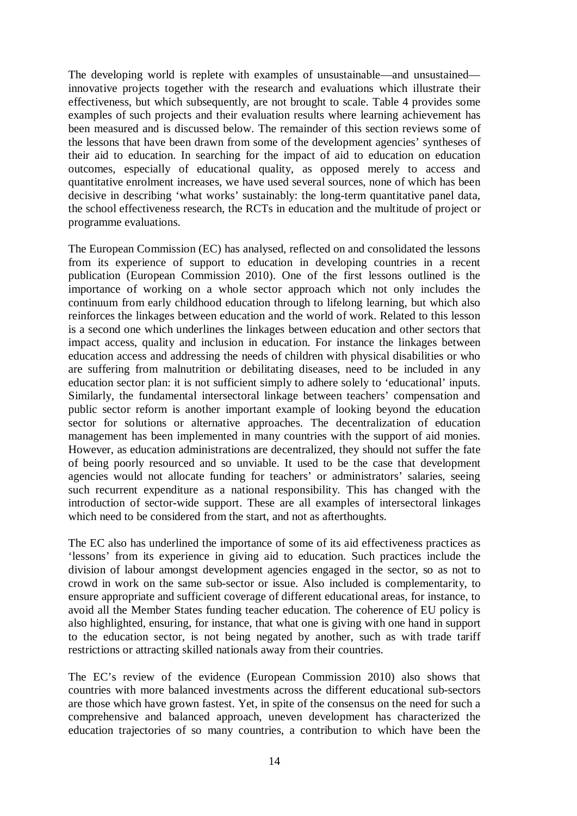The developing world is replete with examples of unsustainable—and unsustained innovative projects together with the research and evaluations which illustrate their effectiveness, but which subsequently, are not brought to scale. Table 4 provides some examples of such projects and their evaluation results where learning achievement has been measured and is discussed below. The remainder of this section reviews some of the lessons that have been drawn from some of the development agencies' syntheses of their aid to education. In searching for the impact of aid to education on education outcomes, especially of educational quality, as opposed merely to access and quantitative enrolment increases, we have used several sources, none of which has been decisive in describing 'what works' sustainably: the long-term quantitative panel data, the school effectiveness research, the RCTs in education and the multitude of project or programme evaluations.

The European Commission (EC) has analysed, reflected on and consolidated the lessons from its experience of support to education in developing countries in a recent publication (European Commission 2010). One of the first lessons outlined is the importance of working on a whole sector approach which not only includes the continuum from early childhood education through to lifelong learning, but which also reinforces the linkages between education and the world of work. Related to this lesson is a second one which underlines the linkages between education and other sectors that impact access, quality and inclusion in education. For instance the linkages between education access and addressing the needs of children with physical disabilities or who are suffering from malnutrition or debilitating diseases, need to be included in any education sector plan: it is not sufficient simply to adhere solely to 'educational' inputs. Similarly, the fundamental intersectoral linkage between teachers' compensation and public sector reform is another important example of looking beyond the education sector for solutions or alternative approaches. The decentralization of education management has been implemented in many countries with the support of aid monies. However, as education administrations are decentralized, they should not suffer the fate of being poorly resourced and so unviable. It used to be the case that development agencies would not allocate funding for teachers' or administrators' salaries, seeing such recurrent expenditure as a national responsibility. This has changed with the introduction of sector-wide support. These are all examples of intersectoral linkages which need to be considered from the start, and not as afterthoughts.

The EC also has underlined the importance of some of its aid effectiveness practices as 'lessons' from its experience in giving aid to education. Such practices include the division of labour amongst development agencies engaged in the sector, so as not to crowd in work on the same sub-sector or issue. Also included is complementarity, to ensure appropriate and sufficient coverage of different educational areas, for instance, to avoid all the Member States funding teacher education. The coherence of EU policy is also highlighted, ensuring, for instance, that what one is giving with one hand in support to the education sector, is not being negated by another, such as with trade tariff restrictions or attracting skilled nationals away from their countries.

The EC's review of the evidence (European Commission 2010) also shows that countries with more balanced investments across the different educational sub-sectors are those which have grown fastest. Yet, in spite of the consensus on the need for such a comprehensive and balanced approach, uneven development has characterized the education trajectories of so many countries, a contribution to which have been the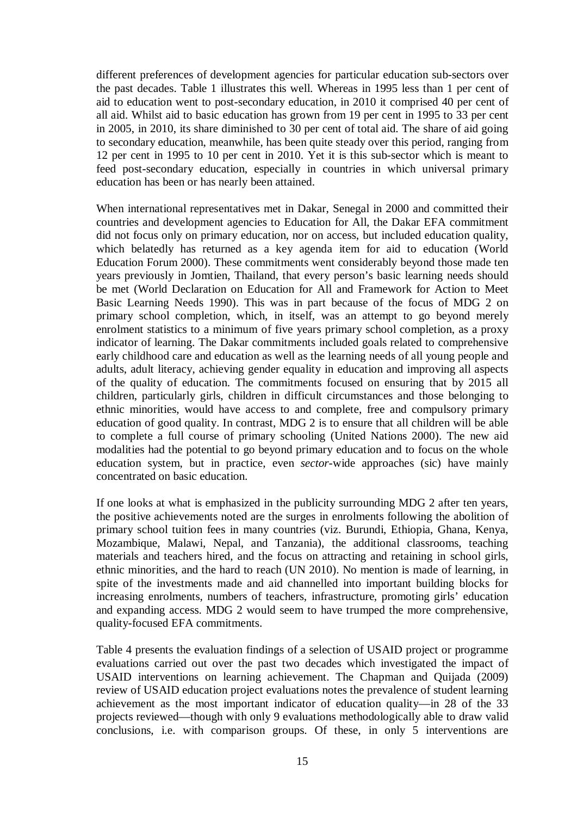different preferences of development agencies for particular education sub-sectors over the past decades. Table 1 illustrates this well. Whereas in 1995 less than 1 per cent of aid to education went to post-secondary education, in 2010 it comprised 40 per cent of all aid. Whilst aid to basic education has grown from 19 per cent in 1995 to 33 per cent in 2005, in 2010, its share diminished to 30 per cent of total aid. The share of aid going to secondary education, meanwhile, has been quite steady over this period, ranging from 12 per cent in 1995 to 10 per cent in 2010. Yet it is this sub-sector which is meant to feed post-secondary education, especially in countries in which universal primary education has been or has nearly been attained.

When international representatives met in Dakar, Senegal in 2000 and committed their countries and development agencies to Education for All, the Dakar EFA commitment did not focus only on primary education, nor on access, but included education quality, which belatedly has returned as a key agenda item for aid to education (World Education Forum 2000). These commitments went considerably beyond those made ten years previously in Jomtien, Thailand, that every person's basic learning needs should be met (World Declaration on Education for All and Framework for Action to Meet Basic Learning Needs 1990). This was in part because of the focus of MDG 2 on primary school completion, which, in itself, was an attempt to go beyond merely enrolment statistics to a minimum of five years primary school completion, as a proxy indicator of learning. The Dakar commitments included goals related to comprehensive early childhood care and education as well as the learning needs of all young people and adults, adult literacy, achieving gender equality in education and improving all aspects of the quality of education. The commitments focused on ensuring that by 2015 all children, particularly girls, children in difficult circumstances and those belonging to ethnic minorities, would have access to and complete, free and compulsory primary education of good quality. In contrast, MDG 2 is to ensure that all children will be able to complete a full course of primary schooling (United Nations 2000). The new aid modalities had the potential to go beyond primary education and to focus on the whole education system, but in practice, even *sector*-wide approaches (sic) have mainly concentrated on basic education.

If one looks at what is emphasized in the publicity surrounding MDG 2 after ten years, the positive achievements noted are the surges in enrolments following the abolition of primary school tuition fees in many countries (viz. Burundi, Ethiopia, Ghana, Kenya, Mozambique, Malawi, Nepal, and Tanzania), the additional classrooms, teaching materials and teachers hired, and the focus on attracting and retaining in school girls, ethnic minorities, and the hard to reach (UN 2010). No mention is made of learning, in spite of the investments made and aid channelled into important building blocks for increasing enrolments, numbers of teachers, infrastructure, promoting girls' education and expanding access. MDG 2 would seem to have trumped the more comprehensive, quality-focused EFA commitments.

Table 4 presents the evaluation findings of a selection of USAID project or programme evaluations carried out over the past two decades which investigated the impact of USAID interventions on learning achievement. The Chapman and Quijada (2009) review of USAID education project evaluations notes the prevalence of student learning achievement as the most important indicator of education quality—in 28 of the 33 projects reviewed—though with only 9 evaluations methodologically able to draw valid conclusions, i.e. with comparison groups. Of these, in only 5 interventions are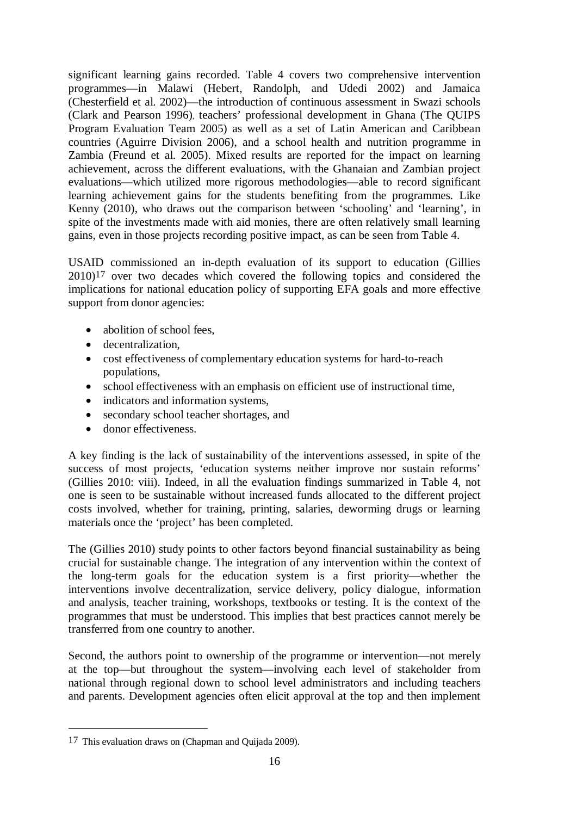significant learning gains recorded. Table 4 covers two comprehensive intervention programmes—in Malawi (Hebert, Randolph, and Udedi 2002) and Jamaica (Chesterfield et al. 2002)—the introduction of continuous assessment in Swazi schools (Clark and Pearson 1996), teachers' professional development in Ghana (The QUIPS Program Evaluation Team 2005) as well as a set of Latin American and Caribbean countries (Aguirre Division 2006), and a school health and nutrition programme in Zambia (Freund et al. 2005). Mixed results are reported for the impact on learning achievement, across the different evaluations, with the Ghanaian and Zambian project evaluations—which utilized more rigorous methodologies—able to record significant learning achievement gains for the students benefiting from the programmes. Like Kenny (2010), who draws out the comparison between 'schooling' and 'learning', in spite of the investments made with aid monies, there are often relatively small learning gains, even in those projects recording positive impact, as can be seen from Table 4.

USAID commissioned an in-depth evaluation of its support to education (Gillies 2010)17 over two decades which covered the following topics and considered the implications for national education policy of supporting EFA goals and more effective support from donor agencies:

- abolition of school fees,
- decentralization,
- cost effectiveness of complementary education systems for hard-to-reach populations,
- school effectiveness with an emphasis on efficient use of instructional time,
- indicators and information systems,
- secondary school teacher shortages, and
- donor effectiveness.

A key finding is the lack of sustainability of the interventions assessed, in spite of the success of most projects, 'education systems neither improve nor sustain reforms' (Gillies 2010: viii). Indeed, in all the evaluation findings summarized in Table 4, not one is seen to be sustainable without increased funds allocated to the different project costs involved, whether for training, printing, salaries, deworming drugs or learning materials once the 'project' has been completed.

The (Gillies 2010) study points to other factors beyond financial sustainability as being crucial for sustainable change. The integration of any intervention within the context of the long-term goals for the education system is a first priority—whether the interventions involve decentralization, service delivery, policy dialogue, information and analysis, teacher training, workshops, textbooks or testing. It is the context of the programmes that must be understood. This implies that best practices cannot merely be transferred from one country to another.

Second, the authors point to ownership of the programme or intervention—not merely at the top—but throughout the system—involving each level of stakeholder from national through regional down to school level administrators and including teachers and parents. Development agencies often elicit approval at the top and then implement

 $\overline{a}$ 

<sup>17</sup> This evaluation draws on (Chapman and Quijada 2009).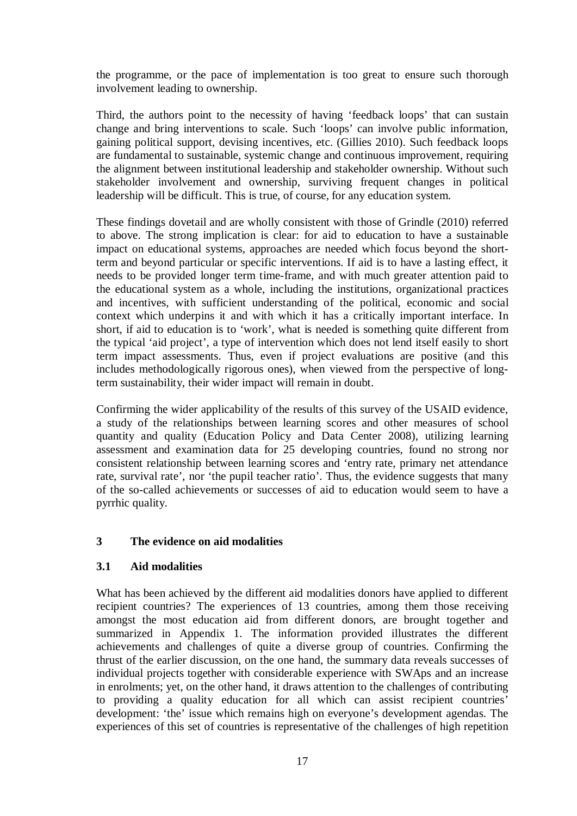the programme, or the pace of implementation is too great to ensure such thorough involvement leading to ownership.

Third, the authors point to the necessity of having 'feedback loops' that can sustain change and bring interventions to scale. Such 'loops' can involve public information, gaining political support, devising incentives, etc. (Gillies 2010). Such feedback loops are fundamental to sustainable, systemic change and continuous improvement, requiring the alignment between institutional leadership and stakeholder ownership. Without such stakeholder involvement and ownership, surviving frequent changes in political leadership will be difficult. This is true, of course, for any education system.

These findings dovetail and are wholly consistent with those of Grindle (2010) referred to above. The strong implication is clear: for aid to education to have a sustainable impact on educational systems, approaches are needed which focus beyond the shortterm and beyond particular or specific interventions. If aid is to have a lasting effect, it needs to be provided longer term time-frame, and with much greater attention paid to the educational system as a whole, including the institutions, organizational practices and incentives, with sufficient understanding of the political, economic and social context which underpins it and with which it has a critically important interface. In short, if aid to education is to 'work', what is needed is something quite different from the typical 'aid project', a type of intervention which does not lend itself easily to short term impact assessments. Thus, even if project evaluations are positive (and this includes methodologically rigorous ones), when viewed from the perspective of longterm sustainability, their wider impact will remain in doubt.

Confirming the wider applicability of the results of this survey of the USAID evidence, a study of the relationships between learning scores and other measures of school quantity and quality (Education Policy and Data Center 2008), utilizing learning assessment and examination data for 25 developing countries, found no strong nor consistent relationship between learning scores and 'entry rate, primary net attendance rate, survival rate', nor 'the pupil teacher ratio'. Thus, the evidence suggests that many of the so-called achievements or successes of aid to education would seem to have a pyrrhic quality.

# **3 The evidence on aid modalities**

### **3.1 Aid modalities**

What has been achieved by the different aid modalities donors have applied to different recipient countries? The experiences of 13 countries, among them those receiving amongst the most education aid from different donors, are brought together and summarized in Appendix 1. The information provided illustrates the different achievements and challenges of quite a diverse group of countries. Confirming the thrust of the earlier discussion, on the one hand, the summary data reveals successes of individual projects together with considerable experience with SWAps and an increase in enrolments; yet, on the other hand, it draws attention to the challenges of contributing to providing a quality education for all which can assist recipient countries' development: 'the' issue which remains high on everyone's development agendas. The experiences of this set of countries is representative of the challenges of high repetition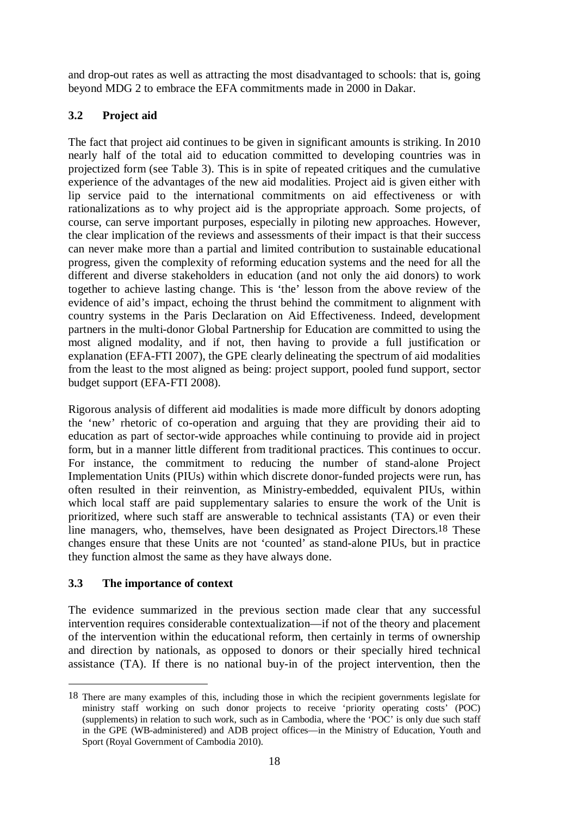and drop-out rates as well as attracting the most disadvantaged to schools: that is, going beyond MDG 2 to embrace the EFA commitments made in 2000 in Dakar.

# **3.2 Project aid**

The fact that project aid continues to be given in significant amounts is striking. In 2010 nearly half of the total aid to education committed to developing countries was in projectized form (see Table 3). This is in spite of repeated critiques and the cumulative experience of the advantages of the new aid modalities. Project aid is given either with lip service paid to the international commitments on aid effectiveness or with rationalizations as to why project aid is the appropriate approach. Some projects, of course, can serve important purposes, especially in piloting new approaches. However, the clear implication of the reviews and assessments of their impact is that their success can never make more than a partial and limited contribution to sustainable educational progress, given the complexity of reforming education systems and the need for all the different and diverse stakeholders in education (and not only the aid donors) to work together to achieve lasting change. This is 'the' lesson from the above review of the evidence of aid's impact, echoing the thrust behind the commitment to alignment with country systems in the Paris Declaration on Aid Effectiveness. Indeed, development partners in the multi-donor Global Partnership for Education are committed to using the most aligned modality, and if not, then having to provide a full justification or explanation (EFA-FTI 2007), the GPE clearly delineating the spectrum of aid modalities from the least to the most aligned as being: project support, pooled fund support, sector budget support (EFA-FTI 2008).

Rigorous analysis of different aid modalities is made more difficult by donors adopting the 'new' rhetoric of co-operation and arguing that they are providing their aid to education as part of sector-wide approaches while continuing to provide aid in project form, but in a manner little different from traditional practices. This continues to occur. For instance, the commitment to reducing the number of stand-alone Project Implementation Units (PIUs) within which discrete donor-funded projects were run, has often resulted in their reinvention, as Ministry-embedded, equivalent PIUs, within which local staff are paid supplementary salaries to ensure the work of the Unit is prioritized, where such staff are answerable to technical assistants (TA) or even their line managers, who, themselves, have been designated as Project Directors.18 These changes ensure that these Units are not 'counted' as stand-alone PIUs, but in practice they function almost the same as they have always done.

# **3.3 The importance of context**

 $\overline{a}$ 

The evidence summarized in the previous section made clear that any successful intervention requires considerable contextualization—if not of the theory and placement of the intervention within the educational reform, then certainly in terms of ownership and direction by nationals, as opposed to donors or their specially hired technical assistance (TA). If there is no national buy-in of the project intervention, then the

<sup>18</sup> There are many examples of this, including those in which the recipient governments legislate for ministry staff working on such donor projects to receive 'priority operating costs' (POC) (supplements) in relation to such work, such as in Cambodia, where the 'POC' is only due such staff in the GPE (WB-administered) and ADB project offices—in the Ministry of Education, Youth and Sport (Royal Government of Cambodia 2010).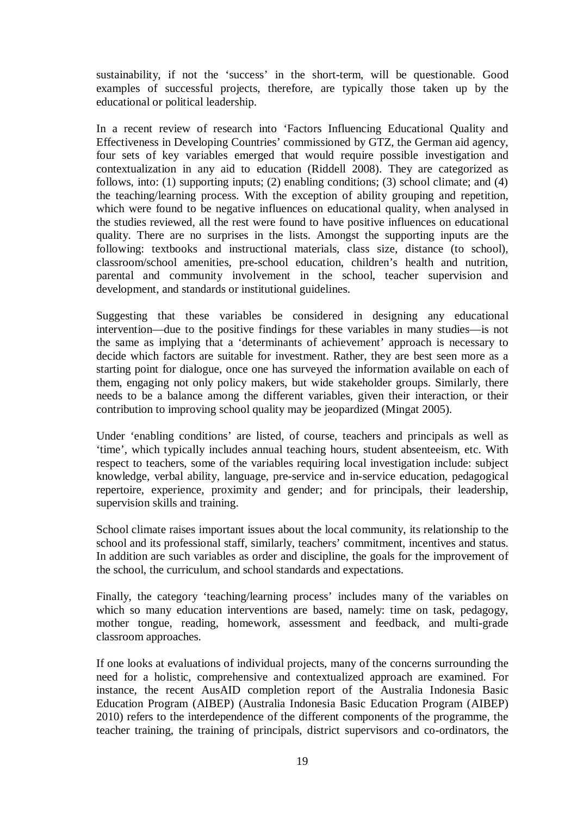sustainability, if not the 'success' in the short-term, will be questionable. Good examples of successful projects, therefore, are typically those taken up by the educational or political leadership.

In a recent review of research into 'Factors Influencing Educational Quality and Effectiveness in Developing Countries' commissioned by GTZ, the German aid agency, four sets of key variables emerged that would require possible investigation and contextualization in any aid to education (Riddell 2008). They are categorized as follows, into: (1) supporting inputs; (2) enabling conditions; (3) school climate; and (4) the teaching/learning process. With the exception of ability grouping and repetition, which were found to be negative influences on educational quality, when analysed in the studies reviewed, all the rest were found to have positive influences on educational quality. There are no surprises in the lists. Amongst the supporting inputs are the following: textbooks and instructional materials, class size, distance (to school), classroom/school amenities, pre-school education, children's health and nutrition, parental and community involvement in the school, teacher supervision and development, and standards or institutional guidelines.

Suggesting that these variables be considered in designing any educational intervention—due to the positive findings for these variables in many studies—is not the same as implying that a 'determinants of achievement' approach is necessary to decide which factors are suitable for investment. Rather, they are best seen more as a starting point for dialogue, once one has surveyed the information available on each of them, engaging not only policy makers, but wide stakeholder groups. Similarly, there needs to be a balance among the different variables, given their interaction, or their contribution to improving school quality may be jeopardized (Mingat 2005).

Under 'enabling conditions' are listed, of course, teachers and principals as well as 'time', which typically includes annual teaching hours, student absenteeism, etc. With respect to teachers, some of the variables requiring local investigation include: subject knowledge, verbal ability, language, pre-service and in-service education, pedagogical repertoire, experience, proximity and gender; and for principals, their leadership, supervision skills and training.

School climate raises important issues about the local community, its relationship to the school and its professional staff, similarly, teachers' commitment, incentives and status. In addition are such variables as order and discipline, the goals for the improvement of the school, the curriculum, and school standards and expectations.

Finally, the category 'teaching/learning process' includes many of the variables on which so many education interventions are based, namely: time on task, pedagogy, mother tongue, reading, homework, assessment and feedback, and multi-grade classroom approaches.

If one looks at evaluations of individual projects, many of the concerns surrounding the need for a holistic, comprehensive and contextualized approach are examined. For instance, the recent AusAID completion report of the Australia Indonesia Basic Education Program (AIBEP) (Australia Indonesia Basic Education Program (AIBEP) 2010) refers to the interdependence of the different components of the programme, the teacher training, the training of principals, district supervisors and co-ordinators, the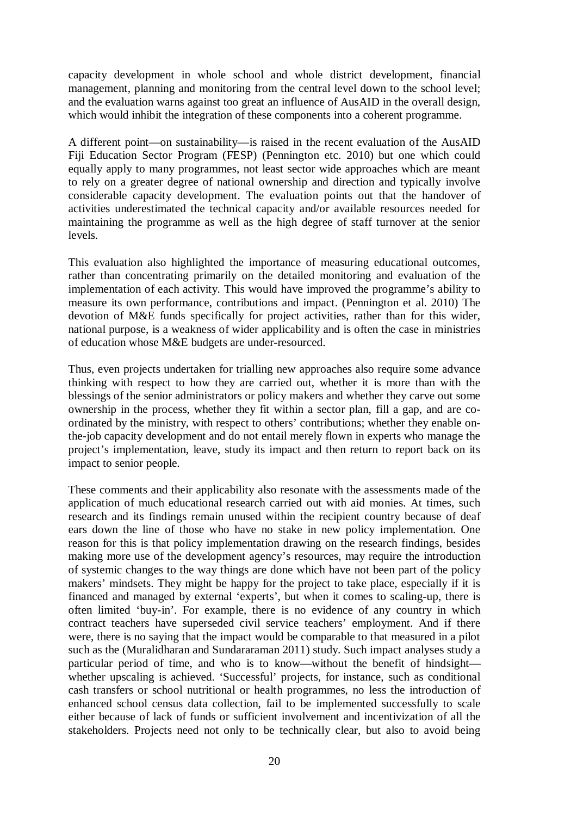capacity development in whole school and whole district development, financial management, planning and monitoring from the central level down to the school level; and the evaluation warns against too great an influence of AusAID in the overall design, which would inhibit the integration of these components into a coherent programme.

A different point—on sustainability—is raised in the recent evaluation of the AusAID Fiji Education Sector Program (FESP) (Pennington etc. 2010) but one which could equally apply to many programmes, not least sector wide approaches which are meant to rely on a greater degree of national ownership and direction and typically involve considerable capacity development. The evaluation points out that the handover of activities underestimated the technical capacity and/or available resources needed for maintaining the programme as well as the high degree of staff turnover at the senior levels.

This evaluation also highlighted the importance of measuring educational outcomes, rather than concentrating primarily on the detailed monitoring and evaluation of the implementation of each activity. This would have improved the programme's ability to measure its own performance, contributions and impact. (Pennington et al. 2010) The devotion of M&E funds specifically for project activities, rather than for this wider, national purpose, is a weakness of wider applicability and is often the case in ministries of education whose M&E budgets are under-resourced.

Thus, even projects undertaken for trialling new approaches also require some advance thinking with respect to how they are carried out, whether it is more than with the blessings of the senior administrators or policy makers and whether they carve out some ownership in the process, whether they fit within a sector plan, fill a gap, and are coordinated by the ministry, with respect to others' contributions; whether they enable onthe-job capacity development and do not entail merely flown in experts who manage the project's implementation, leave, study its impact and then return to report back on its impact to senior people.

These comments and their applicability also resonate with the assessments made of the application of much educational research carried out with aid monies. At times, such research and its findings remain unused within the recipient country because of deaf ears down the line of those who have no stake in new policy implementation. One reason for this is that policy implementation drawing on the research findings, besides making more use of the development agency's resources, may require the introduction of systemic changes to the way things are done which have not been part of the policy makers' mindsets. They might be happy for the project to take place, especially if it is financed and managed by external 'experts', but when it comes to scaling-up, there is often limited 'buy-in'. For example, there is no evidence of any country in which contract teachers have superseded civil service teachers' employment. And if there were, there is no saying that the impact would be comparable to that measured in a pilot such as the (Muralidharan and Sundararaman 2011) study. Such impact analyses study a particular period of time, and who is to know—without the benefit of hindsight whether upscaling is achieved. 'Successful' projects, for instance, such as conditional cash transfers or school nutritional or health programmes, no less the introduction of enhanced school census data collection, fail to be implemented successfully to scale either because of lack of funds or sufficient involvement and incentivization of all the stakeholders. Projects need not only to be technically clear, but also to avoid being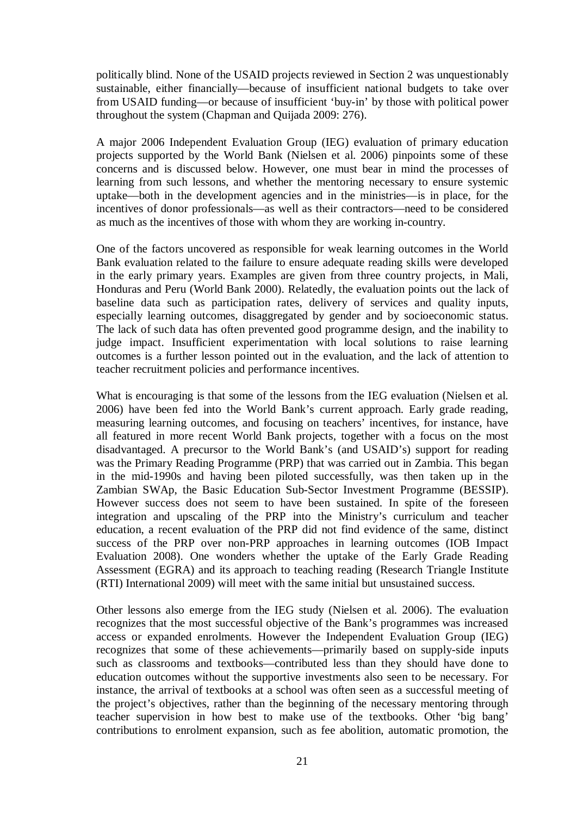politically blind. None of the USAID projects reviewed in Section 2 was unquestionably sustainable, either financially—because of insufficient national budgets to take over from USAID funding—or because of insufficient 'buy-in' by those with political power throughout the system (Chapman and Quijada 2009: 276).

A major 2006 Independent Evaluation Group (IEG) evaluation of primary education projects supported by the World Bank (Nielsen et al. 2006) pinpoints some of these concerns and is discussed below. However, one must bear in mind the processes of learning from such lessons, and whether the mentoring necessary to ensure systemic uptake—both in the development agencies and in the ministries—is in place, for the incentives of donor professionals—as well as their contractors—need to be considered as much as the incentives of those with whom they are working in-country.

One of the factors uncovered as responsible for weak learning outcomes in the World Bank evaluation related to the failure to ensure adequate reading skills were developed in the early primary years. Examples are given from three country projects, in Mali, Honduras and Peru (World Bank 2000). Relatedly, the evaluation points out the lack of baseline data such as participation rates, delivery of services and quality inputs, especially learning outcomes, disaggregated by gender and by socioeconomic status. The lack of such data has often prevented good programme design, and the inability to judge impact. Insufficient experimentation with local solutions to raise learning outcomes is a further lesson pointed out in the evaluation, and the lack of attention to teacher recruitment policies and performance incentives.

What is encouraging is that some of the lessons from the IEG evaluation (Nielsen et al. 2006) have been fed into the World Bank's current approach. Early grade reading, measuring learning outcomes, and focusing on teachers' incentives, for instance, have all featured in more recent World Bank projects, together with a focus on the most disadvantaged. A precursor to the World Bank's (and USAID's) support for reading was the Primary Reading Programme (PRP) that was carried out in Zambia. This began in the mid-1990s and having been piloted successfully, was then taken up in the Zambian SWAp, the Basic Education Sub-Sector Investment Programme (BESSIP). However success does not seem to have been sustained. In spite of the foreseen integration and upscaling of the PRP into the Ministry's curriculum and teacher education, a recent evaluation of the PRP did not find evidence of the same, distinct success of the PRP over non-PRP approaches in learning outcomes (IOB Impact Evaluation 2008). One wonders whether the uptake of the Early Grade Reading Assessment (EGRA) and its approach to teaching reading (Research Triangle Institute (RTI) International 2009) will meet with the same initial but unsustained success.

Other lessons also emerge from the IEG study (Nielsen et al. 2006). The evaluation recognizes that the most successful objective of the Bank's programmes was increased access or expanded enrolments. However the Independent Evaluation Group (IEG) recognizes that some of these achievements—primarily based on supply-side inputs such as classrooms and textbooks—contributed less than they should have done to education outcomes without the supportive investments also seen to be necessary. For instance, the arrival of textbooks at a school was often seen as a successful meeting of the project's objectives, rather than the beginning of the necessary mentoring through teacher supervision in how best to make use of the textbooks. Other 'big bang' contributions to enrolment expansion, such as fee abolition, automatic promotion, the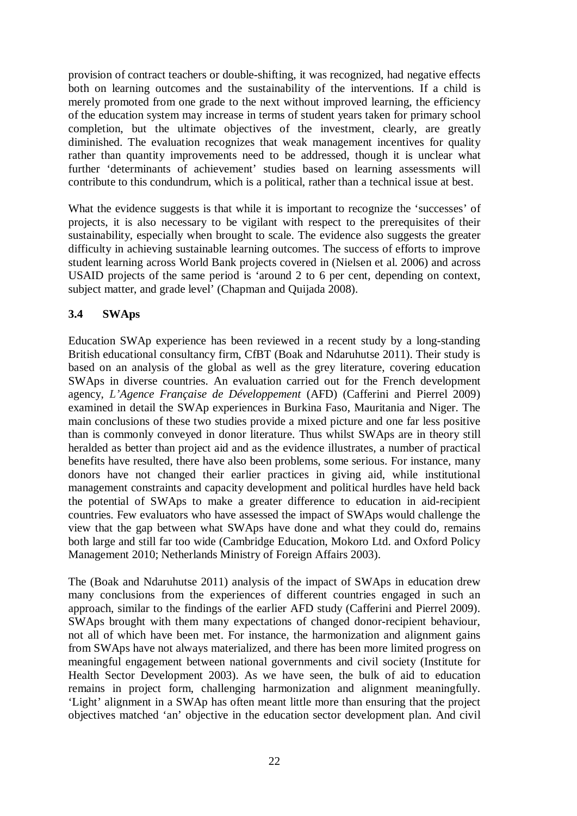provision of contract teachers or double-shifting, it was recognized, had negative effects both on learning outcomes and the sustainability of the interventions. If a child is merely promoted from one grade to the next without improved learning, the efficiency of the education system may increase in terms of student years taken for primary school completion, but the ultimate objectives of the investment, clearly, are greatly diminished. The evaluation recognizes that weak management incentives for quality rather than quantity improvements need to be addressed, though it is unclear what further 'determinants of achievement' studies based on learning assessments will contribute to this condundrum, which is a political, rather than a technical issue at best.

What the evidence suggests is that while it is important to recognize the 'successes' of projects, it is also necessary to be vigilant with respect to the prerequisites of their sustainability, especially when brought to scale. The evidence also suggests the greater difficulty in achieving sustainable learning outcomes. The success of efforts to improve student learning across World Bank projects covered in (Nielsen et al. 2006) and across USAID projects of the same period is 'around 2 to 6 per cent, depending on context, subject matter, and grade level' (Chapman and Quijada 2008).

# **3.4 SWAps**

Education SWAp experience has been reviewed in a recent study by a long-standing British educational consultancy firm, CfBT (Boak and Ndaruhutse 2011). Their study is based on an analysis of the global as well as the grey literature, covering education SWAps in diverse countries. An evaluation carried out for the French development agency, *L'Agence Française de Développement* (AFD) (Cafferini and Pierrel 2009) examined in detail the SWAp experiences in Burkina Faso, Mauritania and Niger. The main conclusions of these two studies provide a mixed picture and one far less positive than is commonly conveyed in donor literature. Thus whilst SWAps are in theory still heralded as better than project aid and as the evidence illustrates, a number of practical benefits have resulted, there have also been problems, some serious. For instance, many donors have not changed their earlier practices in giving aid, while institutional management constraints and capacity development and political hurdles have held back the potential of SWAps to make a greater difference to education in aid-recipient countries. Few evaluators who have assessed the impact of SWAps would challenge the view that the gap between what SWAps have done and what they could do, remains both large and still far too wide (Cambridge Education, Mokoro Ltd. and Oxford Policy Management 2010; Netherlands Ministry of Foreign Affairs 2003).

The (Boak and Ndaruhutse 2011) analysis of the impact of SWAps in education drew many conclusions from the experiences of different countries engaged in such an approach, similar to the findings of the earlier AFD study (Cafferini and Pierrel 2009). SWAps brought with them many expectations of changed donor-recipient behaviour, not all of which have been met. For instance, the harmonization and alignment gains from SWAps have not always materialized, and there has been more limited progress on meaningful engagement between national governments and civil society (Institute for Health Sector Development 2003). As we have seen, the bulk of aid to education remains in project form, challenging harmonization and alignment meaningfully. 'Light' alignment in a SWAp has often meant little more than ensuring that the project objectives matched 'an' objective in the education sector development plan. And civil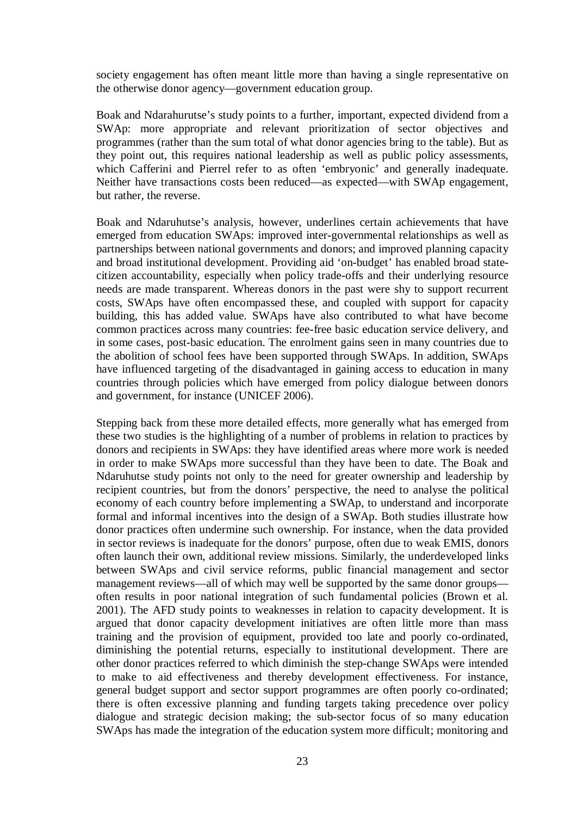society engagement has often meant little more than having a single representative on the otherwise donor agency—government education group.

Boak and Ndarahurutse's study points to a further, important, expected dividend from a SWAp: more appropriate and relevant prioritization of sector objectives and programmes (rather than the sum total of what donor agencies bring to the table). But as they point out, this requires national leadership as well as public policy assessments, which Cafferini and Pierrel refer to as often 'embryonic' and generally inadequate. Neither have transactions costs been reduced—as expected—with SWAp engagement, but rather, the reverse.

Boak and Ndaruhutse's analysis, however, underlines certain achievements that have emerged from education SWAps: improved inter-governmental relationships as well as partnerships between national governments and donors; and improved planning capacity and broad institutional development. Providing aid 'on-budget' has enabled broad statecitizen accountability, especially when policy trade-offs and their underlying resource needs are made transparent. Whereas donors in the past were shy to support recurrent costs, SWAps have often encompassed these, and coupled with support for capacity building, this has added value. SWAps have also contributed to what have become common practices across many countries: fee-free basic education service delivery, and in some cases, post-basic education. The enrolment gains seen in many countries due to the abolition of school fees have been supported through SWAps. In addition, SWAps have influenced targeting of the disadvantaged in gaining access to education in many countries through policies which have emerged from policy dialogue between donors and government, for instance (UNICEF 2006).

Stepping back from these more detailed effects, more generally what has emerged from these two studies is the highlighting of a number of problems in relation to practices by donors and recipients in SWAps: they have identified areas where more work is needed in order to make SWAps more successful than they have been to date. The Boak and Ndaruhutse study points not only to the need for greater ownership and leadership by recipient countries, but from the donors' perspective, the need to analyse the political economy of each country before implementing a SWAp, to understand and incorporate formal and informal incentives into the design of a SWAp. Both studies illustrate how donor practices often undermine such ownership. For instance, when the data provided in sector reviews is inadequate for the donors' purpose, often due to weak EMIS, donors often launch their own, additional review missions. Similarly, the underdeveloped links between SWAps and civil service reforms, public financial management and sector management reviews—all of which may well be supported by the same donor groups often results in poor national integration of such fundamental policies (Brown et al. 2001). The AFD study points to weaknesses in relation to capacity development. It is argued that donor capacity development initiatives are often little more than mass training and the provision of equipment, provided too late and poorly co-ordinated, diminishing the potential returns, especially to institutional development. There are other donor practices referred to which diminish the step-change SWAps were intended to make to aid effectiveness and thereby development effectiveness. For instance, general budget support and sector support programmes are often poorly co-ordinated; there is often excessive planning and funding targets taking precedence over policy dialogue and strategic decision making; the sub-sector focus of so many education SWAps has made the integration of the education system more difficult; monitoring and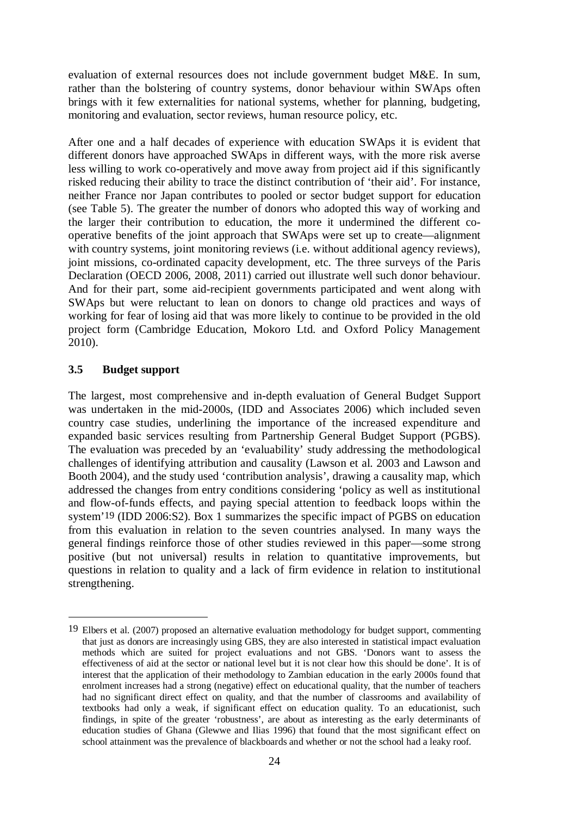evaluation of external resources does not include government budget M&E. In sum, rather than the bolstering of country systems, donor behaviour within SWAps often brings with it few externalities for national systems, whether for planning, budgeting, monitoring and evaluation, sector reviews, human resource policy, etc.

After one and a half decades of experience with education SWAps it is evident that different donors have approached SWAps in different ways, with the more risk averse less willing to work co-operatively and move away from project aid if this significantly risked reducing their ability to trace the distinct contribution of 'their aid'. For instance, neither France nor Japan contributes to pooled or sector budget support for education (see Table 5). The greater the number of donors who adopted this way of working and the larger their contribution to education, the more it undermined the different cooperative benefits of the joint approach that SWAps were set up to create—alignment with country systems, joint monitoring reviews (i.e. without additional agency reviews), joint missions, co-ordinated capacity development, etc. The three surveys of the Paris Declaration (OECD 2006, 2008, 2011) carried out illustrate well such donor behaviour. And for their part, some aid-recipient governments participated and went along with SWAps but were reluctant to lean on donors to change old practices and ways of working for fear of losing aid that was more likely to continue to be provided in the old project form (Cambridge Education, Mokoro Ltd. and Oxford Policy Management 2010).

# **3.5 Budget support**

 $\overline{a}$ 

The largest, most comprehensive and in-depth evaluation of General Budget Support was undertaken in the mid-2000s, (IDD and Associates 2006) which included seven country case studies, underlining the importance of the increased expenditure and expanded basic services resulting from Partnership General Budget Support (PGBS). The evaluation was preceded by an 'evaluability' study addressing the methodological challenges of identifying attribution and causality (Lawson et al. 2003 and Lawson and Booth 2004), and the study used 'contribution analysis', drawing a causality map, which addressed the changes from entry conditions considering 'policy as well as institutional and flow-of-funds effects, and paying special attention to feedback loops within the system'19 (IDD 2006:S2). Box 1 summarizes the specific impact of PGBS on education from this evaluation in relation to the seven countries analysed. In many ways the general findings reinforce those of other studies reviewed in this paper—some strong positive (but not universal) results in relation to quantitative improvements, but questions in relation to quality and a lack of firm evidence in relation to institutional strengthening.

<sup>19</sup> Elbers et al. (2007) proposed an alternative evaluation methodology for budget support, commenting that just as donors are increasingly using GBS, they are also interested in statistical impact evaluation methods which are suited for project evaluations and not GBS. 'Donors want to assess the effectiveness of aid at the sector or national level but it is not clear how this should be done'. It is of interest that the application of their methodology to Zambian education in the early 2000s found that enrolment increases had a strong (negative) effect on educational quality, that the number of teachers had no significant direct effect on quality, and that the number of classrooms and availability of textbooks had only a weak, if significant effect on education quality. To an educationist, such findings, in spite of the greater 'robustness', are about as interesting as the early determinants of education studies of Ghana (Glewwe and Ilias 1996) that found that the most significant effect on school attainment was the prevalence of blackboards and whether or not the school had a leaky roof.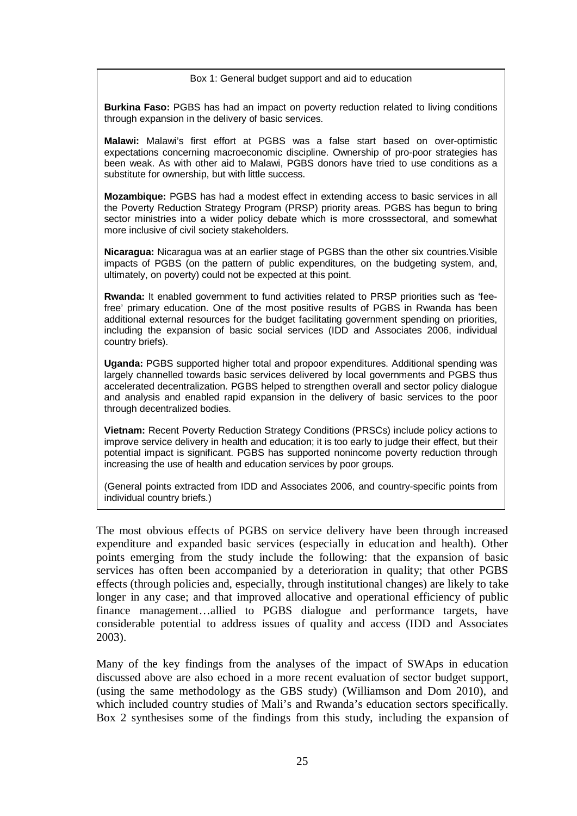### Box 1: General budget support and aid to education

**Burkina Faso:** PGBS has had an impact on poverty reduction related to living conditions through expansion in the delivery of basic services.

**Malawi:** Malawi's first effort at PGBS was a false start based on over-optimistic expectations concerning macroeconomic discipline. Ownership of pro-poor strategies has been weak. As with other aid to Malawi, PGBS donors have tried to use conditions as a substitute for ownership, but with little success.

**Mozambique:** PGBS has had a modest effect in extending access to basic services in all the Poverty Reduction Strategy Program (PRSP) priority areas. PGBS has begun to bring sector ministries into a wider policy debate which is more crosssectoral, and somewhat more inclusive of civil society stakeholders.

**Nicaragua:** Nicaragua was at an earlier stage of PGBS than the other six countries.Visible impacts of PGBS (on the pattern of public expenditures, on the budgeting system, and, ultimately, on poverty) could not be expected at this point.

**Rwanda:** It enabled government to fund activities related to PRSP priorities such as 'feefree' primary education. One of the most positive results of PGBS in Rwanda has been additional external resources for the budget facilitating government spending on priorities, including the expansion of basic social services (IDD and Associates 2006, individual country briefs).

**Uganda:** PGBS supported higher total and propoor expenditures. Additional spending was largely channelled towards basic services delivered by local governments and PGBS thus accelerated decentralization. PGBS helped to strengthen overall and sector policy dialogue and analysis and enabled rapid expansion in the delivery of basic services to the poor through decentralized bodies.

**Vietnam:** Recent Poverty Reduction Strategy Conditions (PRSCs) include policy actions to improve service delivery in health and education; it is too early to judge their effect, but their potential impact is significant. PGBS has supported nonincome poverty reduction through increasing the use of health and education services by poor groups.

(General points extracted from IDD and Associates 2006, and country-specific points from individual country briefs.)

The most obvious effects of PGBS on service delivery have been through increased expenditure and expanded basic services (especially in education and health). Other points emerging from the study include the following: that the expansion of basic services has often been accompanied by a deterioration in quality; that other PGBS effects (through policies and, especially, through institutional changes) are likely to take longer in any case; and that improved allocative and operational efficiency of public finance management…allied to PGBS dialogue and performance targets, have considerable potential to address issues of quality and access (IDD and Associates 2003).

Many of the key findings from the analyses of the impact of SWAps in education discussed above are also echoed in a more recent evaluation of sector budget support, (using the same methodology as the GBS study) (Williamson and Dom 2010), and which included country studies of Mali's and Rwanda's education sectors specifically. Box 2 synthesises some of the findings from this study, including the expansion of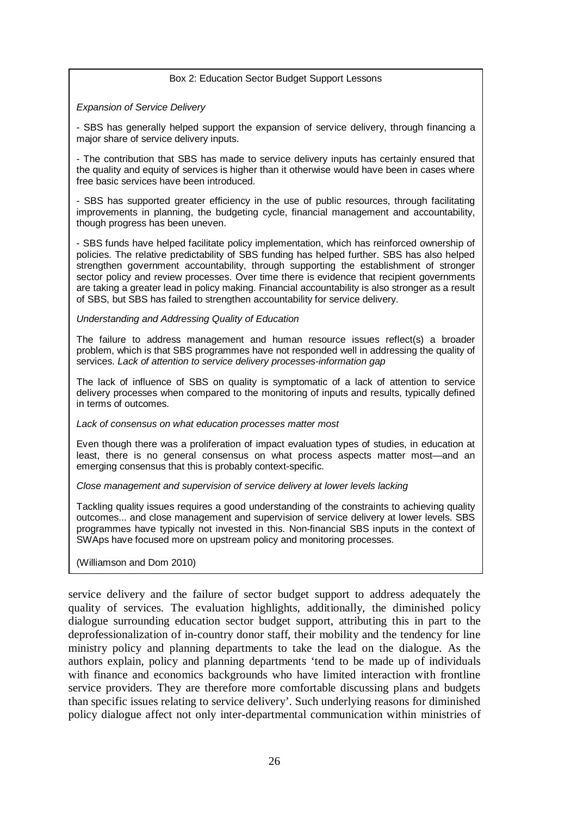#### Box 2: Education Sector Budget Support Lessons

#### *Expansion of Service Delivery*

- SBS has generally helped support the expansion of service delivery, through financing a major share of service delivery inputs.

- The contribution that SBS has made to service delivery inputs has certainly ensured that the quality and equity of services is higher than it otherwise would have been in cases where free basic services have been introduced.

- SBS has supported greater efficiency in the use of public resources, through facilitating improvements in planning, the budgeting cycle, financial management and accountability, though progress has been uneven.

- SBS funds have helped facilitate policy implementation, which has reinforced ownership of policies. The relative predictability of SBS funding has helped further. SBS has also helped strengthen government accountability, through supporting the establishment of stronger sector policy and review processes. Over time there is evidence that recipient governments are taking a greater lead in policy making. Financial accountability is also stronger as a result of SBS, but SBS has failed to strengthen accountability for service delivery.

#### *Understanding and Addressing Quality of Education*

The failure to address management and human resource issues reflect(s) a broader problem, which is that SBS programmes have not responded well in addressing the quality of services. *Lack of attention to service delivery processes-information gap* 

The lack of influence of SBS on quality is symptomatic of a lack of attention to service delivery processes when compared to the monitoring of inputs and results, typically defined in terms of outcomes.

#### *Lack of consensus on what education processes matter most*

Even though there was a proliferation of impact evaluation types of studies, in education at least, there is no general consensus on what process aspects matter most—and an emerging consensus that this is probably context-specific.

### *Close management and supervision of service delivery at lower levels lacking*

Tackling quality issues requires a good understanding of the constraints to achieving quality outcomes... and close management and supervision of service delivery at lower levels. SBS programmes have typically not invested in this. Non-financial SBS inputs in the context of SWAps have focused more on upstream policy and monitoring processes.

### (Williamson and Dom 2010)

service delivery and the failure of sector budget support to address adequately the quality of services. The evaluation highlights, additionally, the diminished policy dialogue surrounding education sector budget support, attributing this in part to the deprofessionalization of in-country donor staff, their mobility and the tendency for line ministry policy and planning departments to take the lead on the dialogue. As the authors explain, policy and planning departments 'tend to be made up of individuals with finance and economics backgrounds who have limited interaction with frontline service providers. They are therefore more comfortable discussing plans and budgets than specific issues relating to service delivery'. Such underlying reasons for diminished policy dialogue affect not only inter-departmental communication within ministries of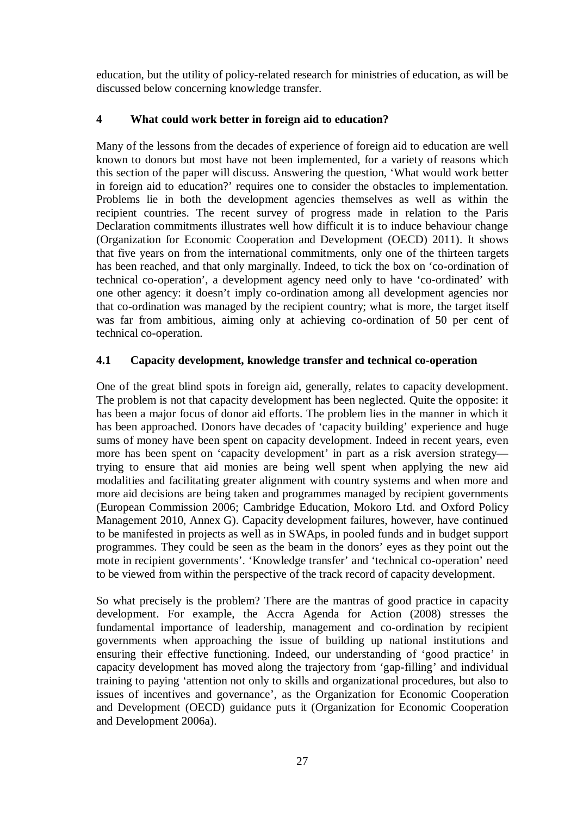education, but the utility of policy-related research for ministries of education, as will be discussed below concerning knowledge transfer.

# **4 What could work better in foreign aid to education?**

Many of the lessons from the decades of experience of foreign aid to education are well known to donors but most have not been implemented, for a variety of reasons which this section of the paper will discuss. Answering the question, 'What would work better in foreign aid to education?' requires one to consider the obstacles to implementation. Problems lie in both the development agencies themselves as well as within the recipient countries. The recent survey of progress made in relation to the Paris Declaration commitments illustrates well how difficult it is to induce behaviour change (Organization for Economic Cooperation and Development (OECD) 2011). It shows that five years on from the international commitments, only one of the thirteen targets has been reached, and that only marginally. Indeed, to tick the box on 'co-ordination of technical co-operation', a development agency need only to have 'co-ordinated' with one other agency: it doesn't imply co-ordination among all development agencies nor that co-ordination was managed by the recipient country; what is more, the target itself was far from ambitious, aiming only at achieving co-ordination of 50 per cent of technical co-operation.

# **4.1 Capacity development, knowledge transfer and technical co-operation**

One of the great blind spots in foreign aid, generally, relates to capacity development. The problem is not that capacity development has been neglected. Quite the opposite: it has been a major focus of donor aid efforts. The problem lies in the manner in which it has been approached. Donors have decades of 'capacity building' experience and huge sums of money have been spent on capacity development. Indeed in recent years, even more has been spent on 'capacity development' in part as a risk aversion strategy trying to ensure that aid monies are being well spent when applying the new aid modalities and facilitating greater alignment with country systems and when more and more aid decisions are being taken and programmes managed by recipient governments (European Commission 2006; Cambridge Education, Mokoro Ltd. and Oxford Policy Management 2010, Annex G). Capacity development failures, however, have continued to be manifested in projects as well as in SWAps, in pooled funds and in budget support programmes. They could be seen as the beam in the donors' eyes as they point out the mote in recipient governments'. 'Knowledge transfer' and 'technical co-operation' need to be viewed from within the perspective of the track record of capacity development.

So what precisely is the problem? There are the mantras of good practice in capacity development. For example, the Accra Agenda for Action (2008) stresses the fundamental importance of leadership, management and co-ordination by recipient governments when approaching the issue of building up national institutions and ensuring their effective functioning. Indeed, our understanding of 'good practice' in capacity development has moved along the trajectory from 'gap-filling' and individual training to paying 'attention not only to skills and organizational procedures, but also to issues of incentives and governance', as the Organization for Economic Cooperation and Development (OECD) guidance puts it (Organization for Economic Cooperation and Development 2006a).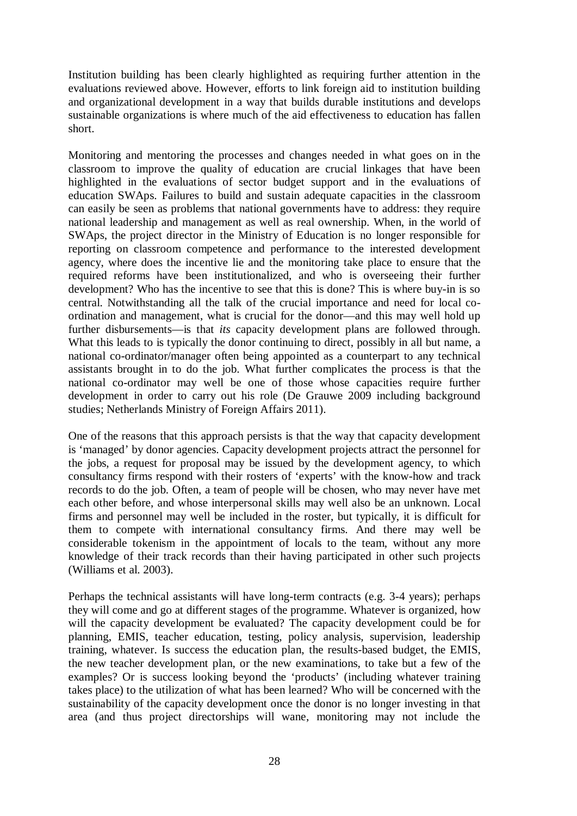Institution building has been clearly highlighted as requiring further attention in the evaluations reviewed above. However, efforts to link foreign aid to institution building and organizational development in a way that builds durable institutions and develops sustainable organizations is where much of the aid effectiveness to education has fallen short.

Monitoring and mentoring the processes and changes needed in what goes on in the classroom to improve the quality of education are crucial linkages that have been highlighted in the evaluations of sector budget support and in the evaluations of education SWAps. Failures to build and sustain adequate capacities in the classroom can easily be seen as problems that national governments have to address: they require national leadership and management as well as real ownership. When, in the world of SWAps, the project director in the Ministry of Education is no longer responsible for reporting on classroom competence and performance to the interested development agency, where does the incentive lie and the monitoring take place to ensure that the required reforms have been institutionalized, and who is overseeing their further development? Who has the incentive to see that this is done? This is where buy-in is so central. Notwithstanding all the talk of the crucial importance and need for local coordination and management, what is crucial for the donor—and this may well hold up further disbursements—is that *its* capacity development plans are followed through. What this leads to is typically the donor continuing to direct, possibly in all but name, a national co-ordinator/manager often being appointed as a counterpart to any technical assistants brought in to do the job. What further complicates the process is that the national co-ordinator may well be one of those whose capacities require further development in order to carry out his role (De Grauwe 2009 including background studies; Netherlands Ministry of Foreign Affairs 2011).

One of the reasons that this approach persists is that the way that capacity development is 'managed' by donor agencies. Capacity development projects attract the personnel for the jobs, a request for proposal may be issued by the development agency, to which consultancy firms respond with their rosters of 'experts' with the know-how and track records to do the job. Often, a team of people will be chosen, who may never have met each other before, and whose interpersonal skills may well also be an unknown. Local firms and personnel may well be included in the roster, but typically, it is difficult for them to compete with international consultancy firms. And there may well be considerable tokenism in the appointment of locals to the team, without any more knowledge of their track records than their having participated in other such projects (Williams et al. 2003).

Perhaps the technical assistants will have long-term contracts (e.g. 3-4 years); perhaps they will come and go at different stages of the programme. Whatever is organized, how will the capacity development be evaluated? The capacity development could be for planning, EMIS, teacher education, testing, policy analysis, supervision, leadership training, whatever. Is success the education plan, the results-based budget, the EMIS, the new teacher development plan, or the new examinations, to take but a few of the examples? Or is success looking beyond the 'products' (including whatever training takes place) to the utilization of what has been learned? Who will be concerned with the sustainability of the capacity development once the donor is no longer investing in that area (and thus project directorships will wane, monitoring may not include the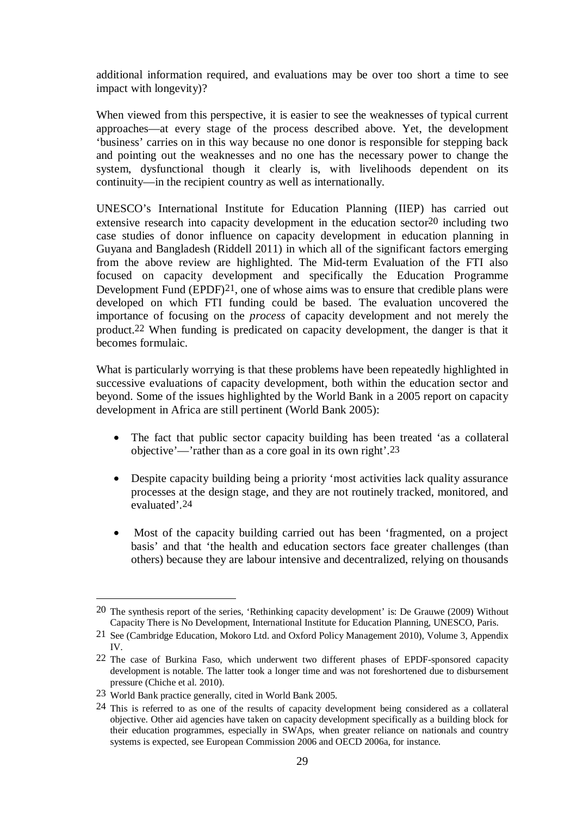additional information required, and evaluations may be over too short a time to see impact with longevity)?

When viewed from this perspective, it is easier to see the weaknesses of typical current approaches—at every stage of the process described above. Yet, the development 'business' carries on in this way because no one donor is responsible for stepping back and pointing out the weaknesses and no one has the necessary power to change the system, dysfunctional though it clearly is, with livelihoods dependent on its continuity—in the recipient country as well as internationally.

UNESCO's International Institute for Education Planning (IIEP) has carried out extensive research into capacity development in the education sector20 including two case studies of donor influence on capacity development in education planning in Guyana and Bangladesh (Riddell 2011) in which all of the significant factors emerging from the above review are highlighted. The Mid-term Evaluation of the FTI also focused on capacity development and specifically the Education Programme Development Fund (EPDF)21, one of whose aims was to ensure that credible plans were developed on which FTI funding could be based. The evaluation uncovered the importance of focusing on the *process* of capacity development and not merely the product.22 When funding is predicated on capacity development, the danger is that it becomes formulaic.

What is particularly worrying is that these problems have been repeatedly highlighted in successive evaluations of capacity development, both within the education sector and beyond. Some of the issues highlighted by the World Bank in a 2005 report on capacity development in Africa are still pertinent (World Bank 2005):

- The fact that public sector capacity building has been treated 'as a collateral objective'—'rather than as a core goal in its own right'.23
- Despite capacity building being a priority 'most activities lack quality assurance processes at the design stage, and they are not routinely tracked, monitored, and evaluated'.24
- Most of the capacity building carried out has been 'fragmented, on a project basis' and that 'the health and education sectors face greater challenges (than others) because they are labour intensive and decentralized, relying on thousands

<u>.</u>

<sup>20</sup> The synthesis report of the series, 'Rethinking capacity development' is: De Grauwe (2009) Without Capacity There is No Development, International Institute for Education Planning, UNESCO, Paris.

<sup>21</sup> See (Cambridge Education, Mokoro Ltd. and Oxford Policy Management 2010), Volume 3, Appendix IV.

<sup>22</sup> The case of Burkina Faso, which underwent two different phases of EPDF-sponsored capacity development is notable. The latter took a longer time and was not foreshortened due to disbursement pressure (Chiche et al. 2010).

<sup>23</sup> World Bank practice generally, cited in World Bank 2005.

<sup>24</sup> This is referred to as one of the results of capacity development being considered as a collateral objective. Other aid agencies have taken on capacity development specifically as a building block for their education programmes, especially in SWAps, when greater reliance on nationals and country systems is expected, see European Commission 2006 and OECD 2006a, for instance.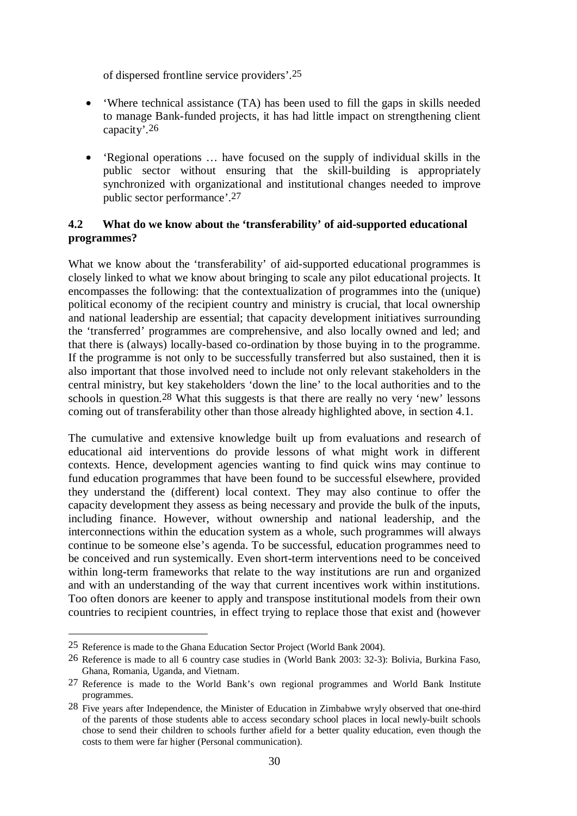of dispersed frontline service providers'.25

- Where technical assistance (TA) has been used to fill the gaps in skills needed to manage Bank-funded projects, it has had little impact on strengthening client capacity'.26
- 'Regional operations … have focused on the supply of individual skills in the public sector without ensuring that the skill-building is appropriately synchronized with organizational and institutional changes needed to improve public sector performance'.27

# **4.2 What do we know about the 'transferability' of aid-supported educational programmes?**

What we know about the 'transferability' of aid-supported educational programmes is closely linked to what we know about bringing to scale any pilot educational projects. It encompasses the following: that the contextualization of programmes into the (unique) political economy of the recipient country and ministry is crucial, that local ownership and national leadership are essential; that capacity development initiatives surrounding the 'transferred' programmes are comprehensive, and also locally owned and led; and that there is (always) locally-based co-ordination by those buying in to the programme. If the programme is not only to be successfully transferred but also sustained, then it is also important that those involved need to include not only relevant stakeholders in the central ministry, but key stakeholders 'down the line' to the local authorities and to the schools in question.<sup>28</sup> What this suggests is that there are really no very 'new' lessons coming out of transferability other than those already highlighted above, in section 4.1.

The cumulative and extensive knowledge built up from evaluations and research of educational aid interventions do provide lessons of what might work in different contexts. Hence, development agencies wanting to find quick wins may continue to fund education programmes that have been found to be successful elsewhere, provided they understand the (different) local context. They may also continue to offer the capacity development they assess as being necessary and provide the bulk of the inputs, including finance. However, without ownership and national leadership, and the interconnections within the education system as a whole, such programmes will always continue to be someone else's agenda. To be successful, education programmes need to be conceived and run systemically. Even short-term interventions need to be conceived within long-term frameworks that relate to the way institutions are run and organized and with an understanding of the way that current incentives work within institutions. Too often donors are keener to apply and transpose institutional models from their own countries to recipient countries, in effect trying to replace those that exist and (however

 $\overline{a}$ 

<sup>25</sup> Reference is made to the Ghana Education Sector Project (World Bank 2004).

<sup>26</sup> Reference is made to all 6 country case studies in (World Bank 2003: 32-3): Bolivia, Burkina Faso, Ghana, Romania, Uganda, and Vietnam.

<sup>27</sup> Reference is made to the World Bank's own regional programmes and World Bank Institute programmes.

<sup>28</sup> Five years after Independence, the Minister of Education in Zimbabwe wryly observed that one-third of the parents of those students able to access secondary school places in local newly-built schools chose to send their children to schools further afield for a better quality education, even though the costs to them were far higher (Personal communication).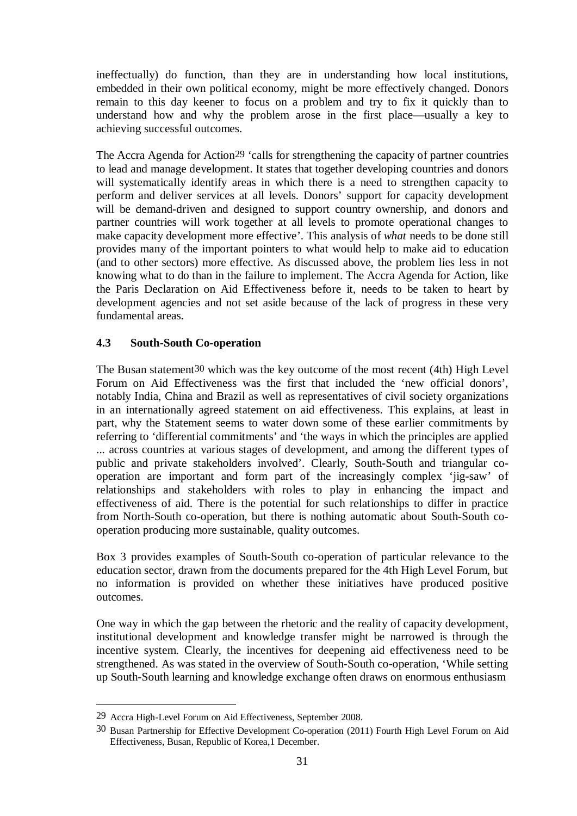ineffectually) do function, than they are in understanding how local institutions, embedded in their own political economy, might be more effectively changed. Donors remain to this day keener to focus on a problem and try to fix it quickly than to understand how and why the problem arose in the first place—usually a key to achieving successful outcomes.

The Accra Agenda for Action<sup>29</sup> 'calls for strengthening the capacity of partner countries to lead and manage development. It states that together developing countries and donors will systematically identify areas in which there is a need to strengthen capacity to perform and deliver services at all levels. Donors' support for capacity development will be demand-driven and designed to support country ownership, and donors and partner countries will work together at all levels to promote operational changes to make capacity development more effective'. This analysis of *what* needs to be done still provides many of the important pointers to what would help to make aid to education (and to other sectors) more effective. As discussed above, the problem lies less in not knowing what to do than in the failure to implement. The Accra Agenda for Action, like the Paris Declaration on Aid Effectiveness before it, needs to be taken to heart by development agencies and not set aside because of the lack of progress in these very fundamental areas.

## **4.3 South-South Co-operation**

The Busan statement30 which was the key outcome of the most recent (4th) High Level Forum on Aid Effectiveness was the first that included the 'new official donors', notably India, China and Brazil as well as representatives of civil society organizations in an internationally agreed statement on aid effectiveness. This explains, at least in part, why the Statement seems to water down some of these earlier commitments by referring to 'differential commitments' and 'the ways in which the principles are applied ... across countries at various stages of development, and among the different types of public and private stakeholders involved'. Clearly, South-South and triangular cooperation are important and form part of the increasingly complex 'jig-saw' of relationships and stakeholders with roles to play in enhancing the impact and effectiveness of aid. There is the potential for such relationships to differ in practice from North-South co-operation, but there is nothing automatic about South-South cooperation producing more sustainable, quality outcomes.

Box 3 provides examples of South-South co-operation of particular relevance to the education sector, drawn from the documents prepared for the 4th High Level Forum, but no information is provided on whether these initiatives have produced positive outcomes.

One way in which the gap between the rhetoric and the reality of capacity development, institutional development and knowledge transfer might be narrowed is through the incentive system. Clearly, the incentives for deepening aid effectiveness need to be strengthened. As was stated in the overview of South-South co-operation, 'While setting up South-South learning and knowledge exchange often draws on enormous enthusiasm

<u>.</u>

<sup>29</sup> Accra High-Level Forum on Aid Effectiveness, September 2008.

<sup>30</sup> Busan Partnership for Effective Development Co-operation (2011) Fourth High Level Forum on Aid Effectiveness, Busan, Republic of Korea,1 December.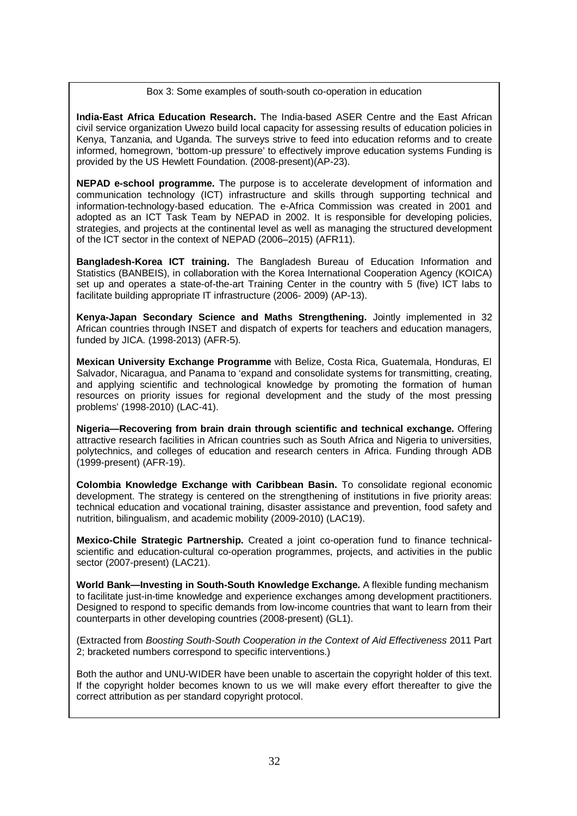Box 3: Some examples of south-south co-operation in education

**India-East Africa Education Research.** The India-based ASER Centre and the East African civil service organization Uwezo build local capacity for assessing results of education policies in Kenya, Tanzania, and Uganda. The surveys strive to feed into education reforms and to create informed, homegrown, 'bottom-up pressure' to effectively improve education systems Funding is provided by the US Hewlett Foundation. (2008-present)(AP-23).

**NEPAD e-school programme.** The purpose is to accelerate development of information and communication technology (ICT) infrastructure and skills through supporting technical and information-technology-based education. The e-Africa Commission was created in 2001 and adopted as an ICT Task Team by NEPAD in 2002. It is responsible for developing policies, strategies, and projects at the continental level as well as managing the structured development of the ICT sector in the context of NEPAD (2006–2015) (AFR11).

**Bangladesh-Korea ICT training.** The Bangladesh Bureau of Education Information and Statistics (BANBEIS), in collaboration with the Korea International Cooperation Agency (KOICA) set up and operates a state-of-the-art Training Center in the country with 5 (five) ICT labs to facilitate building appropriate IT infrastructure (2006- 2009) (AP-13).

**Kenya-Japan Secondary Science and Maths Strengthening.** Jointly implemented in 32 African countries through INSET and dispatch of experts for teachers and education managers, funded by JICA. (1998-2013) (AFR-5).

**Mexican University Exchange Programme** with Belize, Costa Rica, Guatemala, Honduras, El Salvador, Nicaragua, and Panama to 'expand and consolidate systems for transmitting, creating, and applying scientific and technological knowledge by promoting the formation of human resources on priority issues for regional development and the study of the most pressing problems' (1998-2010) (LAC-41).

**Nigeria—Recovering from brain drain through scientific and technical exchange.** Offering attractive research facilities in African countries such as South Africa and Nigeria to universities, polytechnics, and colleges of education and research centers in Africa. Funding through ADB (1999-present) (AFR-19).

**Colombia Knowledge Exchange with Caribbean Basin.** To consolidate regional economic development. The strategy is centered on the strengthening of institutions in five priority areas: technical education and vocational training, disaster assistance and prevention, food safety and nutrition, bilingualism, and academic mobility (2009-2010) (LAC19).

**Mexico-Chile Strategic Partnership.** Created a joint co-operation fund to finance technicalscientific and education-cultural co-operation programmes, projects, and activities in the public sector (2007-present) (LAC21).

**World Bank—Investing in South-South Knowledge Exchange.** A flexible funding mechanism to facilitate just-in-time knowledge and experience exchanges among development practitioners. Designed to respond to specific demands from low-income countries that want to learn from their counterparts in other developing countries (2008-present) (GL1).

(Extracted from *Boosting South-South Cooperation in the Context of Aid Effectiveness* 2011 Part 2; bracketed numbers correspond to specific interventions.)

Both the author and UNU-WIDER have been unable to ascertain the copyright holder of this text. If the copyright holder becomes known to us we will make every effort thereafter to give the correct attribution as per standard copyright protocol.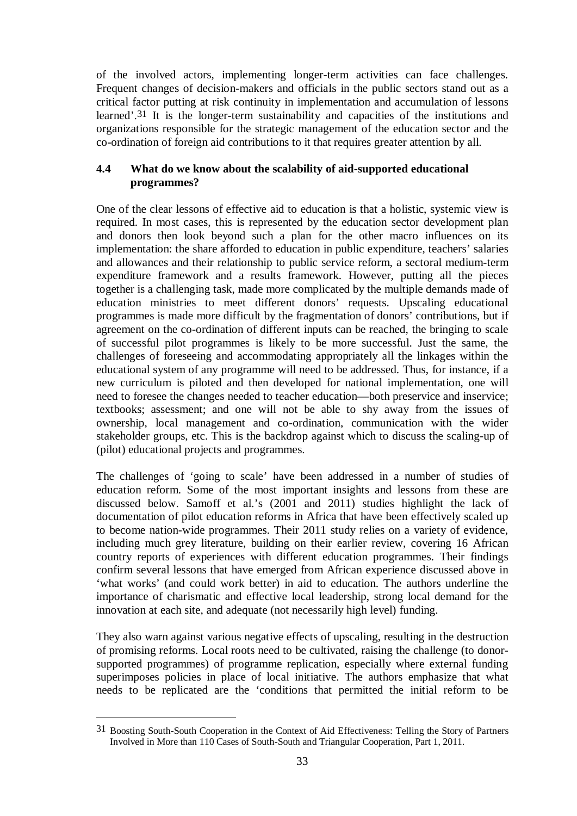of the involved actors, implementing longer-term activities can face challenges. Frequent changes of decision-makers and officials in the public sectors stand out as a critical factor putting at risk continuity in implementation and accumulation of lessons learned'.31 It is the longer-term sustainability and capacities of the institutions and organizations responsible for the strategic management of the education sector and the co-ordination of foreign aid contributions to it that requires greater attention by all.

## **4.4 What do we know about the scalability of aid-supported educational programmes?**

One of the clear lessons of effective aid to education is that a holistic, systemic view is required. In most cases, this is represented by the education sector development plan and donors then look beyond such a plan for the other macro influences on its implementation: the share afforded to education in public expenditure, teachers' salaries and allowances and their relationship to public service reform, a sectoral medium-term expenditure framework and a results framework. However, putting all the pieces together is a challenging task, made more complicated by the multiple demands made of education ministries to meet different donors' requests. Upscaling educational programmes is made more difficult by the fragmentation of donors' contributions, but if agreement on the co-ordination of different inputs can be reached, the bringing to scale of successful pilot programmes is likely to be more successful. Just the same, the challenges of foreseeing and accommodating appropriately all the linkages within the educational system of any programme will need to be addressed. Thus, for instance, if a new curriculum is piloted and then developed for national implementation, one will need to foresee the changes needed to teacher education—both preservice and inservice; textbooks; assessment; and one will not be able to shy away from the issues of ownership, local management and co-ordination, communication with the wider stakeholder groups, etc. This is the backdrop against which to discuss the scaling-up of (pilot) educational projects and programmes.

The challenges of 'going to scale' have been addressed in a number of studies of education reform. Some of the most important insights and lessons from these are discussed below. Samoff et al.'s (2001 and 2011) studies highlight the lack of documentation of pilot education reforms in Africa that have been effectively scaled up to become nation-wide programmes. Their 2011 study relies on a variety of evidence, including much grey literature, building on their earlier review, covering 16 African country reports of experiences with different education programmes. Their findings confirm several lessons that have emerged from African experience discussed above in 'what works' (and could work better) in aid to education. The authors underline the importance of charismatic and effective local leadership, strong local demand for the innovation at each site, and adequate (not necessarily high level) funding.

They also warn against various negative effects of upscaling, resulting in the destruction of promising reforms. Local roots need to be cultivated, raising the challenge (to donorsupported programmes) of programme replication, especially where external funding superimposes policies in place of local initiative. The authors emphasize that what needs to be replicated are the 'conditions that permitted the initial reform to be

1

<sup>31</sup> Boosting South-South Cooperation in the Context of Aid Effectiveness: Telling the Story of Partners Involved in More than 110 Cases of South-South and Triangular Cooperation, Part 1, 2011.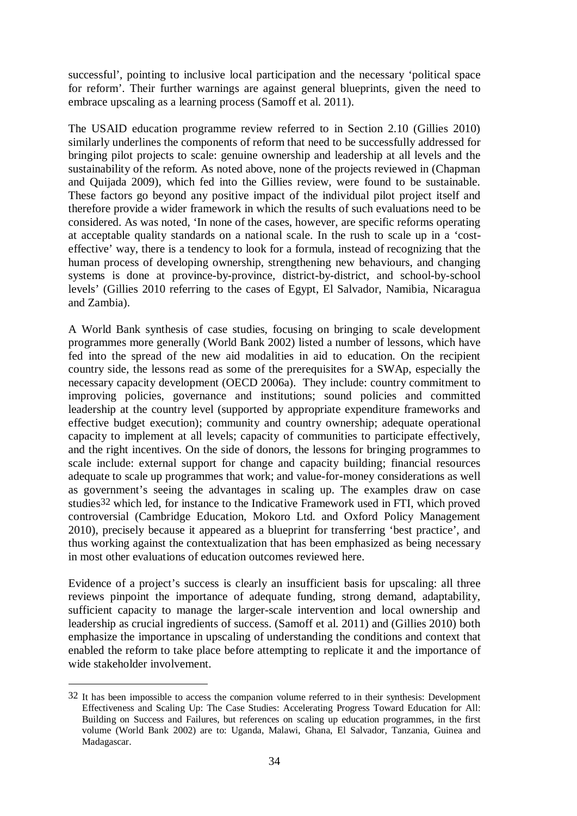successful', pointing to inclusive local participation and the necessary 'political space for reform'. Their further warnings are against general blueprints, given the need to embrace upscaling as a learning process (Samoff et al. 2011).

The USAID education programme review referred to in Section 2.10 (Gillies 2010) similarly underlines the components of reform that need to be successfully addressed for bringing pilot projects to scale: genuine ownership and leadership at all levels and the sustainability of the reform. As noted above, none of the projects reviewed in (Chapman and Quijada 2009), which fed into the Gillies review, were found to be sustainable. These factors go beyond any positive impact of the individual pilot project itself and therefore provide a wider framework in which the results of such evaluations need to be considered. As was noted, 'In none of the cases, however, are specific reforms operating at acceptable quality standards on a national scale. In the rush to scale up in a 'costeffective' way, there is a tendency to look for a formula, instead of recognizing that the human process of developing ownership, strengthening new behaviours, and changing systems is done at province-by-province, district-by-district, and school-by-school levels' (Gillies 2010 referring to the cases of Egypt, El Salvador, Namibia, Nicaragua and Zambia).

A World Bank synthesis of case studies, focusing on bringing to scale development programmes more generally (World Bank 2002) listed a number of lessons, which have fed into the spread of the new aid modalities in aid to education. On the recipient country side, the lessons read as some of the prerequisites for a SWAp, especially the necessary capacity development (OECD 2006a). They include: country commitment to improving policies, governance and institutions; sound policies and committed leadership at the country level (supported by appropriate expenditure frameworks and effective budget execution); community and country ownership; adequate operational capacity to implement at all levels; capacity of communities to participate effectively, and the right incentives. On the side of donors, the lessons for bringing programmes to scale include: external support for change and capacity building; financial resources adequate to scale up programmes that work; and value-for-money considerations as well as government's seeing the advantages in scaling up. The examples draw on case studies32 which led, for instance to the Indicative Framework used in FTI, which proved controversial (Cambridge Education, Mokoro Ltd. and Oxford Policy Management 2010), precisely because it appeared as a blueprint for transferring 'best practice', and thus working against the contextualization that has been emphasized as being necessary in most other evaluations of education outcomes reviewed here.

Evidence of a project's success is clearly an insufficient basis for upscaling: all three reviews pinpoint the importance of adequate funding, strong demand, adaptability, sufficient capacity to manage the larger-scale intervention and local ownership and leadership as crucial ingredients of success. (Samoff et al. 2011) and (Gillies 2010) both emphasize the importance in upscaling of understanding the conditions and context that enabled the reform to take place before attempting to replicate it and the importance of wide stakeholder involvement.

 $\overline{a}$ 

<sup>32</sup> It has been impossible to access the companion volume referred to in their synthesis: Development Effectiveness and Scaling Up: The Case Studies: Accelerating Progress Toward Education for All: Building on Success and Failures, but references on scaling up education programmes, in the first volume (World Bank 2002) are to: Uganda, Malawi, Ghana, El Salvador, Tanzania, Guinea and Madagascar.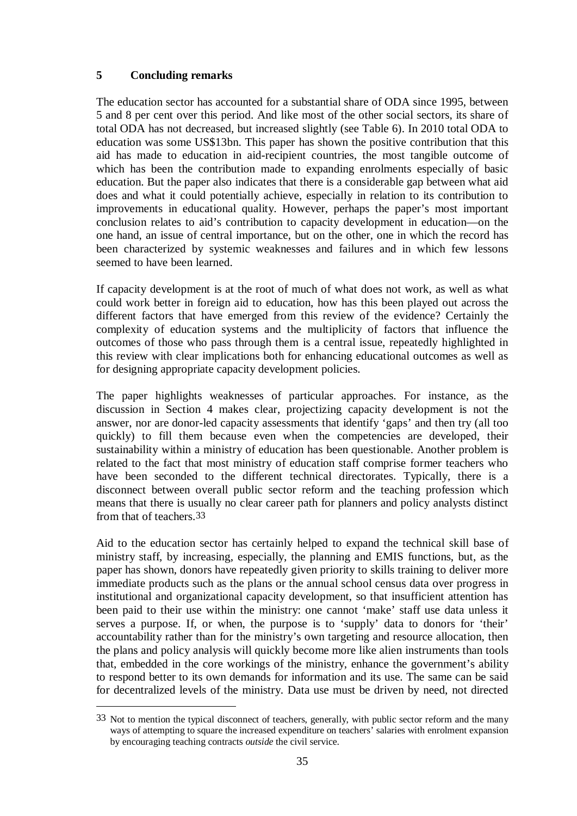## **5 Concluding remarks**

<u>.</u>

The education sector has accounted for a substantial share of ODA since 1995, between 5 and 8 per cent over this period. And like most of the other social sectors, its share of total ODA has not decreased, but increased slightly (see Table 6). In 2010 total ODA to education was some US\$13bn. This paper has shown the positive contribution that this aid has made to education in aid-recipient countries, the most tangible outcome of which has been the contribution made to expanding enrolments especially of basic education. But the paper also indicates that there is a considerable gap between what aid does and what it could potentially achieve, especially in relation to its contribution to improvements in educational quality. However, perhaps the paper's most important conclusion relates to aid's contribution to capacity development in education—on the one hand, an issue of central importance, but on the other, one in which the record has been characterized by systemic weaknesses and failures and in which few lessons seemed to have been learned.

If capacity development is at the root of much of what does not work, as well as what could work better in foreign aid to education, how has this been played out across the different factors that have emerged from this review of the evidence? Certainly the complexity of education systems and the multiplicity of factors that influence the outcomes of those who pass through them is a central issue, repeatedly highlighted in this review with clear implications both for enhancing educational outcomes as well as for designing appropriate capacity development policies.

The paper highlights weaknesses of particular approaches. For instance, as the discussion in Section 4 makes clear, projectizing capacity development is not the answer, nor are donor-led capacity assessments that identify 'gaps' and then try (all too quickly) to fill them because even when the competencies are developed, their sustainability within a ministry of education has been questionable. Another problem is related to the fact that most ministry of education staff comprise former teachers who have been seconded to the different technical directorates. Typically, there is a disconnect between overall public sector reform and the teaching profession which means that there is usually no clear career path for planners and policy analysts distinct from that of teachers 33

Aid to the education sector has certainly helped to expand the technical skill base of ministry staff, by increasing, especially, the planning and EMIS functions, but, as the paper has shown, donors have repeatedly given priority to skills training to deliver more immediate products such as the plans or the annual school census data over progress in institutional and organizational capacity development, so that insufficient attention has been paid to their use within the ministry: one cannot 'make' staff use data unless it serves a purpose. If, or when, the purpose is to 'supply' data to donors for 'their' accountability rather than for the ministry's own targeting and resource allocation, then the plans and policy analysis will quickly become more like alien instruments than tools that, embedded in the core workings of the ministry, enhance the government's ability to respond better to its own demands for information and its use. The same can be said for decentralized levels of the ministry. Data use must be driven by need, not directed

<sup>33</sup> Not to mention the typical disconnect of teachers, generally, with public sector reform and the many ways of attempting to square the increased expenditure on teachers' salaries with enrolment expansion by encouraging teaching contracts *outside* the civil service.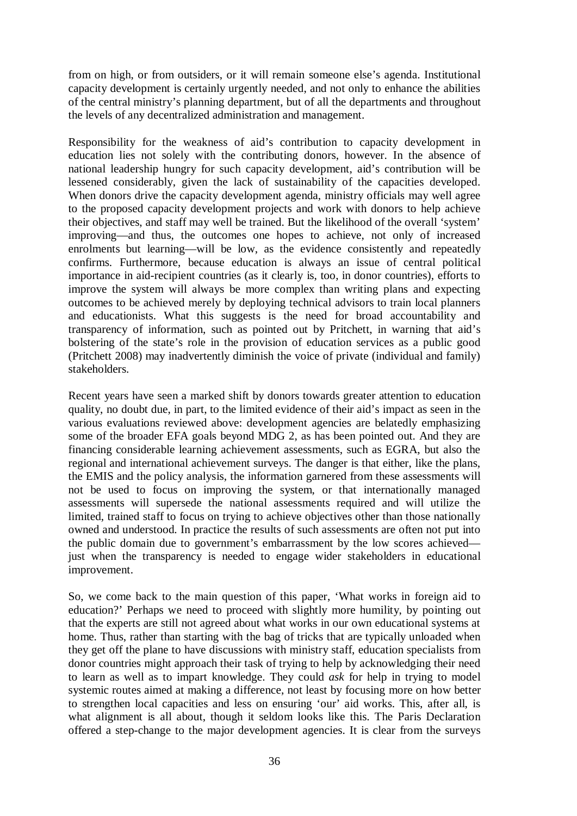from on high, or from outsiders, or it will remain someone else's agenda. Institutional capacity development is certainly urgently needed, and not only to enhance the abilities of the central ministry's planning department, but of all the departments and throughout the levels of any decentralized administration and management.

Responsibility for the weakness of aid's contribution to capacity development in education lies not solely with the contributing donors, however. In the absence of national leadership hungry for such capacity development, aid's contribution will be lessened considerably, given the lack of sustainability of the capacities developed. When donors drive the capacity development agenda, ministry officials may well agree to the proposed capacity development projects and work with donors to help achieve their objectives, and staff may well be trained. But the likelihood of the overall 'system' improving—and thus, the outcomes one hopes to achieve, not only of increased enrolments but learning—will be low, as the evidence consistently and repeatedly confirms. Furthermore, because education is always an issue of central political importance in aid-recipient countries (as it clearly is, too, in donor countries), efforts to improve the system will always be more complex than writing plans and expecting outcomes to be achieved merely by deploying technical advisors to train local planners and educationists. What this suggests is the need for broad accountability and transparency of information, such as pointed out by Pritchett, in warning that aid's bolstering of the state's role in the provision of education services as a public good (Pritchett 2008) may inadvertently diminish the voice of private (individual and family) stakeholders.

Recent years have seen a marked shift by donors towards greater attention to education quality, no doubt due, in part, to the limited evidence of their aid's impact as seen in the various evaluations reviewed above: development agencies are belatedly emphasizing some of the broader EFA goals beyond MDG 2, as has been pointed out. And they are financing considerable learning achievement assessments, such as EGRA, but also the regional and international achievement surveys. The danger is that either, like the plans, the EMIS and the policy analysis, the information garnered from these assessments will not be used to focus on improving the system, or that internationally managed assessments will supersede the national assessments required and will utilize the limited, trained staff to focus on trying to achieve objectives other than those nationally owned and understood. In practice the results of such assessments are often not put into the public domain due to government's embarrassment by the low scores achieved just when the transparency is needed to engage wider stakeholders in educational improvement.

So, we come back to the main question of this paper, 'What works in foreign aid to education?' Perhaps we need to proceed with slightly more humility, by pointing out that the experts are still not agreed about what works in our own educational systems at home. Thus, rather than starting with the bag of tricks that are typically unloaded when they get off the plane to have discussions with ministry staff, education specialists from donor countries might approach their task of trying to help by acknowledging their need to learn as well as to impart knowledge. They could *ask* for help in trying to model systemic routes aimed at making a difference, not least by focusing more on how better to strengthen local capacities and less on ensuring 'our' aid works. This, after all, is what alignment is all about, though it seldom looks like this. The Paris Declaration offered a step-change to the major development agencies. It is clear from the surveys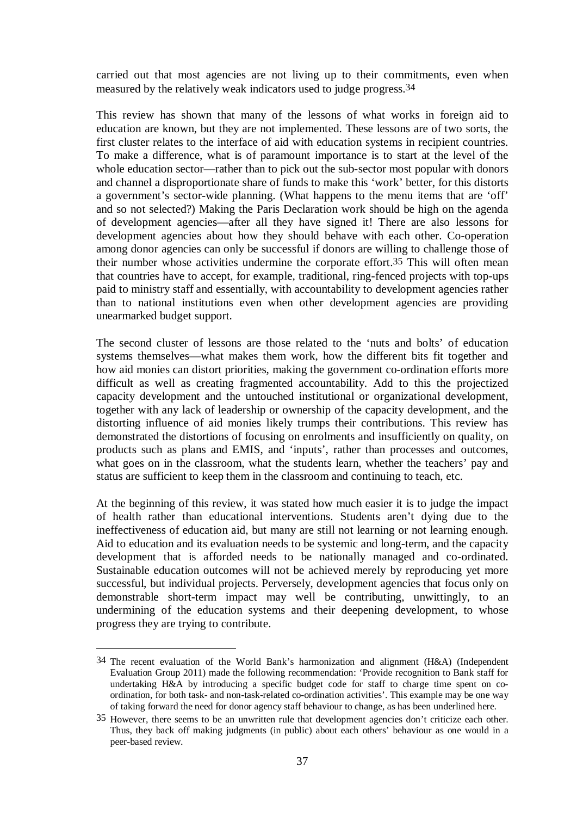carried out that most agencies are not living up to their commitments, even when measured by the relatively weak indicators used to judge progress.34

This review has shown that many of the lessons of what works in foreign aid to education are known, but they are not implemented. These lessons are of two sorts, the first cluster relates to the interface of aid with education systems in recipient countries. To make a difference, what is of paramount importance is to start at the level of the whole education sector—rather than to pick out the sub-sector most popular with donors and channel a disproportionate share of funds to make this 'work' better, for this distorts a government's sector-wide planning. (What happens to the menu items that are 'off' and so not selected?) Making the Paris Declaration work should be high on the agenda of development agencies—after all they have signed it! There are also lessons for development agencies about how they should behave with each other. Co-operation among donor agencies can only be successful if donors are willing to challenge those of their number whose activities undermine the corporate effort.35 This will often mean that countries have to accept, for example, traditional, ring-fenced projects with top-ups paid to ministry staff and essentially, with accountability to development agencies rather than to national institutions even when other development agencies are providing unearmarked budget support.

The second cluster of lessons are those related to the 'nuts and bolts' of education systems themselves—what makes them work, how the different bits fit together and how aid monies can distort priorities, making the government co-ordination efforts more difficult as well as creating fragmented accountability. Add to this the projectized capacity development and the untouched institutional or organizational development, together with any lack of leadership or ownership of the capacity development, and the distorting influence of aid monies likely trumps their contributions. This review has demonstrated the distortions of focusing on enrolments and insufficiently on quality, on products such as plans and EMIS, and 'inputs', rather than processes and outcomes, what goes on in the classroom, what the students learn, whether the teachers' pay and status are sufficient to keep them in the classroom and continuing to teach, etc.

At the beginning of this review, it was stated how much easier it is to judge the impact of health rather than educational interventions. Students aren't dying due to the ineffectiveness of education aid, but many are still not learning or not learning enough. Aid to education and its evaluation needs to be systemic and long-term, and the capacity development that is afforded needs to be nationally managed and co-ordinated. Sustainable education outcomes will not be achieved merely by reproducing yet more successful, but individual projects. Perversely, development agencies that focus only on demonstrable short-term impact may well be contributing, unwittingly, to an undermining of the education systems and their deepening development, to whose progress they are trying to contribute.

<u>.</u>

<sup>34</sup> The recent evaluation of the World Bank's harmonization and alignment (H&A) (Independent Evaluation Group 2011) made the following recommendation: 'Provide recognition to Bank staff for undertaking H&A by introducing a specific budget code for staff to charge time spent on coordination, for both task- and non-task-related co-ordination activities'. This example may be one way of taking forward the need for donor agency staff behaviour to change, as has been underlined here.

<sup>35</sup> However, there seems to be an unwritten rule that development agencies don't criticize each other. Thus, they back off making judgments (in public) about each others' behaviour as one would in a peer-based review.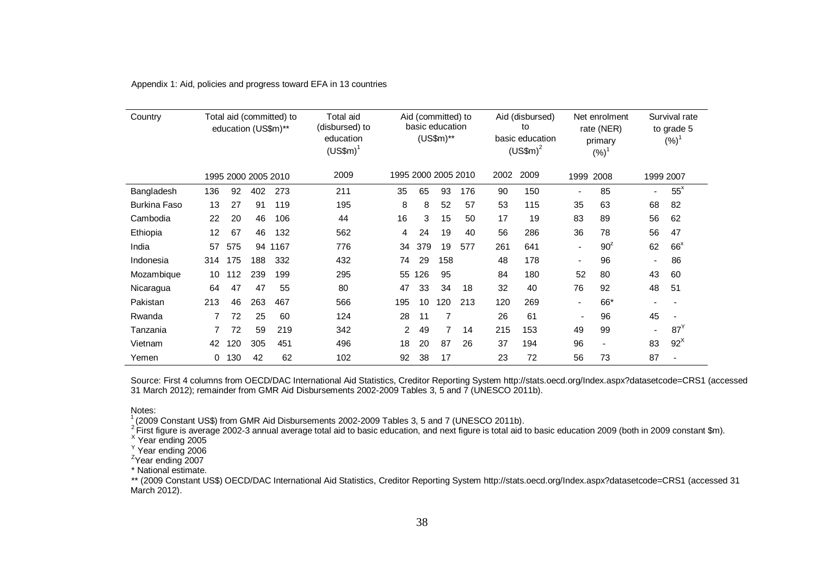| Country             |     |     | education (US\$m)** | Total aid (committed) to | Total aid<br>(disbursed) to<br>education<br>$(USSm)^{1}$ |     |     | Aid (committed) to<br>basic education<br>$(US$m)*$ |     |      | Aid (disbursed)<br>to<br>basic education<br>$(USSm)^2$ |                          | Net enrolment<br>rate (NER)<br>primary<br>$(%)^1$ |                | Survival rate<br>to grade 5<br>$(\%)$ |
|---------------------|-----|-----|---------------------|--------------------------|----------------------------------------------------------|-----|-----|----------------------------------------------------|-----|------|--------------------------------------------------------|--------------------------|---------------------------------------------------|----------------|---------------------------------------|
|                     |     |     | 1995 2000 2005 2010 |                          | 2009                                                     |     |     | 1995 2000 2005 2010                                |     | 2002 | 2009                                                   | 1999                     | 2008                                              |                | 1999 2007                             |
| Bangladesh          | 136 | 92  | 402                 | 273                      | 211                                                      | 35  | 65  | 93                                                 | 176 | 90   | 150                                                    | $\overline{\phantom{a}}$ | 85                                                | ۰              | $55^x$                                |
| <b>Burkina Faso</b> | 13  | 27  | 91                  | 119                      | 195                                                      | 8   | 8   | 52                                                 | 57  | 53   | 115                                                    | 35                       | 63                                                | 68             | 82                                    |
| Cambodia            | 22  | 20  | 46                  | 106                      | 44                                                       | 16  | 3   | 15                                                 | 50  | 17   | 19                                                     | 83                       | 89                                                | 56             | 62                                    |
| Ethiopia            | 12  | 67  | 46                  | 132                      | 562                                                      | 4   | 24  | 19                                                 | 40  | 56   | 286                                                    | 36                       | 78                                                | 56             | 47                                    |
| India               | 57  | 575 | 94                  | 1167                     | 776                                                      | 34  | 379 | 19                                                 | 577 | 261  | 641                                                    | $\overline{\phantom{a}}$ | $90^2$                                            | 62             | $66^x$                                |
| Indonesia           | 314 | 175 | 188                 | 332                      | 432                                                      | 74  | 29  | 158                                                |     | 48   | 178                                                    | $\overline{\phantom{a}}$ | 96                                                | $\blacksquare$ | 86                                    |
| Mozambique          | 10  | 112 | 239                 | 199                      | 295                                                      | 55  | 126 | 95                                                 |     | 84   | 180                                                    | 52                       | 80                                                | 43             | 60                                    |
| Nicaragua           | 64  | 47  | 47                  | 55                       | 80                                                       | 47  | 33  | 34                                                 | 18  | 32   | 40                                                     | 76                       | 92                                                | 48             | 51                                    |
| Pakistan            | 213 | 46  | 263                 | 467                      | 566                                                      | 195 | 10  | 120                                                | 213 | 120  | 269                                                    | $\blacksquare$           | 66*                                               |                |                                       |
| Rwanda              | 7   | 72  | 25                  | 60                       | 124                                                      | 28  | 11  | $\overline{7}$                                     |     | 26   | 61                                                     | $\overline{\phantom{a}}$ | 96                                                | 45             |                                       |
| Tanzania            |     | 72  | 59                  | 219                      | 342                                                      | 2   | 49  | 7                                                  | 14  | 215  | 153                                                    | 49                       | 99                                                |                | 87 <sup>Y</sup>                       |
| Vietnam             | 42  | 120 | 305                 | 451                      | 496                                                      | 18  | 20  | 87                                                 | 26  | 37   | 194                                                    | 96                       | $\overline{\phantom{a}}$                          | 83             | $92^{\text{X}}$                       |
| Yemen               | 0   | 130 | 42                  | 62                       | 102                                                      | 92  | 38  | 17                                                 |     | 23   | 72                                                     | 56                       | 73                                                | 87             |                                       |

Appendix 1: Aid, policies and progress toward EFA in 13 countries

Source: First 4 columns from OECD/DAC International Aid Statistics, Creditor Reporting System http://stats.oecd.org/Index.aspx?datasetcode=CRS1 (accessed 31 March 2012); remainder from GMR Aid Disbursements 2002-2009 Tables 3, 5 and 7 (UNESCO 2011b).

Notes:

<sup>1</sup> (2009 Constant US\$) from GMR Aid Disbursements 2002-2009 Tables 3, 5 and 7 (UNESCO 2011b).<br><sup>2</sup> First figure is average 2002-3 annual average total aid to basic education, and next figure is total aid to basic education

\* National estimate.

\*\* (2009 Constant US\$) OECD/DAC International Aid Statistics, Creditor Reporting System http://stats.oecd.org/Index.aspx?datasetcode=CRS1 (accessed 31 March 2012).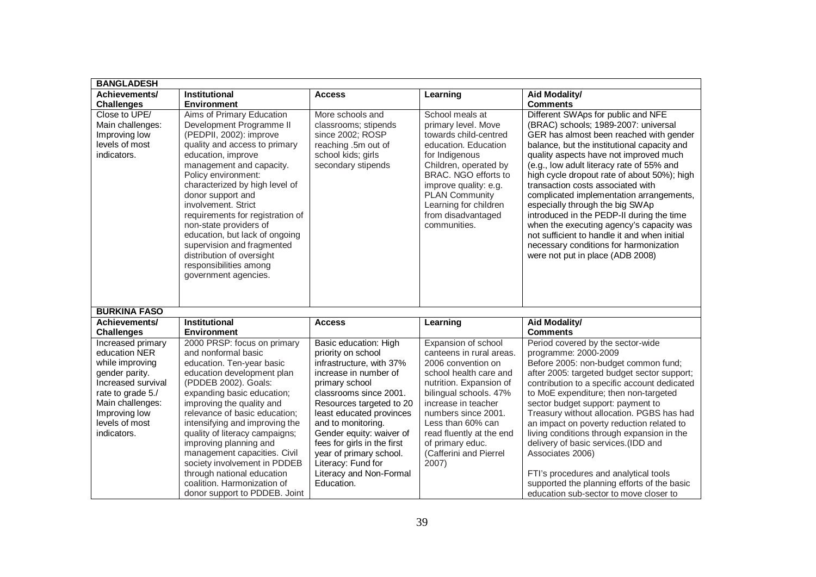| <b>BANGLADESH</b>                                                                                                                                                                        |                                                                                                                                                                                                                                                                                                                                                                                                                                                                                               |                                                                                                                                                                                                                                                                                                                                                                                 |                                                                                                                                                                                                                                                                                                            |                                                                                                                                                                                                                                                                                                                                                                                                                                                                                                                                                                                                                                                       |
|------------------------------------------------------------------------------------------------------------------------------------------------------------------------------------------|-----------------------------------------------------------------------------------------------------------------------------------------------------------------------------------------------------------------------------------------------------------------------------------------------------------------------------------------------------------------------------------------------------------------------------------------------------------------------------------------------|---------------------------------------------------------------------------------------------------------------------------------------------------------------------------------------------------------------------------------------------------------------------------------------------------------------------------------------------------------------------------------|------------------------------------------------------------------------------------------------------------------------------------------------------------------------------------------------------------------------------------------------------------------------------------------------------------|-------------------------------------------------------------------------------------------------------------------------------------------------------------------------------------------------------------------------------------------------------------------------------------------------------------------------------------------------------------------------------------------------------------------------------------------------------------------------------------------------------------------------------------------------------------------------------------------------------------------------------------------------------|
| Achievements/                                                                                                                                                                            | Institutional                                                                                                                                                                                                                                                                                                                                                                                                                                                                                 | <b>Access</b>                                                                                                                                                                                                                                                                                                                                                                   | Learning                                                                                                                                                                                                                                                                                                   | <b>Aid Modality/</b>                                                                                                                                                                                                                                                                                                                                                                                                                                                                                                                                                                                                                                  |
| <b>Challenges</b>                                                                                                                                                                        | <b>Environment</b>                                                                                                                                                                                                                                                                                                                                                                                                                                                                            |                                                                                                                                                                                                                                                                                                                                                                                 |                                                                                                                                                                                                                                                                                                            | <b>Comments</b>                                                                                                                                                                                                                                                                                                                                                                                                                                                                                                                                                                                                                                       |
| Close to UPE/<br>Main challenges:<br>Improving low<br>levels of most<br>indicators.                                                                                                      | Aims of Primary Education<br>Development Programme II<br>(PEDPII, 2002): improve<br>quality and access to primary<br>education, improve<br>management and capacity.<br>Policy environment:<br>characterized by high level of<br>donor support and<br>involvement. Strict<br>requirements for registration of<br>non-state providers of<br>education, but lack of ongoing<br>supervision and fragmented<br>distribution of oversight<br>responsibilities among<br>government agencies.         | More schools and<br>classrooms; stipends<br>since 2002; ROSP<br>reaching .5m out of<br>school kids; girls<br>secondary stipends                                                                                                                                                                                                                                                 | School meals at<br>primary level. Move<br>towards child-centred<br>education. Education<br>for Indigenous<br>Children, operated by<br>BRAC. NGO efforts to<br>improve quality: e.g.<br><b>PLAN Community</b><br>Learning for children<br>from disadvantaged<br>communities.                                | Different SWAps for public and NFE<br>(BRAC) schools; 1989-2007: universal<br>GER has almost been reached with gender<br>balance, but the institutional capacity and<br>quality aspects have not improved much<br>(e.g., low adult literacy rate of 55% and<br>high cycle dropout rate of about 50%); high<br>transaction costs associated with<br>complicated implementation arrangements,<br>especially through the big SWAp<br>introduced in the PEDP-II during the time<br>when the executing agency's capacity was<br>not sufficient to handle it and when initial<br>necessary conditions for harmonization<br>were not put in place (ADB 2008) |
| <b>BURKINA FASO</b>                                                                                                                                                                      |                                                                                                                                                                                                                                                                                                                                                                                                                                                                                               |                                                                                                                                                                                                                                                                                                                                                                                 |                                                                                                                                                                                                                                                                                                            |                                                                                                                                                                                                                                                                                                                                                                                                                                                                                                                                                                                                                                                       |
| Achievements/<br><b>Challenges</b>                                                                                                                                                       | Institutional<br><b>Environment</b>                                                                                                                                                                                                                                                                                                                                                                                                                                                           | <b>Access</b>                                                                                                                                                                                                                                                                                                                                                                   | Learning                                                                                                                                                                                                                                                                                                   | <b>Aid Modality/</b><br><b>Comments</b>                                                                                                                                                                                                                                                                                                                                                                                                                                                                                                                                                                                                               |
| Increased primary<br>education NER<br>while improving<br>gender parity.<br>Increased survival<br>rate to grade 5./<br>Main challenges:<br>Improving low<br>levels of most<br>indicators. | 2000 PRSP: focus on primary<br>and nonformal basic<br>education. Ten-year basic<br>education development plan<br>(PDDEB 2002). Goals:<br>expanding basic education;<br>improving the quality and<br>relevance of basic education;<br>intensifying and improving the<br>quality of literacy campaigns;<br>improving planning and<br>management capacities. Civil<br>society involvement in PDDEB<br>through national education<br>coalition. Harmonization of<br>donor support to PDDEB. Joint | Basic education: High<br>priority on school<br>infrastructure, with 37%<br>increase in number of<br>primary school<br>classrooms since 2001.<br>Resources targeted to 20<br>least educated provinces<br>and to monitoring.<br>Gender equity: waiver of<br>fees for girls in the first<br>year of primary school.<br>Literacy: Fund for<br>Literacy and Non-Formal<br>Education. | Expansion of school<br>canteens in rural areas.<br>2006 convention on<br>school health care and<br>nutrition. Expansion of<br>bilingual schools. 47%<br>increase in teacher<br>numbers since 2001.<br>Less than 60% can<br>read fluently at the end<br>of primary educ.<br>(Cafferini and Pierrel<br>2007) | Period covered by the sector-wide<br>programme: 2000-2009<br>Before 2005: non-budget common fund;<br>after 2005: targeted budget sector support;<br>contribution to a specific account dedicated<br>to MoE expenditure; then non-targeted<br>sector budget support: payment to<br>Treasury without allocation. PGBS has had<br>an impact on poverty reduction related to<br>living conditions through expansion in the<br>delivery of basic services. (IDD and<br>Associates 2006)<br>FTI's procedures and analytical tools<br>supported the planning efforts of the basic<br>education sub-sector to move closer to                                  |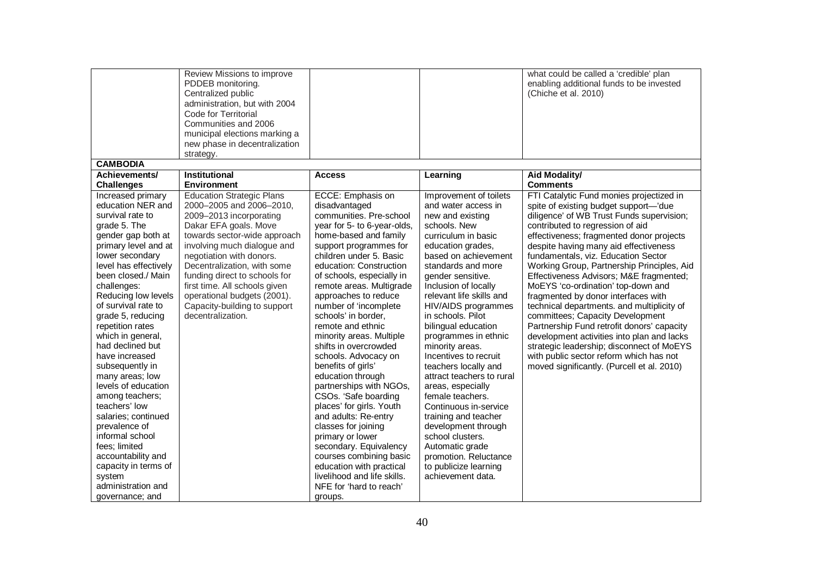|                                         | Review Missions to improve<br>PDDEB monitoring.<br>Centralized public<br>administration, but with 2004<br>Code for Territorial<br>Communities and 2006<br>municipal elections marking a<br>new phase in decentralization<br>strategy. |                                                   |                                           | what could be called a 'credible' plan<br>enabling additional funds to be invested<br>(Chiche et al. 2010) |
|-----------------------------------------|---------------------------------------------------------------------------------------------------------------------------------------------------------------------------------------------------------------------------------------|---------------------------------------------------|-------------------------------------------|------------------------------------------------------------------------------------------------------------|
| <b>CAMBODIA</b>                         |                                                                                                                                                                                                                                       |                                                   |                                           |                                                                                                            |
| Achievements/<br><b>Challenges</b>      | <b>Institutional</b><br><b>Environment</b>                                                                                                                                                                                            | <b>Access</b>                                     | Learning                                  | Aid Modality/<br><b>Comments</b>                                                                           |
| Increased primary                       | <b>Education Strategic Plans</b>                                                                                                                                                                                                      | ECCE: Emphasis on                                 | Improvement of toilets                    | FTI Catalytic Fund monies projectized in                                                                   |
| education NER and                       | 2000-2005 and 2006-2010,                                                                                                                                                                                                              | disadvantaged                                     | and water access in                       | spite of existing budget support-'due                                                                      |
| survival rate to                        | 2009-2013 incorporating                                                                                                                                                                                                               | communities. Pre-school                           | new and existing                          | diligence' of WB Trust Funds supervision;                                                                  |
| grade 5. The                            | Dakar EFA goals. Move                                                                                                                                                                                                                 | year for 5- to 6-year-olds,                       | schools. New                              | contributed to regression of aid                                                                           |
| gender gap both at                      | towards sector-wide approach                                                                                                                                                                                                          | home-based and family                             | curriculum in basic                       | effectiveness; fragmented donor projects                                                                   |
| primary level and at<br>lower secondary | involving much dialogue and<br>negotiation with donors.                                                                                                                                                                               | support programmes for<br>children under 5. Basic | education grades,<br>based on achievement | despite having many aid effectiveness<br>fundamentals, viz. Education Sector                               |
| level has effectively                   | Decentralization, with some                                                                                                                                                                                                           | education: Construction                           | standards and more                        | Working Group, Partnership Principles, Aid                                                                 |
| been closed./ Main                      | funding direct to schools for                                                                                                                                                                                                         | of schools, especially in                         | gender sensitive.                         | Effectiveness Advisors; M&E fragmented;                                                                    |
| challenges:                             | first time. All schools given                                                                                                                                                                                                         | remote areas. Multigrade                          | Inclusion of locally                      | MoEYS 'co-ordination' top-down and                                                                         |
| Reducing low levels                     | operational budgets (2001).                                                                                                                                                                                                           | approaches to reduce                              | relevant life skills and                  | fragmented by donor interfaces with                                                                        |
| of survival rate to                     | Capacity-building to support                                                                                                                                                                                                          | number of 'incomplete                             | HIV/AIDS programmes                       | technical departments. and multiplicity of                                                                 |
| grade 5, reducing                       | decentralization.                                                                                                                                                                                                                     | schools' in border.                               | in schools. Pilot                         | committees; Capacity Development                                                                           |
| repetition rates                        |                                                                                                                                                                                                                                       | remote and ethnic                                 | bilingual education                       | Partnership Fund retrofit donors' capacity                                                                 |
| which in general,<br>had declined but   |                                                                                                                                                                                                                                       | minority areas. Multiple<br>shifts in overcrowded | programmes in ethnic<br>minority areas.   | development activities into plan and lacks<br>strategic leadership; disconnect of MoEYS                    |
| have increased                          |                                                                                                                                                                                                                                       | schools. Advocacy on                              | Incentives to recruit                     | with public sector reform which has not                                                                    |
| subsequently in                         |                                                                                                                                                                                                                                       | benefits of girls'                                | teachers locally and                      | moved significantly. (Purcell et al. 2010)                                                                 |
| many areas; low                         |                                                                                                                                                                                                                                       | education through                                 | attract teachers to rural                 |                                                                                                            |
| levels of education                     |                                                                                                                                                                                                                                       | partnerships with NGOs,                           | areas, especially                         |                                                                                                            |
| among teachers;                         |                                                                                                                                                                                                                                       | CSOs. 'Safe boarding                              | female teachers.                          |                                                                                                            |
| teachers' low                           |                                                                                                                                                                                                                                       | places' for girls. Youth                          | Continuous in-service                     |                                                                                                            |
| salaries; continued                     |                                                                                                                                                                                                                                       | and adults: Re-entry                              | training and teacher                      |                                                                                                            |
| prevalence of                           |                                                                                                                                                                                                                                       | classes for joining                               | development through                       |                                                                                                            |
| informal school<br>fees; limited        |                                                                                                                                                                                                                                       | primary or lower<br>secondary. Equivalency        | school clusters.<br>Automatic grade       |                                                                                                            |
| accountability and                      |                                                                                                                                                                                                                                       | courses combining basic                           | promotion. Reluctance                     |                                                                                                            |
| capacity in terms of                    |                                                                                                                                                                                                                                       | education with practical                          | to publicize learning                     |                                                                                                            |
| system                                  |                                                                                                                                                                                                                                       | livelihood and life skills.                       | achievement data.                         |                                                                                                            |
| administration and                      |                                                                                                                                                                                                                                       | NFE for 'hard to reach'                           |                                           |                                                                                                            |
| governance; and                         |                                                                                                                                                                                                                                       | groups.                                           |                                           |                                                                                                            |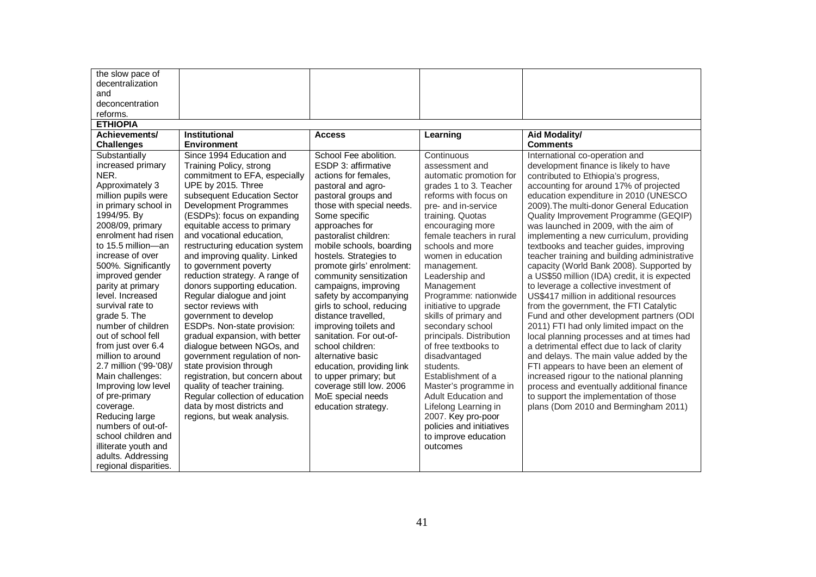| the slow pace of       |                                 |                           |                          |                                               |
|------------------------|---------------------------------|---------------------------|--------------------------|-----------------------------------------------|
| decentralization       |                                 |                           |                          |                                               |
| and                    |                                 |                           |                          |                                               |
| deconcentration        |                                 |                           |                          |                                               |
| reforms.               |                                 |                           |                          |                                               |
| <b>ETHIOPIA</b>        |                                 |                           |                          |                                               |
| Achievements/          | <b>Institutional</b>            | <b>Access</b>             | Learning                 | Aid Modality/                                 |
| <b>Challenges</b>      | <b>Environment</b>              |                           |                          | <b>Comments</b>                               |
| Substantially          | Since 1994 Education and        | School Fee abolition.     | Continuous               | International co-operation and                |
| increased primary      | Training Policy, strong         | ESDP 3: affirmative       | assessment and           | development finance is likely to have         |
| NER.                   | commitment to EFA, especially   | actions for females.      | automatic promotion for  | contributed to Ethiopia's progress,           |
| Approximately 3        | UPE by 2015. Three              | pastoral and agro-        | grades 1 to 3. Teacher   | accounting for around 17% of projected        |
| million pupils were    | subsequent Education Sector     | pastoral groups and       | reforms with focus on    | education expenditure in 2010 (UNESCO         |
| in primary school in   | Development Programmes          | those with special needs. | pre- and in-service      | 2009). The multi-donor General Education      |
| 1994/95. By            | (ESDPs): focus on expanding     | Some specific             | training. Quotas         | Quality Improvement Programme (GEQIP)         |
| 2008/09, primary       | equitable access to primary     | approaches for            | encouraging more         | was launched in 2009, with the aim of         |
| enrolment had risen    | and vocational education,       | pastoralist children:     | female teachers in rural | implementing a new curriculum, providing      |
| to 15.5 million-an     | restructuring education system  | mobile schools, boarding  | schools and more         | textbooks and teacher guides, improving       |
| increase of over       | and improving quality. Linked   | hostels. Strategies to    | women in education       | teacher training and building administrative  |
| 500%. Significantly    | to government poverty           | promote girls' enrolment: | management.              | capacity (World Bank 2008). Supported by      |
| improved gender        | reduction strategy. A range of  | community sensitization   | Leadership and           | a US\$50 million (IDA) credit, it is expected |
| parity at primary      | donors supporting education.    | campaigns, improving      | Management               | to leverage a collective investment of        |
| level. Increased       | Regular dialogue and joint      | safety by accompanying    | Programme: nationwide    | US\$417 million in additional resources       |
| survival rate to       | sector reviews with             | girls to school, reducing | initiative to upgrade    | from the government, the FTI Catalytic        |
| grade 5. The           | government to develop           | distance travelled,       | skills of primary and    | Fund and other development partners (ODI      |
| number of children     | ESDPs. Non-state provision:     | improving toilets and     | secondary school         | 2011) FTI had only limited impact on the      |
| out of school fell     | gradual expansion, with better  | sanitation. For out-of-   | principals. Distribution | local planning processes and at times had     |
| from just over 6.4     | dialogue between NGOs, and      | school children:          | of free textbooks to     | a detrimental effect due to lack of clarity   |
| million to around      | government regulation of non-   | alternative basic         | disadvantaged            | and delays. The main value added by the       |
| 2.7 million ('99-'08)/ | state provision through         | education, providing link | students.                | FTI appears to have been an element of        |
| Main challenges:       | registration, but concern about | to upper primary; but     | Establishment of a       | increased rigour to the national planning     |
| Improving low level    | quality of teacher training.    | coverage still low. 2006  | Master's programme in    | process and eventually additional finance     |
| of pre-primary         | Regular collection of education | MoE special needs         | Adult Education and      | to support the implementation of those        |
| coverage.              | data by most districts and      | education strategy.       | Lifelong Learning in     | plans (Dom 2010 and Bermingham 2011)          |
| Reducing large         | regions, but weak analysis.     |                           | 2007. Key pro-poor       |                                               |
| numbers of out-of-     |                                 |                           | policies and initiatives |                                               |
| school children and    |                                 |                           | to improve education     |                                               |
| illiterate youth and   |                                 |                           | outcomes                 |                                               |
| adults. Addressing     |                                 |                           |                          |                                               |
| regional disparities.  |                                 |                           |                          |                                               |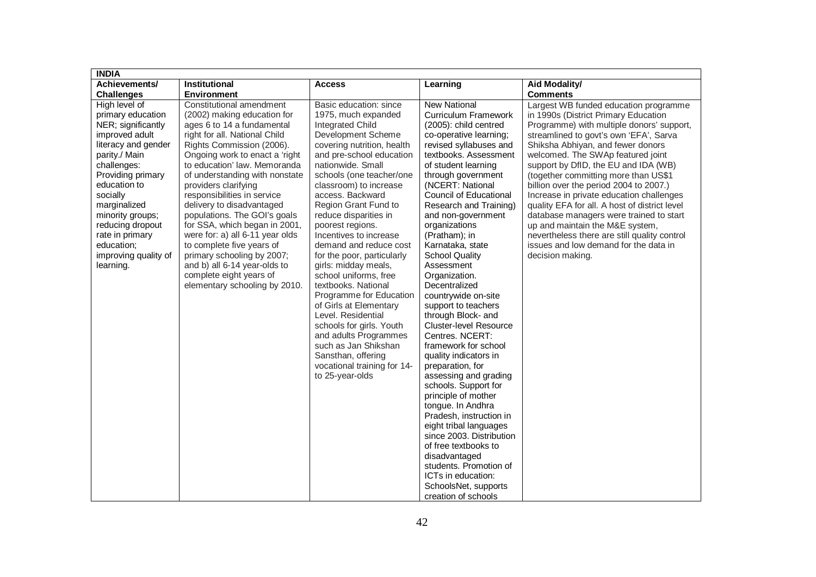| <b>INDIA</b>                                                                                                                                                                                                                                                                                                     |                                                                                                                                                                                                                                                                                                                                                                                                                                                                                                                                                                                                        |                                                                                                                                                                                                                                                                                                                                                                                                                                                                                                                                                                                                                                                                                                                        |                                                                                                                                                                                                                                                                                                                                                                                                                                                                                                                                                                                                                                                                                                                                                                                                                                                                                                                                                              |                                                                                                                                                                                                                                                                                                                                                                                                                                                                                                                                                                                                                                                                  |
|------------------------------------------------------------------------------------------------------------------------------------------------------------------------------------------------------------------------------------------------------------------------------------------------------------------|--------------------------------------------------------------------------------------------------------------------------------------------------------------------------------------------------------------------------------------------------------------------------------------------------------------------------------------------------------------------------------------------------------------------------------------------------------------------------------------------------------------------------------------------------------------------------------------------------------|------------------------------------------------------------------------------------------------------------------------------------------------------------------------------------------------------------------------------------------------------------------------------------------------------------------------------------------------------------------------------------------------------------------------------------------------------------------------------------------------------------------------------------------------------------------------------------------------------------------------------------------------------------------------------------------------------------------------|--------------------------------------------------------------------------------------------------------------------------------------------------------------------------------------------------------------------------------------------------------------------------------------------------------------------------------------------------------------------------------------------------------------------------------------------------------------------------------------------------------------------------------------------------------------------------------------------------------------------------------------------------------------------------------------------------------------------------------------------------------------------------------------------------------------------------------------------------------------------------------------------------------------------------------------------------------------|------------------------------------------------------------------------------------------------------------------------------------------------------------------------------------------------------------------------------------------------------------------------------------------------------------------------------------------------------------------------------------------------------------------------------------------------------------------------------------------------------------------------------------------------------------------------------------------------------------------------------------------------------------------|
| Achievements/                                                                                                                                                                                                                                                                                                    | Institutional                                                                                                                                                                                                                                                                                                                                                                                                                                                                                                                                                                                          | <b>Access</b>                                                                                                                                                                                                                                                                                                                                                                                                                                                                                                                                                                                                                                                                                                          | Learning                                                                                                                                                                                                                                                                                                                                                                                                                                                                                                                                                                                                                                                                                                                                                                                                                                                                                                                                                     | <b>Aid Modality/</b>                                                                                                                                                                                                                                                                                                                                                                                                                                                                                                                                                                                                                                             |
| <b>Challenges</b>                                                                                                                                                                                                                                                                                                | <b>Environment</b>                                                                                                                                                                                                                                                                                                                                                                                                                                                                                                                                                                                     |                                                                                                                                                                                                                                                                                                                                                                                                                                                                                                                                                                                                                                                                                                                        |                                                                                                                                                                                                                                                                                                                                                                                                                                                                                                                                                                                                                                                                                                                                                                                                                                                                                                                                                              | <b>Comments</b>                                                                                                                                                                                                                                                                                                                                                                                                                                                                                                                                                                                                                                                  |
| High level of<br>primary education<br>NER; significantly<br>improved adult<br>literacy and gender<br>parity./ Main<br>challenges:<br>Providing primary<br>education to<br>socially<br>marginalized<br>minority groups;<br>reducing dropout<br>rate in primary<br>education;<br>improving quality of<br>learning. | Constitutional amendment<br>(2002) making education for<br>ages 6 to 14 a fundamental<br>right for all. National Child<br>Rights Commission (2006).<br>Ongoing work to enact a 'right<br>to education' law. Memoranda<br>of understanding with nonstate<br>providers clarifying<br>responsibilities in service<br>delivery to disadvantaged<br>populations. The GOI's goals<br>for SSA, which began in 2001,<br>were for: a) all 6-11 year olds<br>to complete five years of<br>primary schooling by 2007;<br>and b) all 6-14 year-olds to<br>complete eight years of<br>elementary schooling by 2010. | Basic education: since<br>1975, much expanded<br><b>Integrated Child</b><br>Development Scheme<br>covering nutrition, health<br>and pre-school education<br>nationwide. Small<br>schools (one teacher/one<br>classroom) to increase<br>access. Backward<br>Region Grant Fund to<br>reduce disparities in<br>poorest regions.<br>Incentives to increase<br>demand and reduce cost<br>for the poor, particularly<br>girls: midday meals,<br>school uniforms, free<br>textbooks. National<br>Programme for Education<br>of Girls at Elementary<br>Level. Residential<br>schools for girls. Youth<br>and adults Programmes<br>such as Jan Shikshan<br>Sansthan, offering<br>vocational training for 14-<br>to 25-year-olds | <b>New National</b><br><b>Curriculum Framework</b><br>(2005): child centred<br>co-operative learning;<br>revised syllabuses and<br>textbooks. Assessment<br>of student learning<br>through government<br>(NCERT: National<br><b>Council of Educational</b><br>Research and Training)<br>and non-government<br>organizations<br>(Pratham); in<br>Karnataka, state<br><b>School Quality</b><br>Assessment<br>Organization.<br>Decentralized<br>countrywide on-site<br>support to teachers<br>through Block- and<br><b>Cluster-level Resource</b><br>Centres, NCERT:<br>framework for school<br>quality indicators in<br>preparation, for<br>assessing and grading<br>schools. Support for<br>principle of mother<br>tongue. In Andhra<br>Pradesh, instruction in<br>eight tribal languages<br>since 2003. Distribution<br>of free textbooks to<br>disadvantaged<br>students. Promotion of<br>ICTs in education:<br>SchoolsNet, supports<br>creation of schools | Largest WB funded education programme<br>in 1990s (District Primary Education<br>Programme) with multiple donors' support,<br>streamlined to govt's own 'EFA', Sarva<br>Shiksha Abhiyan, and fewer donors<br>welcomed. The SWAp featured joint<br>support by DfID, the EU and IDA (WB)<br>(together committing more than US\$1<br>billion over the period 2004 to 2007.)<br>Increase in private education challenges<br>quality EFA for all. A host of district level<br>database managers were trained to start<br>up and maintain the M&E system,<br>nevertheless there are still quality control<br>issues and low demand for the data in<br>decision making. |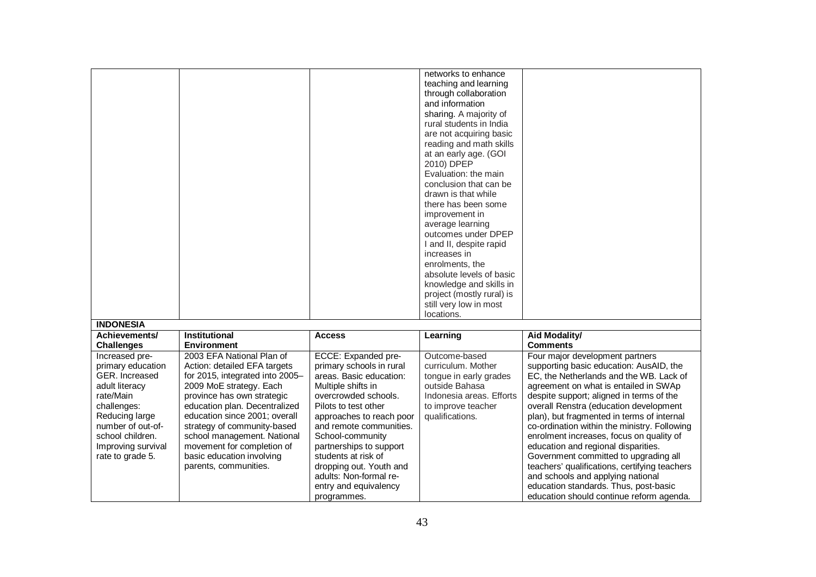|                    |                                 |                          | networks to enhance       |                                               |
|--------------------|---------------------------------|--------------------------|---------------------------|-----------------------------------------------|
|                    |                                 |                          | teaching and learning     |                                               |
|                    |                                 |                          | through collaboration     |                                               |
|                    |                                 |                          | and information           |                                               |
|                    |                                 |                          | sharing. A majority of    |                                               |
|                    |                                 |                          | rural students in India   |                                               |
|                    |                                 |                          | are not acquiring basic   |                                               |
|                    |                                 |                          | reading and math skills   |                                               |
|                    |                                 |                          | at an early age. (GOI     |                                               |
|                    |                                 |                          | 2010) DPEP                |                                               |
|                    |                                 |                          |                           |                                               |
|                    |                                 |                          | Evaluation: the main      |                                               |
|                    |                                 |                          | conclusion that can be    |                                               |
|                    |                                 |                          | drawn is that while       |                                               |
|                    |                                 |                          | there has been some       |                                               |
|                    |                                 |                          | improvement in            |                                               |
|                    |                                 |                          | average learning          |                                               |
|                    |                                 |                          | outcomes under DPEP       |                                               |
|                    |                                 |                          | I and II, despite rapid   |                                               |
|                    |                                 |                          | increases in              |                                               |
|                    |                                 |                          | enrolments, the           |                                               |
|                    |                                 |                          | absolute levels of basic  |                                               |
|                    |                                 |                          | knowledge and skills in   |                                               |
|                    |                                 |                          | project (mostly rural) is |                                               |
|                    |                                 |                          | still very low in most    |                                               |
|                    |                                 |                          | locations.                |                                               |
| <b>INDONESIA</b>   |                                 |                          |                           |                                               |
| Achievements/      | <b>Institutional</b>            | <b>Access</b>            | Learning                  | <b>Aid Modality/</b>                          |
| <b>Challenges</b>  | <b>Environment</b>              |                          |                           | <b>Comments</b>                               |
| Increased pre-     | 2003 EFA National Plan of       | ECCE: Expanded pre-      | Outcome-based             | Four major development partners               |
| primary education  | Action: detailed EFA targets    | primary schools in rural | curriculum. Mother        | supporting basic education: AusAID, the       |
| GER. Increased     | for 2015, integrated into 2005- | areas. Basic education:  | tongue in early grades    | EC, the Netherlands and the WB. Lack of       |
| adult literacy     | 2009 MoE strategy. Each         | Multiple shifts in       | outside Bahasa            | agreement on what is entailed in SWAp         |
| rate/Main          | province has own strategic      | overcrowded schools.     | Indonesia areas. Efforts  | despite support; aligned in terms of the      |
| challenges:        | education plan. Decentralized   | Pilots to test other     | to improve teacher        | overall Renstra (education development        |
| Reducing large     | education since 2001; overall   | approaches to reach poor | qualifications.           | plan), but fragmented in terms of internal    |
| number of out-of-  | strategy of community-based     | and remote communities.  |                           | co-ordination within the ministry. Following  |
| school children.   | school management. National     |                          |                           |                                               |
|                    |                                 | School-community         |                           | enrolment increases, focus on quality of      |
| Improving survival | movement for completion of      | partnerships to support  |                           | education and regional disparities.           |
| rate to grade 5.   | basic education involving       | students at risk of      |                           | Government committed to upgrading all         |
|                    | parents, communities.           | dropping out. Youth and  |                           | teachers' qualifications, certifying teachers |
|                    |                                 | adults: Non-formal re-   |                           | and schools and applying national             |
|                    |                                 | entry and equivalency    |                           | education standards. Thus, post-basic         |
|                    |                                 | programmes.              |                           | education should continue reform agenda.      |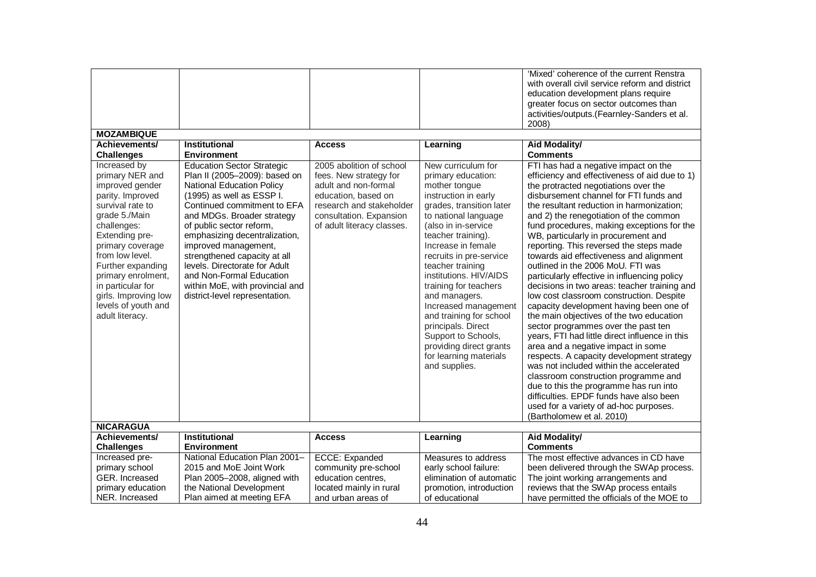|                                                                                                                                                                                                                                                                                                                       |                                                                                                                                                                                                                                                                                                                                                                                                                                                         |                                                                                                                                                                                        |                                                                                                                                                                                                                                                                                                                                                                                                                                                                                                   | 'Mixed' coherence of the current Renstra<br>with overall civil service reform and district<br>education development plans require<br>greater focus on sector outcomes than<br>activities/outputs.(Fearnley-Sanders et al.<br>2008)                                                                                                                                                                                                                                                                                                                                                                                                                                                                                                                                                                                                                                                                                                                                                                                                                                                                                                           |
|-----------------------------------------------------------------------------------------------------------------------------------------------------------------------------------------------------------------------------------------------------------------------------------------------------------------------|---------------------------------------------------------------------------------------------------------------------------------------------------------------------------------------------------------------------------------------------------------------------------------------------------------------------------------------------------------------------------------------------------------------------------------------------------------|----------------------------------------------------------------------------------------------------------------------------------------------------------------------------------------|---------------------------------------------------------------------------------------------------------------------------------------------------------------------------------------------------------------------------------------------------------------------------------------------------------------------------------------------------------------------------------------------------------------------------------------------------------------------------------------------------|----------------------------------------------------------------------------------------------------------------------------------------------------------------------------------------------------------------------------------------------------------------------------------------------------------------------------------------------------------------------------------------------------------------------------------------------------------------------------------------------------------------------------------------------------------------------------------------------------------------------------------------------------------------------------------------------------------------------------------------------------------------------------------------------------------------------------------------------------------------------------------------------------------------------------------------------------------------------------------------------------------------------------------------------------------------------------------------------------------------------------------------------|
| <b>MOZAMBIQUE</b>                                                                                                                                                                                                                                                                                                     |                                                                                                                                                                                                                                                                                                                                                                                                                                                         |                                                                                                                                                                                        |                                                                                                                                                                                                                                                                                                                                                                                                                                                                                                   |                                                                                                                                                                                                                                                                                                                                                                                                                                                                                                                                                                                                                                                                                                                                                                                                                                                                                                                                                                                                                                                                                                                                              |
| Achievements/                                                                                                                                                                                                                                                                                                         | <b>Institutional</b>                                                                                                                                                                                                                                                                                                                                                                                                                                    | <b>Access</b>                                                                                                                                                                          | Learning                                                                                                                                                                                                                                                                                                                                                                                                                                                                                          | Aid Modality/                                                                                                                                                                                                                                                                                                                                                                                                                                                                                                                                                                                                                                                                                                                                                                                                                                                                                                                                                                                                                                                                                                                                |
| <b>Challenges</b>                                                                                                                                                                                                                                                                                                     | <b>Environment</b>                                                                                                                                                                                                                                                                                                                                                                                                                                      |                                                                                                                                                                                        |                                                                                                                                                                                                                                                                                                                                                                                                                                                                                                   | <b>Comments</b>                                                                                                                                                                                                                                                                                                                                                                                                                                                                                                                                                                                                                                                                                                                                                                                                                                                                                                                                                                                                                                                                                                                              |
| Increased by<br>primary NER and<br>improved gender<br>parity. Improved<br>survival rate to<br>grade 5./Main<br>challenges:<br>Extending pre-<br>primary coverage<br>from low level.<br>Further expanding<br>primary enrolment,<br>in particular for<br>girls. Improving low<br>levels of youth and<br>adult literacy. | <b>Education Sector Strategic</b><br>Plan II (2005-2009): based on<br><b>National Education Policy</b><br>(1995) as well as ESSP I.<br>Continued commitment to EFA<br>and MDGs. Broader strategy<br>of public sector reform,<br>emphasizing decentralization,<br>improved management,<br>strengthened capacity at all<br>levels. Directorate for Adult<br>and Non-Formal Education<br>within MoE, with provincial and<br>district-level representation. | 2005 abolition of school<br>fees. New strategy for<br>adult and non-formal<br>education, based on<br>research and stakeholder<br>consultation. Expansion<br>of adult literacy classes. | New curriculum for<br>primary education:<br>mother tongue<br>instruction in early<br>grades, transition later<br>to national language<br>(also in in-service<br>teacher training).<br>Increase in female<br>recruits in pre-service<br>teacher training<br>institutions. HIV/AIDS<br>training for teachers<br>and managers.<br>Increased management<br>and training for school<br>principals. Direct<br>Support to Schools,<br>providing direct grants<br>for learning materials<br>and supplies. | FTI has had a negative impact on the<br>efficiency and effectiveness of aid due to 1)<br>the protracted negotiations over the<br>disbursement channel for FTI funds and<br>the resultant reduction in harmonization;<br>and 2) the renegotiation of the common<br>fund procedures, making exceptions for the<br>WB, particularly in procurement and<br>reporting. This reversed the steps made<br>towards aid effectiveness and alignment<br>outlined in the 2006 MoU. FTI was<br>particularly effective in influencing policy<br>decisions in two areas: teacher training and<br>low cost classroom construction. Despite<br>capacity development having been one of<br>the main objectives of the two education<br>sector programmes over the past ten<br>years, FTI had little direct influence in this<br>area and a negative impact in some<br>respects. A capacity development strategy<br>was not included within the accelerated<br>classroom construction programme and<br>due to this the programme has run into<br>difficulties. EPDF funds have also been<br>used for a variety of ad-hoc purposes.<br>(Bartholomew et al. 2010) |
| <b>NICARAGUA</b>                                                                                                                                                                                                                                                                                                      |                                                                                                                                                                                                                                                                                                                                                                                                                                                         |                                                                                                                                                                                        |                                                                                                                                                                                                                                                                                                                                                                                                                                                                                                   |                                                                                                                                                                                                                                                                                                                                                                                                                                                                                                                                                                                                                                                                                                                                                                                                                                                                                                                                                                                                                                                                                                                                              |
| Achievements/                                                                                                                                                                                                                                                                                                         | <b>Institutional</b>                                                                                                                                                                                                                                                                                                                                                                                                                                    | <b>Access</b>                                                                                                                                                                          | Learning                                                                                                                                                                                                                                                                                                                                                                                                                                                                                          | <b>Aid Modality/</b>                                                                                                                                                                                                                                                                                                                                                                                                                                                                                                                                                                                                                                                                                                                                                                                                                                                                                                                                                                                                                                                                                                                         |
| <b>Challenges</b>                                                                                                                                                                                                                                                                                                     | <b>Environment</b>                                                                                                                                                                                                                                                                                                                                                                                                                                      |                                                                                                                                                                                        |                                                                                                                                                                                                                                                                                                                                                                                                                                                                                                   | <b>Comments</b>                                                                                                                                                                                                                                                                                                                                                                                                                                                                                                                                                                                                                                                                                                                                                                                                                                                                                                                                                                                                                                                                                                                              |
| Increased pre-                                                                                                                                                                                                                                                                                                        | National Education Plan 2001-                                                                                                                                                                                                                                                                                                                                                                                                                           | ECCE: Expanded                                                                                                                                                                         | Measures to address                                                                                                                                                                                                                                                                                                                                                                                                                                                                               | The most effective advances in CD have                                                                                                                                                                                                                                                                                                                                                                                                                                                                                                                                                                                                                                                                                                                                                                                                                                                                                                                                                                                                                                                                                                       |
| primary school                                                                                                                                                                                                                                                                                                        | 2015 and MoE Joint Work                                                                                                                                                                                                                                                                                                                                                                                                                                 | community pre-school                                                                                                                                                                   | early school failure:                                                                                                                                                                                                                                                                                                                                                                                                                                                                             | been delivered through the SWAp process.                                                                                                                                                                                                                                                                                                                                                                                                                                                                                                                                                                                                                                                                                                                                                                                                                                                                                                                                                                                                                                                                                                     |
| GER. Increased                                                                                                                                                                                                                                                                                                        | Plan 2005-2008, aligned with                                                                                                                                                                                                                                                                                                                                                                                                                            | education centres,                                                                                                                                                                     | elimination of automatic                                                                                                                                                                                                                                                                                                                                                                                                                                                                          | The joint working arrangements and                                                                                                                                                                                                                                                                                                                                                                                                                                                                                                                                                                                                                                                                                                                                                                                                                                                                                                                                                                                                                                                                                                           |
| primary education                                                                                                                                                                                                                                                                                                     | the National Development                                                                                                                                                                                                                                                                                                                                                                                                                                | located mainly in rural                                                                                                                                                                | promotion, introduction                                                                                                                                                                                                                                                                                                                                                                                                                                                                           | reviews that the SWAp process entails                                                                                                                                                                                                                                                                                                                                                                                                                                                                                                                                                                                                                                                                                                                                                                                                                                                                                                                                                                                                                                                                                                        |
| NER. Increased                                                                                                                                                                                                                                                                                                        | Plan aimed at meeting EFA                                                                                                                                                                                                                                                                                                                                                                                                                               | and urban areas of                                                                                                                                                                     | of educational                                                                                                                                                                                                                                                                                                                                                                                                                                                                                    | have permitted the officials of the MOE to                                                                                                                                                                                                                                                                                                                                                                                                                                                                                                                                                                                                                                                                                                                                                                                                                                                                                                                                                                                                                                                                                                   |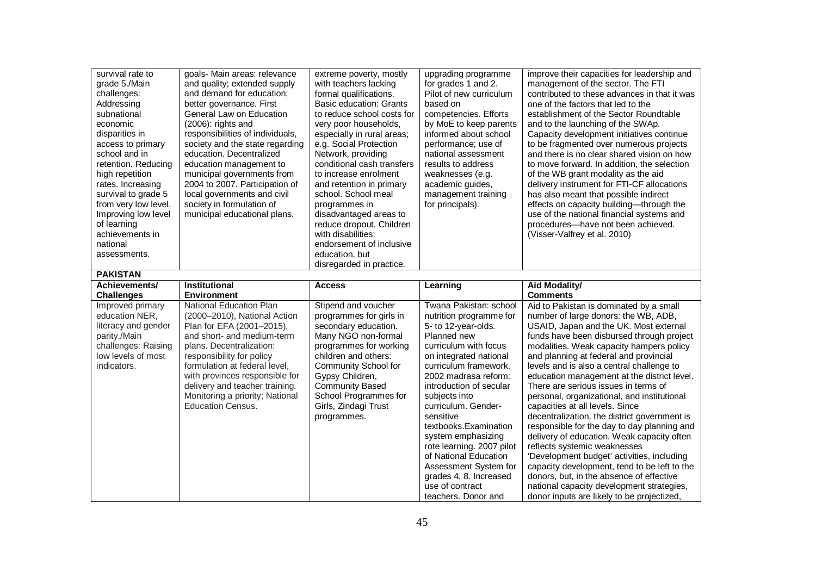| survival rate to<br>grade 5./Main<br>challenges:<br>Addressing<br>subnational<br>economic<br>disparities in<br>access to primary<br>school and in<br>retention. Reducing<br>high repetition<br>rates. Increasing<br>survival to grade 5<br>from very low level.<br>Improving low level<br>of learning<br>achievements in<br>national<br>assessments. | goals- Main areas: relevance<br>and quality; extended supply<br>and demand for education;<br>better governance. First<br>General Law on Education<br>(2006): rights and<br>responsibilities of individuals,<br>society and the state regarding<br>education. Decentralized<br>education management to<br>municipal governments from<br>2004 to 2007. Participation of<br>local governments and civil<br>society in formulation of<br>municipal educational plans. | extreme poverty, mostly<br>with teachers lacking<br>formal qualifications.<br><b>Basic education: Grants</b><br>to reduce school costs for<br>very poor households,<br>especially in rural areas;<br>e.g. Social Protection<br>Network, providing<br>conditional cash transfers<br>to increase enrolment<br>and retention in primary<br>school. School meal<br>programmes in<br>disadvantaged areas to<br>reduce dropout. Children<br>with disabilities:<br>endorsement of inclusive<br>education, but | upgrading programme<br>for grades 1 and 2.<br>Pilot of new curriculum<br>based on<br>competencies. Efforts<br>by MoE to keep parents<br>informed about school<br>performance; use of<br>national assessment<br>results to address<br>weaknesses (e.g.<br>academic guides,<br>management training<br>for principals).                                                                                                                | improve their capacities for leadership and<br>management of the sector. The FTI<br>contributed to these advances in that it was<br>one of the factors that led to the<br>establishment of the Sector Roundtable<br>and to the launching of the SWAp.<br>Capacity development initiatives continue<br>to be fragmented over numerous projects<br>and there is no clear shared vision on how<br>to move forward. In addition, the selection<br>of the WB grant modality as the aid<br>delivery instrument for FTI-CF allocations<br>has also meant that possible indirect<br>effects on capacity building-through the<br>use of the national financial systems and<br>procedures-have not been achieved.<br>(Visser-Valfrey et al. 2010)                                                                   |
|------------------------------------------------------------------------------------------------------------------------------------------------------------------------------------------------------------------------------------------------------------------------------------------------------------------------------------------------------|-------------------------------------------------------------------------------------------------------------------------------------------------------------------------------------------------------------------------------------------------------------------------------------------------------------------------------------------------------------------------------------------------------------------------------------------------------------------|--------------------------------------------------------------------------------------------------------------------------------------------------------------------------------------------------------------------------------------------------------------------------------------------------------------------------------------------------------------------------------------------------------------------------------------------------------------------------------------------------------|-------------------------------------------------------------------------------------------------------------------------------------------------------------------------------------------------------------------------------------------------------------------------------------------------------------------------------------------------------------------------------------------------------------------------------------|-----------------------------------------------------------------------------------------------------------------------------------------------------------------------------------------------------------------------------------------------------------------------------------------------------------------------------------------------------------------------------------------------------------------------------------------------------------------------------------------------------------------------------------------------------------------------------------------------------------------------------------------------------------------------------------------------------------------------------------------------------------------------------------------------------------|
|                                                                                                                                                                                                                                                                                                                                                      |                                                                                                                                                                                                                                                                                                                                                                                                                                                                   | disregarded in practice.                                                                                                                                                                                                                                                                                                                                                                                                                                                                               |                                                                                                                                                                                                                                                                                                                                                                                                                                     |                                                                                                                                                                                                                                                                                                                                                                                                                                                                                                                                                                                                                                                                                                                                                                                                           |
| <b>PAKISTAN</b><br>Achievements/                                                                                                                                                                                                                                                                                                                     | Institutional                                                                                                                                                                                                                                                                                                                                                                                                                                                     | <b>Access</b>                                                                                                                                                                                                                                                                                                                                                                                                                                                                                          | Learning                                                                                                                                                                                                                                                                                                                                                                                                                            | Aid Modality/                                                                                                                                                                                                                                                                                                                                                                                                                                                                                                                                                                                                                                                                                                                                                                                             |
| <b>Challenges</b>                                                                                                                                                                                                                                                                                                                                    | <b>Environment</b>                                                                                                                                                                                                                                                                                                                                                                                                                                                |                                                                                                                                                                                                                                                                                                                                                                                                                                                                                                        |                                                                                                                                                                                                                                                                                                                                                                                                                                     | <b>Comments</b>                                                                                                                                                                                                                                                                                                                                                                                                                                                                                                                                                                                                                                                                                                                                                                                           |
| Improved primary<br>education NER,<br>literacy and gender<br>parity./Main<br>challenges: Raising<br>low levels of most<br>indicators.                                                                                                                                                                                                                | National Education Plan<br>(2000-2010), National Action<br>Plan for EFA (2001-2015),<br>and short- and medium-term<br>plans. Decentralization:<br>responsibility for policy<br>formulation at federal level,<br>with provinces responsible for<br>delivery and teacher training.<br>Monitoring a priority; National<br><b>Education Census.</b>                                                                                                                   | Stipend and voucher<br>programmes for girls in<br>secondary education.<br>Many NGO non-formal<br>programmes for working<br>children and others:<br>Community School for<br>Gypsy Children,<br><b>Community Based</b><br>School Programmes for<br>Girls, Zindagi Trust<br>programmes.                                                                                                                                                                                                                   | Twana Pakistan: school<br>nutrition programme for<br>5- to 12-year-olds.<br>Planned new<br>curriculum with focus<br>on integrated national<br>curriculum framework.<br>2002 madrasa reform:<br>introduction of secular<br>subjects into<br>curriculum. Gender-<br>sensitive<br>textbooks.Examination<br>system emphasizing<br>rote learning. 2007 pilot<br>of National Education<br>Assessment System for<br>grades 4, 8. Increased | Aid to Pakistan is dominated by a small<br>number of large donors: the WB, ADB,<br>USAID, Japan and the UK. Most external<br>funds have been disbursed through project<br>modalities. Weak capacity hampers policy<br>and planning at federal and provincial<br>levels and is also a central challenge to<br>education management at the district level.<br>There are serious issues in terms of<br>personal, organizational, and institutional<br>capacities at all levels. Since<br>decentralization, the district government is<br>responsible for the day to day planning and<br>delivery of education. Weak capacity often<br>reflects systemic weaknesses<br>'Development budget' activities, including<br>capacity development, tend to be left to the<br>donors, but, in the absence of effective |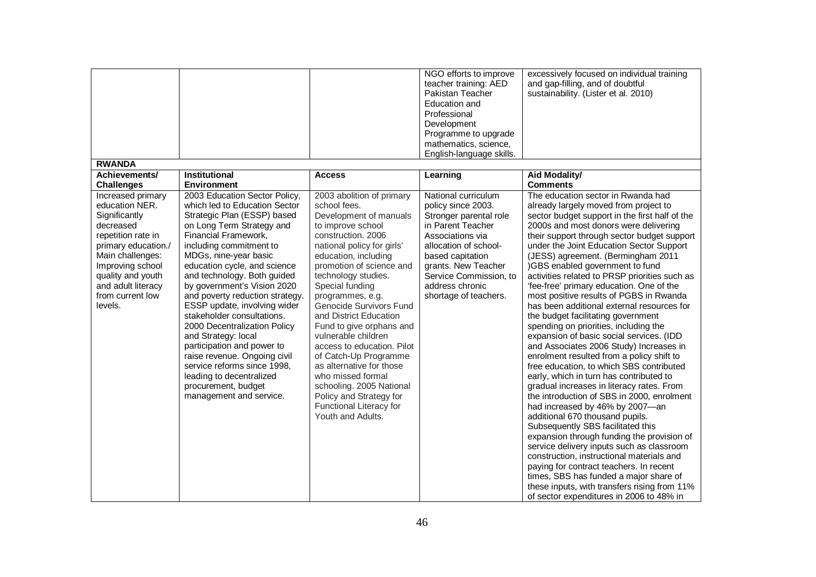|                                                                                                                                                                                                                                  |                                                                                                                                                                                                                                                                                                                                                                                                                                                                                                                                                                                                                                         |                                                                                                                                                                                                                                                                                                                                                                                                                                                                                                                                                                                       | NGO efforts to improve<br>teacher training: AED<br>Pakistan Teacher<br>Education and<br>Professional<br>Development<br>Programme to upgrade                                                                                                            | excessively focused on individual training<br>and gap-filling, and of doubtful<br>sustainability. (Lister et al. 2010)                                                                                                                                                                                                                                                                                                                                                                                                                                                                                                                                                                                                                                                                                                                                                                                                                                                                                                                                                                                                                                                                                                                                                                                                                                                    |
|----------------------------------------------------------------------------------------------------------------------------------------------------------------------------------------------------------------------------------|-----------------------------------------------------------------------------------------------------------------------------------------------------------------------------------------------------------------------------------------------------------------------------------------------------------------------------------------------------------------------------------------------------------------------------------------------------------------------------------------------------------------------------------------------------------------------------------------------------------------------------------------|---------------------------------------------------------------------------------------------------------------------------------------------------------------------------------------------------------------------------------------------------------------------------------------------------------------------------------------------------------------------------------------------------------------------------------------------------------------------------------------------------------------------------------------------------------------------------------------|--------------------------------------------------------------------------------------------------------------------------------------------------------------------------------------------------------------------------------------------------------|---------------------------------------------------------------------------------------------------------------------------------------------------------------------------------------------------------------------------------------------------------------------------------------------------------------------------------------------------------------------------------------------------------------------------------------------------------------------------------------------------------------------------------------------------------------------------------------------------------------------------------------------------------------------------------------------------------------------------------------------------------------------------------------------------------------------------------------------------------------------------------------------------------------------------------------------------------------------------------------------------------------------------------------------------------------------------------------------------------------------------------------------------------------------------------------------------------------------------------------------------------------------------------------------------------------------------------------------------------------------------|
|                                                                                                                                                                                                                                  |                                                                                                                                                                                                                                                                                                                                                                                                                                                                                                                                                                                                                                         |                                                                                                                                                                                                                                                                                                                                                                                                                                                                                                                                                                                       | mathematics, science,<br>English-language skills.                                                                                                                                                                                                      |                                                                                                                                                                                                                                                                                                                                                                                                                                                                                                                                                                                                                                                                                                                                                                                                                                                                                                                                                                                                                                                                                                                                                                                                                                                                                                                                                                           |
| <b>RWANDA</b>                                                                                                                                                                                                                    |                                                                                                                                                                                                                                                                                                                                                                                                                                                                                                                                                                                                                                         |                                                                                                                                                                                                                                                                                                                                                                                                                                                                                                                                                                                       |                                                                                                                                                                                                                                                        |                                                                                                                                                                                                                                                                                                                                                                                                                                                                                                                                                                                                                                                                                                                                                                                                                                                                                                                                                                                                                                                                                                                                                                                                                                                                                                                                                                           |
| Achievements/<br><b>Challenges</b>                                                                                                                                                                                               | Institutional<br><b>Environment</b>                                                                                                                                                                                                                                                                                                                                                                                                                                                                                                                                                                                                     | <b>Access</b>                                                                                                                                                                                                                                                                                                                                                                                                                                                                                                                                                                         | Learning                                                                                                                                                                                                                                               | <b>Aid Modality/</b><br><b>Comments</b>                                                                                                                                                                                                                                                                                                                                                                                                                                                                                                                                                                                                                                                                                                                                                                                                                                                                                                                                                                                                                                                                                                                                                                                                                                                                                                                                   |
| Increased primary<br>education NER.<br>Significantly<br>decreased<br>repetition rate in<br>primary education./<br>Main challenges:<br>Improving school<br>quality and youth<br>and adult literacy<br>from current low<br>levels. | 2003 Education Sector Policy,<br>which led to Education Sector<br>Strategic Plan (ESSP) based<br>on Long Term Strategy and<br>Financial Framework,<br>including commitment to<br>MDGs, nine-year basic<br>education cycle, and science<br>and technology. Both guided<br>by government's Vision 2020<br>and poverty reduction strategy.<br>ESSP update, involving wider<br>stakeholder consultations.<br>2000 Decentralization Policy<br>and Strategy: local<br>participation and power to<br>raise revenue. Ongoing civil<br>service reforms since 1998,<br>leading to decentralized<br>procurement, budget<br>management and service. | 2003 abolition of primary<br>school fees.<br>Development of manuals<br>to improve school<br>construction. 2006<br>national policy for girls'<br>education, including<br>promotion of science and<br>technology studies.<br>Special funding<br>programmes, e.g.<br>Genocide Survivors Fund<br>and District Education<br>Fund to give orphans and<br>vulnerable children<br>access to education. Pilot<br>of Catch-Up Programme<br>as alternative for those<br>who missed formal<br>schooling. 2005 National<br>Policy and Strategy for<br>Functional Literacy for<br>Youth and Adults. | National curriculum<br>policy since 2003.<br>Stronger parental role<br>in Parent Teacher<br>Associations via<br>allocation of school-<br>based capitation<br>grants. New Teacher<br>Service Commission, to<br>address chronic<br>shortage of teachers. | The education sector in Rwanda had<br>already largely moved from project to<br>sector budget support in the first half of the<br>2000s and most donors were delivering<br>their support through sector budget support<br>under the Joint Education Sector Support<br>(JESS) agreement. (Bermingham 2011<br>)GBS enabled government to fund<br>activities related to PRSP priorities such as<br>'fee-free' primary education. One of the<br>most positive results of PGBS in Rwanda<br>has been additional external resources for<br>the budget facilitating government<br>spending on priorities, including the<br>expansion of basic social services. (IDD<br>and Associates 2006 Study) Increases in<br>enrolment resulted from a policy shift to<br>free education, to which SBS contributed<br>early, which in turn has contributed to<br>gradual increases in literacy rates. From<br>the introduction of SBS in 2000, enrolment<br>had increased by 46% by 2007-an<br>additional 670 thousand pupils.<br>Subsequently SBS facilitated this<br>expansion through funding the provision of<br>service delivery inputs such as classroom<br>construction, instructional materials and<br>paying for contract teachers. In recent<br>times, SBS has funded a major share of<br>these inputs, with transfers rising from 11%<br>of sector expenditures in 2006 to 48% in |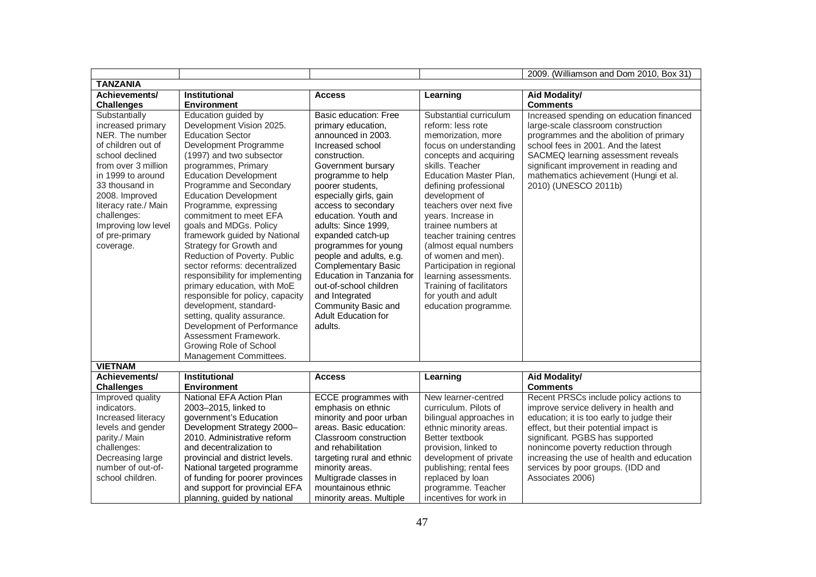|                      |                                  |                             |                           | 2009. (Williamson and Dom 2010, Box 31)    |
|----------------------|----------------------------------|-----------------------------|---------------------------|--------------------------------------------|
| <b>TANZANIA</b>      |                                  |                             |                           |                                            |
| Achievements/        | <b>Institutional</b>             | <b>Access</b>               | Learning                  | Aid Modality/                              |
| <b>Challenges</b>    | <b>Environment</b>               |                             |                           | <b>Comments</b>                            |
| Substantially        | Education guided by              | Basic education: Free       | Substantial curriculum    | Increased spending on education financed   |
| increased primary    | Development Vision 2025.         | primary education,          | reform: less rote         | large-scale classroom construction         |
| NER. The number      | <b>Education Sector</b>          | announced in 2003.          | memorization, more        | programmes and the abolition of primary    |
| of children out of   | Development Programme            | Increased school            | focus on understanding    | school fees in 2001. And the latest        |
| school declined      | (1997) and two subsector         | construction.               | concepts and acquiring    | SACMEQ learning assessment reveals         |
| from over 3 million  | programmes, Primary              | Government bursary          | skills. Teacher           | significant improvement in reading and     |
| in 1999 to around    | <b>Education Development</b>     | programme to help           | Education Master Plan,    | mathematics achievement (Hungi et al.      |
| 33 thousand in       | Programme and Secondary          | poorer students,            | defining professional     | 2010) (UNESCO 2011b)                       |
| 2008. Improved       | <b>Education Development</b>     | especially girls, gain      | development of            |                                            |
| literacy rate./ Main | Programme, expressing            | access to secondary         | teachers over next five   |                                            |
| challenges:          | commitment to meet EFA           | education. Youth and        | years. Increase in        |                                            |
| Improving low level  | goals and MDGs. Policy           | adults: Since 1999,         | trainee numbers at        |                                            |
| of pre-primary       | framework guided by National     | expanded catch-up           | teacher training centres  |                                            |
| coverage.            | Strategy for Growth and          | programmes for young        | (almost equal numbers     |                                            |
|                      | Reduction of Poverty. Public     | people and adults, e.g.     | of women and men).        |                                            |
|                      | sector reforms: decentralized    | <b>Complementary Basic</b>  | Participation in regional |                                            |
|                      | responsibility for implementing  | Education in Tanzania for   | learning assessments.     |                                            |
|                      | primary education, with MoE      | out-of-school children      | Training of facilitators  |                                            |
|                      | responsible for policy, capacity | and Integrated              | for youth and adult       |                                            |
|                      | development, standard-           | Community Basic and         | education programme.      |                                            |
|                      | setting, quality assurance.      | <b>Adult Education for</b>  |                           |                                            |
|                      | Development of Performance       | adults.                     |                           |                                            |
|                      | Assessment Framework.            |                             |                           |                                            |
|                      | Growing Role of School           |                             |                           |                                            |
|                      | Management Committees.           |                             |                           |                                            |
| <b>VIETNAM</b>       |                                  |                             |                           |                                            |
| Achievements/        | <b>Institutional</b>             | <b>Access</b>               | Learning                  | <b>Aid Modality/</b>                       |
| <b>Challenges</b>    | <b>Environment</b>               |                             |                           | <b>Comments</b>                            |
| Improved quality     | National EFA Action Plan         | <b>ECCE</b> programmes with | New learner-centred       | Recent PRSCs include policy actions to     |
| indicators.          | 2003-2015, linked to             | emphasis on ethnic          | curriculum. Pilots of     | improve service delivery in health and     |
| Increased literacy   | government's Education           | minority and poor urban     | bilingual approaches in   | education; it is too early to judge their  |
| levels and gender    | Development Strategy 2000-       | areas. Basic education:     | ethnic minority areas.    | effect, but their potential impact is      |
| parity./ Main        | 2010. Administrative reform      | Classroom construction      | Better textbook           | significant. PGBS has supported            |
| challenges:          | and decentralization to          | and rehabilitation          | provision, linked to      | nonincome poverty reduction through        |
| Decreasing large     | provincial and district levels.  | targeting rural and ethnic  | development of private    | increasing the use of health and education |
| number of out-of-    | National targeted programme      | minority areas.             | publishing; rental fees   | services by poor groups. (IDD and          |
| school children.     | of funding for poorer provinces  | Multigrade classes in       | replaced by loan          | Associates 2006)                           |
|                      | and support for provincial EFA   | mountainous ethnic          | programme. Teacher        |                                            |
|                      | planning, guided by national     | minority areas. Multiple    | incentives for work in    |                                            |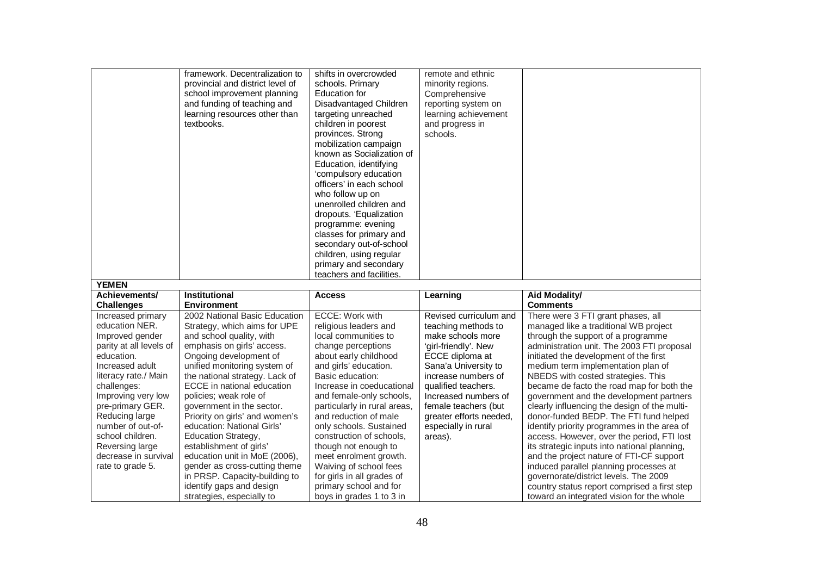|                                                                                                                                                                                                                                                                                                                               | framework. Decentralization to<br>provincial and district level of<br>school improvement planning<br>and funding of teaching and<br>learning resources other than<br>textbooks.                                                                                                                                                                                                                                                                                                                                               | shifts in overcrowded<br>schools. Primary<br><b>Education for</b><br>Disadvantaged Children<br>targeting unreached<br>children in poorest<br>provinces. Strong<br>mobilization campaign<br>known as Socialization of<br>Education, identifying<br>'compulsory education<br>officers' in each school<br>who follow up on<br>unenrolled children and<br>dropouts. 'Equalization<br>programme: evening                                             | remote and ethnic<br>minority regions.<br>Comprehensive<br>reporting system on<br>learning achievement<br>and progress in<br>schools.                                                                                                                                                            |                                                                                                                                                                                                                                                                                                                                                                                                                                                                                                                                                                                                                                                                                                                                                     |
|-------------------------------------------------------------------------------------------------------------------------------------------------------------------------------------------------------------------------------------------------------------------------------------------------------------------------------|-------------------------------------------------------------------------------------------------------------------------------------------------------------------------------------------------------------------------------------------------------------------------------------------------------------------------------------------------------------------------------------------------------------------------------------------------------------------------------------------------------------------------------|-------------------------------------------------------------------------------------------------------------------------------------------------------------------------------------------------------------------------------------------------------------------------------------------------------------------------------------------------------------------------------------------------------------------------------------------------|--------------------------------------------------------------------------------------------------------------------------------------------------------------------------------------------------------------------------------------------------------------------------------------------------|-----------------------------------------------------------------------------------------------------------------------------------------------------------------------------------------------------------------------------------------------------------------------------------------------------------------------------------------------------------------------------------------------------------------------------------------------------------------------------------------------------------------------------------------------------------------------------------------------------------------------------------------------------------------------------------------------------------------------------------------------------|
| <b>YEMEN</b>                                                                                                                                                                                                                                                                                                                  |                                                                                                                                                                                                                                                                                                                                                                                                                                                                                                                               | classes for primary and<br>secondary out-of-school<br>children, using regular<br>primary and secondary<br>teachers and facilities.                                                                                                                                                                                                                                                                                                              |                                                                                                                                                                                                                                                                                                  |                                                                                                                                                                                                                                                                                                                                                                                                                                                                                                                                                                                                                                                                                                                                                     |
| Achievements/                                                                                                                                                                                                                                                                                                                 | Institutional                                                                                                                                                                                                                                                                                                                                                                                                                                                                                                                 | <b>Access</b>                                                                                                                                                                                                                                                                                                                                                                                                                                   | Learning                                                                                                                                                                                                                                                                                         | Aid Modality/                                                                                                                                                                                                                                                                                                                                                                                                                                                                                                                                                                                                                                                                                                                                       |
| <b>Challenges</b>                                                                                                                                                                                                                                                                                                             | <b>Environment</b>                                                                                                                                                                                                                                                                                                                                                                                                                                                                                                            |                                                                                                                                                                                                                                                                                                                                                                                                                                                 |                                                                                                                                                                                                                                                                                                  | <b>Comments</b>                                                                                                                                                                                                                                                                                                                                                                                                                                                                                                                                                                                                                                                                                                                                     |
| Increased primary<br>education NER.<br>Improved gender<br>parity at all levels of<br>education.<br>Increased adult<br>literacy rate./ Main<br>challenges:<br>Improving very low<br>pre-primary GER.<br>Reducing large<br>number of out-of-<br>school children.<br>Reversing large<br>decrease in survival<br>rate to grade 5. | 2002 National Basic Education<br>Strategy, which aims for UPE<br>and school quality, with<br>emphasis on girls' access.<br>Ongoing development of<br>unified monitoring system of<br>the national strategy. Lack of<br>ECCE in national education<br>policies; weak role of<br>government in the sector.<br>Priority on girls' and women's<br>education: National Girls'<br>Education Strategy,<br>establishment of girls'<br>education unit in MoE (2006),<br>gender as cross-cutting theme<br>in PRSP. Capacity-building to | ECCE: Work with<br>religious leaders and<br>local communities to<br>change perceptions<br>about early childhood<br>and girls' education.<br>Basic education:<br>Increase in coeducational<br>and female-only schools,<br>particularly in rural areas,<br>and reduction of male<br>only schools. Sustained<br>construction of schools,<br>though not enough to<br>meet enrolment growth.<br>Waiving of school fees<br>for girls in all grades of | Revised curriculum and<br>teaching methods to<br>make schools more<br>'girl-friendly'. New<br>ECCE diploma at<br>Sana'a University to<br>increase numbers of<br>qualified teachers.<br>Increased numbers of<br>female teachers (but<br>greater efforts needed,<br>especially in rural<br>areas). | There were 3 FTI grant phases, all<br>managed like a traditional WB project<br>through the support of a programme<br>administration unit. The 2003 FTI proposal<br>initiated the development of the first<br>medium term implementation plan of<br>NBEDS with costed strategies. This<br>became de facto the road map for both the<br>government and the development partners<br>clearly influencing the design of the multi-<br>donor-funded BEDP. The FTI fund helped<br>identify priority programmes in the area of<br>access. However, over the period, FTI lost<br>its strategic inputs into national planning,<br>and the project nature of FTI-CF support<br>induced parallel planning processes at<br>governorate/district levels. The 2009 |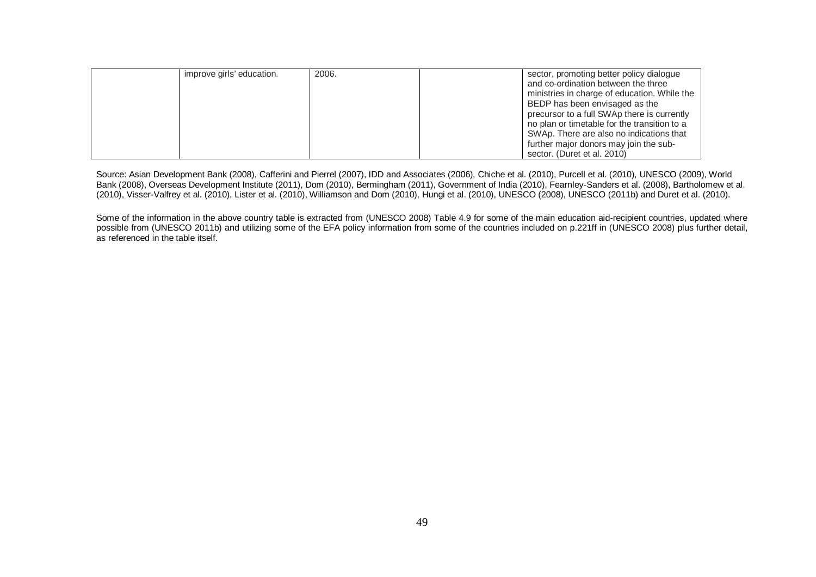| improve girls' education. | 2006. | sector, promoting better policy dialogue<br>and co-ordination between the three<br>ministries in charge of education. While the<br>BEDP has been envisaged as the<br>precursor to a full SWAp there is currently<br>no plan or timetable for the transition to a<br>SWAp. There are also no indications that<br>further major donors may join the sub- |
|---------------------------|-------|--------------------------------------------------------------------------------------------------------------------------------------------------------------------------------------------------------------------------------------------------------------------------------------------------------------------------------------------------------|
|                           |       | sector. (Duret et al. 2010)                                                                                                                                                                                                                                                                                                                            |

Source: Asian Development Bank (2008), Cafferini and Pierrel (2007), IDD and Associates (2006), Chiche et al. (2010), Purcell et al. (2010), UNESCO (2009), World Bank (2008), Overseas Development Institute (2011), Dom (2010), Bermingham (2011), Government of India (2010), Fearnley-Sanders et al. (2008), Bartholomew et al. (2010), Visser-Valfrey et al. (2010), Lister et al. (2010), Williamson and Dom (2010), Hungi et al. (2010), UNESCO (2008), UNESCO (2011b) and Duret et al. (2010).

Some of the information in the above country table is extracted from (UNESCO 2008) Table 4.9 for some of the main education aid-recipient countries, updated where possible from (UNESCO 2011b) and utilizing some of the EFA policy information from some of the countries included on p.221ff in (UNESCO 2008) plus further detail, as referenced in the table itself.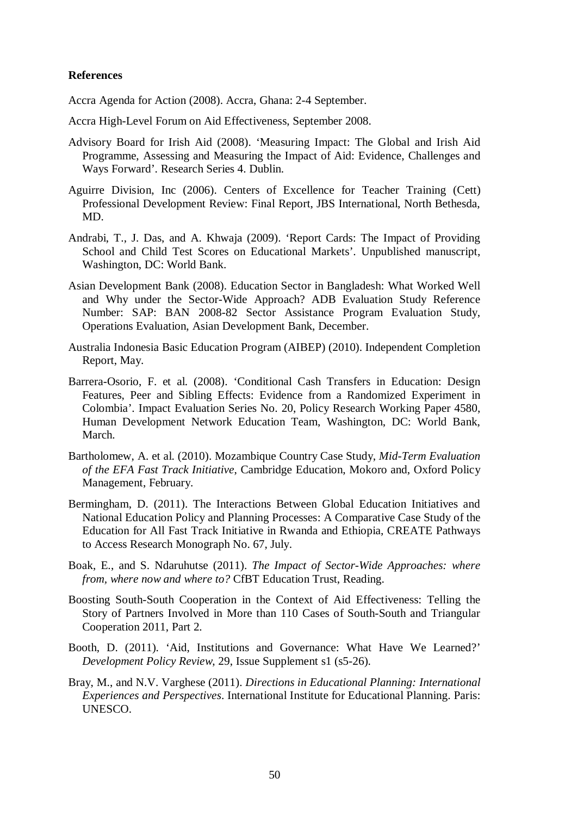## **References**

Accra Agenda for Action (2008). Accra, Ghana: 2-4 September.

Accra High-Level Forum on Aid Effectiveness, September 2008.

- Advisory Board for Irish Aid (2008). 'Measuring Impact: The Global and Irish Aid Programme, Assessing and Measuring the Impact of Aid: Evidence, Challenges and Ways Forward'. Research Series 4. Dublin.
- Aguirre Division, Inc (2006). Centers of Excellence for Teacher Training (Cett) Professional Development Review: Final Report, JBS International, North Bethesda, MD.
- Andrabi, T., J. Das, and A. Khwaja (2009). 'Report Cards: The Impact of Providing School and Child Test Scores on Educational Markets'. Unpublished manuscript, Washington, DC: World Bank.
- Asian Development Bank (2008). Education Sector in Bangladesh: What Worked Well and Why under the Sector-Wide Approach? ADB Evaluation Study Reference Number: SAP: BAN 2008-82 Sector Assistance Program Evaluation Study, Operations Evaluation, Asian Development Bank, December.
- Australia Indonesia Basic Education Program (AIBEP) (2010). Independent Completion Report, May.
- Barrera-Osorio, F. et al. (2008). 'Conditional Cash Transfers in Education: Design Features, Peer and Sibling Effects: Evidence from a Randomized Experiment in Colombia'. Impact Evaluation Series No. 20, Policy Research Working Paper 4580, Human Development Network Education Team, Washington, DC: World Bank, March.
- Bartholomew, A. et al. (2010). Mozambique Country Case Study, *Mid-Term Evaluation of the EFA Fast Track Initiative*, Cambridge Education, Mokoro and, Oxford Policy Management, February.
- Bermingham, D. (2011). The Interactions Between Global Education Initiatives and National Education Policy and Planning Processes: A Comparative Case Study of the Education for All Fast Track Initiative in Rwanda and Ethiopia, CREATE Pathways to Access Research Monograph No. 67, July.
- Boak, E., and S. Ndaruhutse (2011). *The Impact of Sector-Wide Approaches: where from, where now and where to?* CfBT Education Trust, Reading.
- Boosting South-South Cooperation in the Context of Aid Effectiveness: Telling the Story of Partners Involved in More than 110 Cases of South-South and Triangular Cooperation 2011, Part 2.
- Booth, D. (2011). 'Aid, Institutions and Governance: What Have We Learned?' *Development Policy Review*, 29, Issue Supplement s1 (s5-26).
- Bray, M., and N.V. Varghese (2011). *Directions in Educational Planning: International Experiences and Perspectives*. International Institute for Educational Planning. Paris: UNESCO.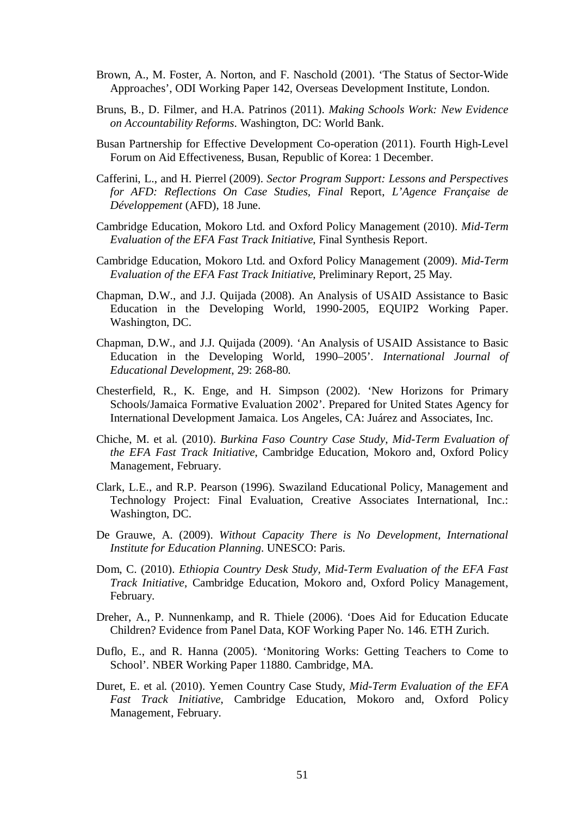- Brown, A., M. Foster, A. Norton, and F. Naschold (2001). 'The Status of Sector-Wide Approaches', ODI Working Paper 142, Overseas Development Institute, London.
- Bruns, B., D. Filmer, and H.A. Patrinos (2011). *Making Schools Work: New Evidence on Accountability Reforms*. Washington, DC: World Bank.
- Busan Partnership for Effective Development Co-operation (2011). Fourth High-Level Forum on Aid Effectiveness, Busan, Republic of Korea: 1 December.
- Cafferini, L., and H. Pierrel (2009). *Sector Program Support: Lessons and Perspectives for AFD: Reflections On Case Studies, Final* Report, *L'Agence Française de Développement* (AFD), 18 June.
- Cambridge Education, Mokoro Ltd. and Oxford Policy Management (2010). *Mid-Term Evaluation of the EFA Fast Track Initiative*, Final Synthesis Report.
- Cambridge Education, Mokoro Ltd. and Oxford Policy Management (2009). *Mid-Term Evaluation of the EFA Fast Track Initiative*, Preliminary Report, 25 May.
- Chapman, D.W., and J.J. Quijada (2008). An Analysis of USAID Assistance to Basic Education in the Developing World, 1990-2005, EQUIP2 Working Paper. Washington, DC.
- Chapman, D.W., and J.J. Quijada (2009). 'An Analysis of USAID Assistance to Basic Education in the Developing World, 1990–2005'. *International Journal of Educational Development*, 29: 268-80.
- Chesterfield, R., K. Enge, and H. Simpson (2002). 'New Horizons for Primary Schools/Jamaica Formative Evaluation 2002'. Prepared for United States Agency for International Development Jamaica. Los Angeles, CA: Juárez and Associates, Inc.
- Chiche, M. et al. (2010). *Burkina Faso Country Case Study*, *Mid-Term Evaluation of the EFA Fast Track Initiative*, Cambridge Education, Mokoro and, Oxford Policy Management, February.
- Clark, L.E., and R.P. Pearson (1996). Swaziland Educational Policy, Management and Technology Project: Final Evaluation, Creative Associates International, Inc.: Washington, DC.
- De Grauwe, A. (2009). *Without Capacity There is No Development, International Institute for Education Planning*. UNESCO: Paris.
- Dom, C. (2010). *Ethiopia Country Desk Study, Mid-Term Evaluation of the EFA Fast Track Initiative*, Cambridge Education, Mokoro and, Oxford Policy Management, February.
- Dreher, A., P. Nunnenkamp, and R. Thiele (2006). 'Does Aid for Education Educate Children? Evidence from Panel Data, KOF Working Paper No. 146. ETH Zurich.
- Duflo, E., and R. Hanna (2005). 'Monitoring Works: Getting Teachers to Come to School'. NBER Working Paper 11880. Cambridge, MA.
- Duret, E. et al. (2010). Yemen Country Case Study, *Mid-Term Evaluation of the EFA Fast Track Initiative*, Cambridge Education, Mokoro and, Oxford Policy Management, February.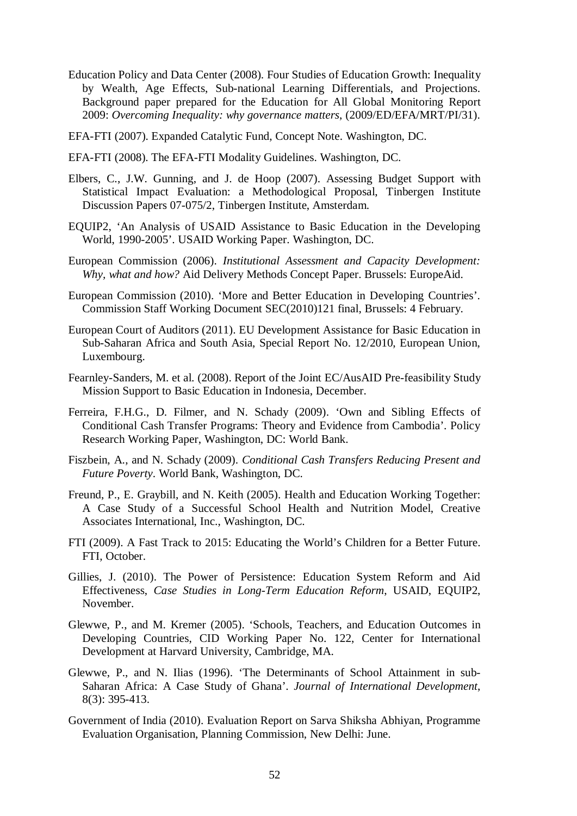- Education Policy and Data Center (2008). Four Studies of Education Growth: Inequality by Wealth, Age Effects, Sub-national Learning Differentials, and Projections. Background paper prepared for the Education for All Global Monitoring Report 2009: *Overcoming Inequality: why governance matters*, (2009/ED/EFA/MRT/PI/31).
- EFA-FTI (2007). Expanded Catalytic Fund, Concept Note. Washington, DC.
- EFA-FTI (2008). The EFA-FTI Modality Guidelines. Washington, DC.
- Elbers, C., J.W. Gunning, and J. de Hoop (2007). Assessing Budget Support with Statistical Impact Evaluation: a Methodological Proposal, Tinbergen Institute Discussion Papers 07-075/2, Tinbergen Institute, Amsterdam.
- EQUIP2, 'An Analysis of USAID Assistance to Basic Education in the Developing World, 1990-2005'. USAID Working Paper. Washington, DC.
- European Commission (2006). *Institutional Assessment and Capacity Development: Why, what and how?* Aid Delivery Methods Concept Paper. Brussels: EuropeAid.
- European Commission (2010). 'More and Better Education in Developing Countries'. Commission Staff Working Document SEC(2010)121 final, Brussels: 4 February.
- European Court of Auditors (2011). EU Development Assistance for Basic Education in Sub-Saharan Africa and South Asia, Special Report No. 12/2010, European Union, Luxembourg.
- Fearnley-Sanders, M. et al. (2008). Report of the Joint EC/AusAID Pre-feasibility Study Mission Support to Basic Education in Indonesia, December.
- Ferreira, F.H.G., D. Filmer, and N. Schady (2009). 'Own and Sibling Effects of Conditional Cash Transfer Programs: Theory and Evidence from Cambodia'. Policy Research Working Paper, Washington, DC: World Bank.
- Fiszbein, A., and N. Schady (2009). *Conditional Cash Transfers Reducing Present and Future Poverty*. World Bank, Washington, DC.
- Freund, P., E. Graybill, and N. Keith (2005). Health and Education Working Together: A Case Study of a Successful School Health and Nutrition Model, Creative Associates International, Inc., Washington, DC.
- FTI (2009). A Fast Track to 2015: Educating the World's Children for a Better Future. FTI, October.
- Gillies, J. (2010). The Power of Persistence: Education System Reform and Aid Effectiveness, *Case Studies in Long-Term Education Reform*, USAID, EQUIP2, November.
- Glewwe, P., and M. Kremer (2005). 'Schools, Teachers, and Education Outcomes in Developing Countries, CID Working Paper No. 122, Center for International Development at Harvard University, Cambridge, MA.
- Glewwe, P., and N. Ilias (1996). 'The Determinants of School Attainment in sub-Saharan Africa: A Case Study of Ghana'. *Journal of International Development*, 8(3): 395-413.
- Government of India (2010). Evaluation Report on Sarva Shiksha Abhiyan, Programme Evaluation Organisation, Planning Commission, New Delhi: June.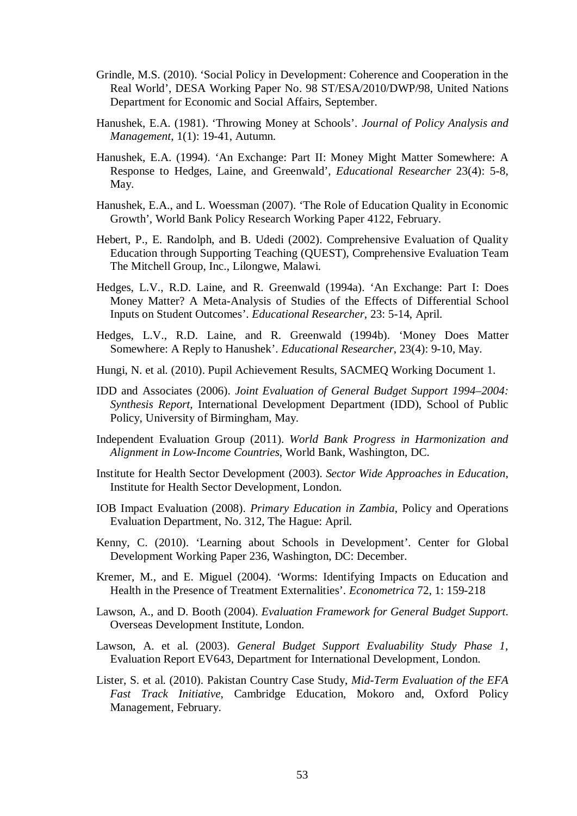- Grindle, M.S. (2010). 'Social Policy in Development: Coherence and Cooperation in the Real World', DESA Working Paper No. 98 ST/ESA/2010/DWP/98, United Nations Department for Economic and Social Affairs, September.
- Hanushek, E.A. (1981). 'Throwing Money at Schools'. *Journal of Policy Analysis and Management*, 1(1): 19-41, Autumn.
- Hanushek, E.A. (1994). 'An Exchange: Part II: Money Might Matter Somewhere: A Response to Hedges, Laine, and Greenwald', *Educational Researcher* 23(4): 5-8, May.
- Hanushek, E.A., and L. Woessman (2007). 'The Role of Education Quality in Economic Growth', World Bank Policy Research Working Paper 4122, February.
- Hebert, P., E. Randolph, and B. Udedi (2002). Comprehensive Evaluation of Quality Education through Supporting Teaching (QUEST), Comprehensive Evaluation Team The Mitchell Group, Inc., Lilongwe, Malawi.
- Hedges, L.V., R.D. Laine, and R. Greenwald (1994a). 'An Exchange: Part I: Does Money Matter? A Meta-Analysis of Studies of the Effects of Differential School Inputs on Student Outcomes'. *Educational Researcher*, 23: 5-14, April.
- Hedges, L.V., R.D. Laine, and R. Greenwald (1994b). 'Money Does Matter Somewhere: A Reply to Hanushek'. *Educational Researcher*, 23(4): 9-10, May.
- Hungi, N. et al. (2010). Pupil Achievement Results, SACMEQ Working Document 1.
- IDD and Associates (2006). *Joint Evaluation of General Budget Support 1994–2004: Synthesis Report*, International Development Department (IDD), School of Public Policy, University of Birmingham, May.
- Independent Evaluation Group (2011). *World Bank Progress in Harmonization and Alignment in Low-Income Countries*, World Bank, Washington, DC.
- Institute for Health Sector Development (2003). *Sector Wide Approaches in Education*, Institute for Health Sector Development, London.
- IOB Impact Evaluation (2008). *Primary Education in Zambia*, Policy and Operations Evaluation Department, No. 312, The Hague: April.
- Kenny, C. (2010). 'Learning about Schools in Development'. Center for Global Development Working Paper 236, Washington, DC: December.
- Kremer, M., and E. Miguel (2004). 'Worms: Identifying Impacts on Education and Health in the Presence of Treatment Externalities'. *Econometrica* 72, 1: 159-218
- Lawson, A., and D. Booth (2004). *Evaluation Framework for General Budget Support*. Overseas Development Institute, London.
- Lawson, A. et al. (2003). *General Budget Support Evaluability Study Phase 1*, Evaluation Report EV643, Department for International Development, London.
- Lister, S. et al. (2010). Pakistan Country Case Study, *Mid-Term Evaluation of the EFA Fast Track Initiative*, Cambridge Education, Mokoro and, Oxford Policy Management, February.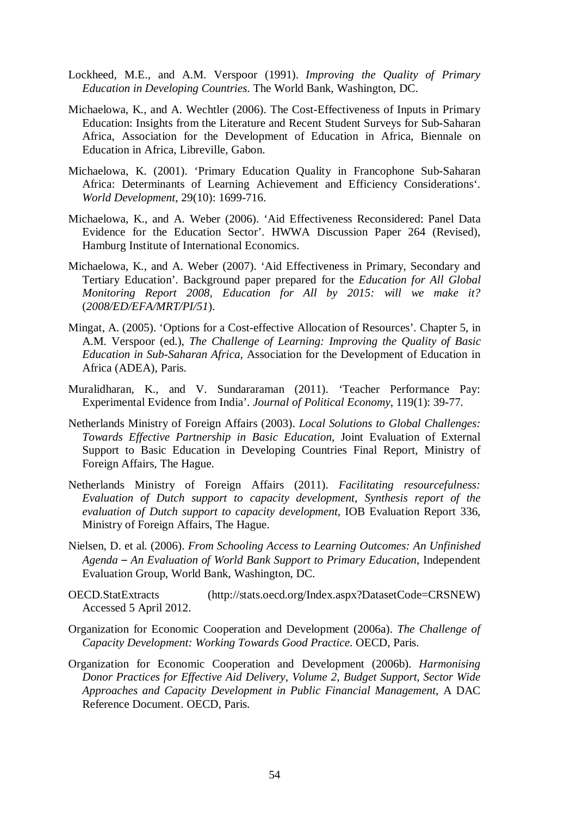- Lockheed, M.E., and A.M. Verspoor (1991). *Improving the Quality of Primary Education in Developing Countries*. The World Bank, Washington, DC.
- Michaelowa, K., and A. Wechtler (2006). The Cost-Effectiveness of Inputs in Primary Education: Insights from the Literature and Recent Student Surveys for Sub-Saharan Africa, Association for the Development of Education in Africa, Biennale on Education in Africa, Libreville, Gabon.
- Michaelowa, K. (2001). 'Primary Education Quality in Francophone Sub-Saharan Africa: Determinants of Learning Achievement and Efficiency Considerations'. *World Development*, 29(10): 1699-716.
- Michaelowa, K., and A. Weber (2006). 'Aid Effectiveness Reconsidered: Panel Data Evidence for the Education Sector'. HWWA Discussion Paper 264 (Revised), Hamburg Institute of International Economics.
- Michaelowa, K., and A. Weber (2007). 'Aid Effectiveness in Primary, Secondary and Tertiary Education'. Background paper prepared for the *Education for All Global Monitoring Report 2008, Education for All by 2015: will we make it?* (*2008/ED/EFA/MRT/PI/51*).
- Mingat, A. (2005). 'Options for a Cost-effective Allocation of Resources'. Chapter 5, in A.M. Verspoor (ed.), *The Challenge of Learning: Improving the Quality of Basic Education in Sub-Saharan Africa,* Association for the Development of Education in Africa (ADEA), Paris.
- Muralidharan, K., and V. Sundararaman (2011). 'Teacher Performance Pay: Experimental Evidence from India'. *Journal of Political Economy*, 119(1): 39-77.
- Netherlands Ministry of Foreign Affairs (2003). *Local Solutions to Global Challenges: Towards Effective Partnership in Basic Education*, Joint Evaluation of External Support to Basic Education in Developing Countries Final Report, Ministry of Foreign Affairs, The Hague.
- Netherlands Ministry of Foreign Affairs (2011). *Facilitating resourcefulness: Evaluation of Dutch support to capacity development, Synthesis report of the evaluation of Dutch support to capacity development*, IOB Evaluation Report 336, Ministry of Foreign Affairs, The Hague.
- Nielsen, D. et al. (2006). *From Schooling Access to Learning Outcomes: An Unfinished Agenda – An Evaluation of World Bank Support to Primary Education*, Independent Evaluation Group, World Bank, Washington, DC.
- OECD.StatExtracts (http://stats.oecd.org/Index.aspx?DatasetCode=CRSNEW) Accessed 5 April 2012.
- Organization for Economic Cooperation and Development (2006a). *The Challenge of Capacity Development: Working Towards Good Practice*. OECD, Paris.
- Organization for Economic Cooperation and Development (2006b). *Harmonising Donor Practices for Effective Aid Delivery, Volume 2, Budget Support, Sector Wide Approaches and Capacity Development in Public Financial Management*, A DAC Reference Document. OECD, Paris.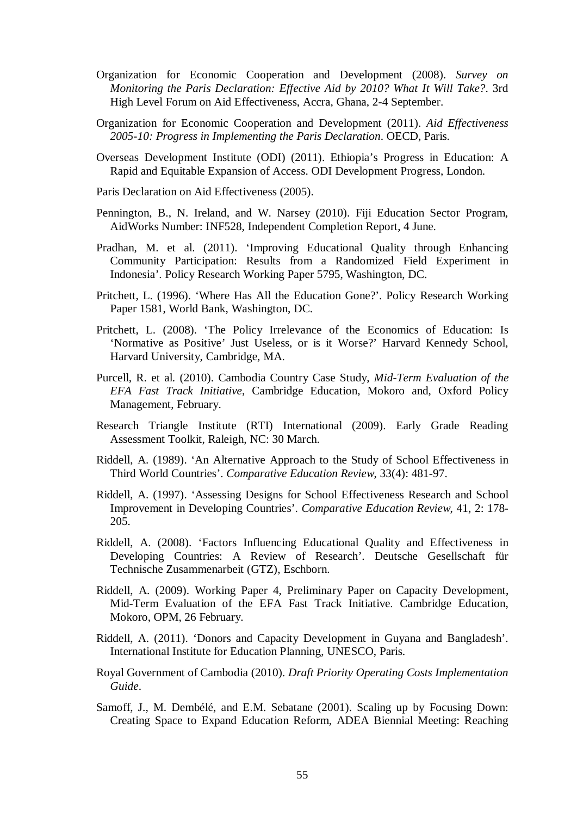- Organization for Economic Cooperation and Development (2008). *Survey on Monitoring the Paris Declaration: Effective Aid by 2010? What It Will Take?*. 3rd High Level Forum on Aid Effectiveness, Accra, Ghana, 2-4 September.
- Organization for Economic Cooperation and Development (2011). *Aid Effectiveness 2005-10: Progress in Implementing the Paris Declaration*. OECD, Paris.
- Overseas Development Institute (ODI) (2011). Ethiopia's Progress in Education: A Rapid and Equitable Expansion of Access. ODI Development Progress, London.

Paris Declaration on Aid Effectiveness (2005).

- Pennington, B., N. Ireland, and W. Narsey (2010). Fiji Education Sector Program, AidWorks Number: INF528, Independent Completion Report, 4 June.
- Pradhan, M. et al. (2011). 'Improving Educational Quality through Enhancing Community Participation: Results from a Randomized Field Experiment in Indonesia'. Policy Research Working Paper 5795, Washington, DC.
- Pritchett, L. (1996). 'Where Has All the Education Gone?'. Policy Research Working Paper 1581, World Bank, Washington, DC.
- Pritchett, L. (2008). 'The Policy Irrelevance of the Economics of Education: Is 'Normative as Positive' Just Useless, or is it Worse?' Harvard Kennedy School, Harvard University, Cambridge, MA.
- Purcell, R. et al. (2010). Cambodia Country Case Study, *Mid-Term Evaluation of the EFA Fast Track Initiative*, Cambridge Education, Mokoro and, Oxford Policy Management, February.
- Research Triangle Institute (RTI) International (2009). Early Grade Reading Assessment Toolkit, Raleigh, NC: 30 March.
- Riddell, A. (1989). 'An Alternative Approach to the Study of School Effectiveness in Third World Countries'. *Comparative Education Review*, 33(4): 481-97.
- Riddell, A. (1997). 'Assessing Designs for School Effectiveness Research and School Improvement in Developing Countries'. *Comparative Education Review*, 41, 2: 178- 205.
- Riddell, A. (2008). 'Factors Influencing Educational Quality and Effectiveness in Developing Countries: A Review of Research'. Deutsche Gesellschaft für Technische Zusammenarbeit (GTZ), Eschborn.
- Riddell, A. (2009). Working Paper 4, Preliminary Paper on Capacity Development, Mid-Term Evaluation of the EFA Fast Track Initiative. Cambridge Education, Mokoro, OPM, 26 February.
- Riddell, A. (2011). 'Donors and Capacity Development in Guyana and Bangladesh'. International Institute for Education Planning, UNESCO, Paris.
- Royal Government of Cambodia (2010). *Draft Priority Operating Costs Implementation Guide*.
- Samoff, J., M. Dembélé, and E.M. Sebatane (2001). Scaling up by Focusing Down: Creating Space to Expand Education Reform, ADEA Biennial Meeting: Reaching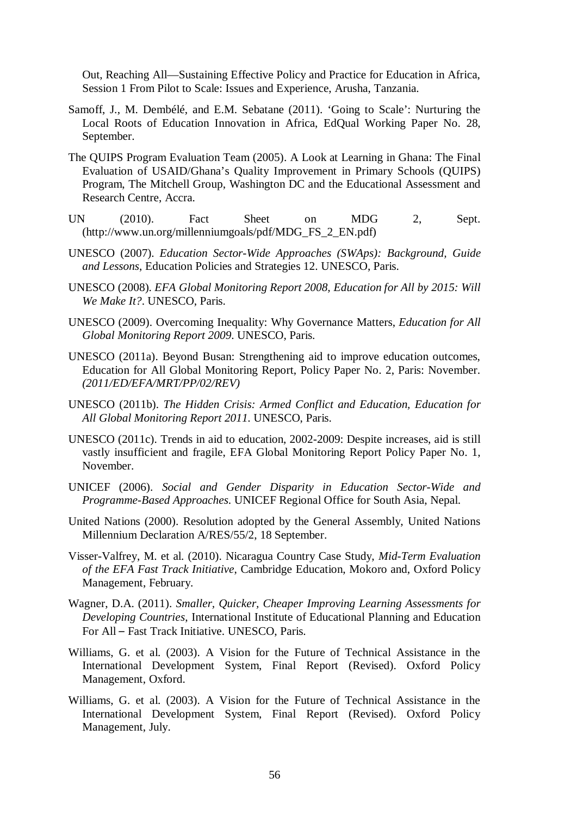Out, Reaching All—Sustaining Effective Policy and Practice for Education in Africa, Session 1 From Pilot to Scale: Issues and Experience, Arusha, Tanzania.

- Samoff, J., M. Dembélé, and E.M. Sebatane (2011). 'Going to Scale': Nurturing the Local Roots of Education Innovation in Africa, EdQual Working Paper No. 28, September.
- The QUIPS Program Evaluation Team (2005). A Look at Learning in Ghana: The Final Evaluation of USAID/Ghana's Quality Improvement in Primary Schools (QUIPS) Program, The Mitchell Group, Washington DC and the Educational Assessment and Research Centre, Accra.
- UN (2010). Fact Sheet on MDG 2, Sept. (http://www.un.org/millenniumgoals/pdf/MDG\_FS\_2\_EN.pdf)
- UNESCO (2007). *Education Sector-Wide Approaches (SWAps): Background, Guide and Lessons*, Education Policies and Strategies 12. UNESCO, Paris.
- UNESCO (2008). *EFA Global Monitoring Report 2008, Education for All by 2015: Will We Make It?*. UNESCO, Paris.
- UNESCO (2009). Overcoming Inequality: Why Governance Matters, *Education for All Global Monitoring Report 2009*. UNESCO, Paris.
- UNESCO (2011a). Beyond Busan: Strengthening aid to improve education outcomes, Education for All Global Monitoring Report, Policy Paper No. 2, Paris: November. *(2011/ED/EFA/MRT/PP/02/REV)*
- UNESCO (2011b). *The Hidden Crisis: Armed Conflict and Education, Education for All Global Monitoring Report 2011*. UNESCO, Paris.
- UNESCO (2011c). Trends in aid to education, 2002-2009: Despite increases, aid is still vastly insufficient and fragile, EFA Global Monitoring Report Policy Paper No. 1, November.
- UNICEF (2006). *Social and Gender Disparity in Education Sector-Wide and Programme-Based Approaches*. UNICEF Regional Office for South Asia, Nepal.
- United Nations (2000). Resolution adopted by the General Assembly, United Nations Millennium Declaration A/RES/55/2, 18 September.
- Visser-Valfrey, M. et al. (2010). Nicaragua Country Case Study, *Mid-Term Evaluation of the EFA Fast Track Initiative*, Cambridge Education, Mokoro and, Oxford Policy Management, February.
- Wagner, D.A. (2011). *Smaller, Quicker, Cheaper Improving Learning Assessments for Developing Countries*, International Institute of Educational Planning and Education For All – Fast Track Initiative. UNESCO, Paris.
- Williams, G. et al. (2003). A Vision for the Future of Technical Assistance in the International Development System, Final Report (Revised). Oxford Policy Management, Oxford.
- Williams, G. et al. (2003). A Vision for the Future of Technical Assistance in the International Development System, Final Report (Revised). Oxford Policy Management, July.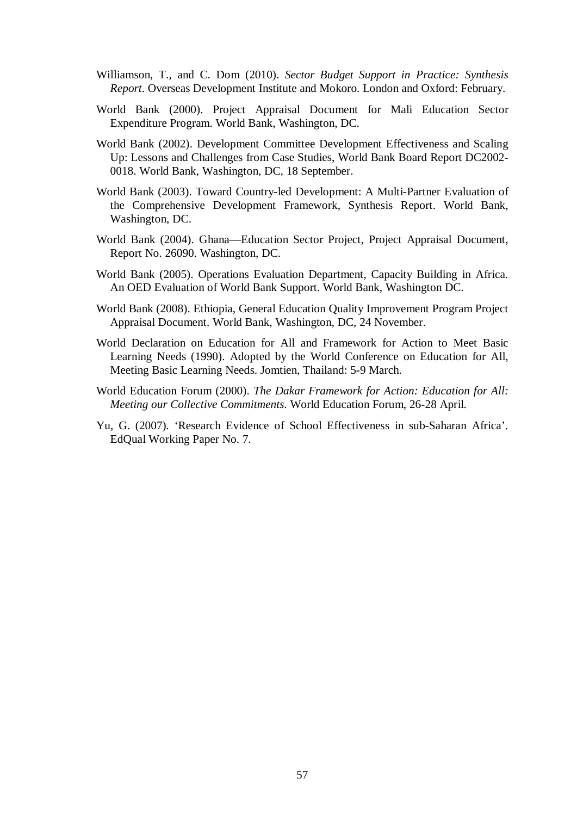- Williamson, T., and C. Dom (2010). *Sector Budget Support in Practice: Synthesis Report*. Overseas Development Institute and Mokoro. London and Oxford: February.
- World Bank (2000). Project Appraisal Document for Mali Education Sector Expenditure Program. World Bank, Washington, DC.
- World Bank (2002). Development Committee Development Effectiveness and Scaling Up: Lessons and Challenges from Case Studies, World Bank Board Report DC2002- 0018. World Bank, Washington, DC, 18 September.
- World Bank (2003). Toward Country-led Development: A Multi-Partner Evaluation of the Comprehensive Development Framework, Synthesis Report. World Bank, Washington, DC.
- World Bank (2004). Ghana—Education Sector Project, Project Appraisal Document, Report No. 26090. Washington, DC.
- World Bank (2005). Operations Evaluation Department, Capacity Building in Africa. An OED Evaluation of World Bank Support. World Bank, Washington DC.
- World Bank (2008). Ethiopia, General Education Quality Improvement Program Project Appraisal Document. World Bank, Washington, DC, 24 November.
- World Declaration on Education for All and Framework for Action to Meet Basic Learning Needs (1990). Adopted by the World Conference on Education for All, Meeting Basic Learning Needs. Jomtien, Thailand: 5-9 March.
- World Education Forum (2000). *The Dakar Framework for Action: Education for All: Meeting our Collective Commitments*. World Education Forum, 26-28 April.
- Yu, G. (2007). 'Research Evidence of School Effectiveness in sub-Saharan Africa'. EdQual Working Paper No. 7.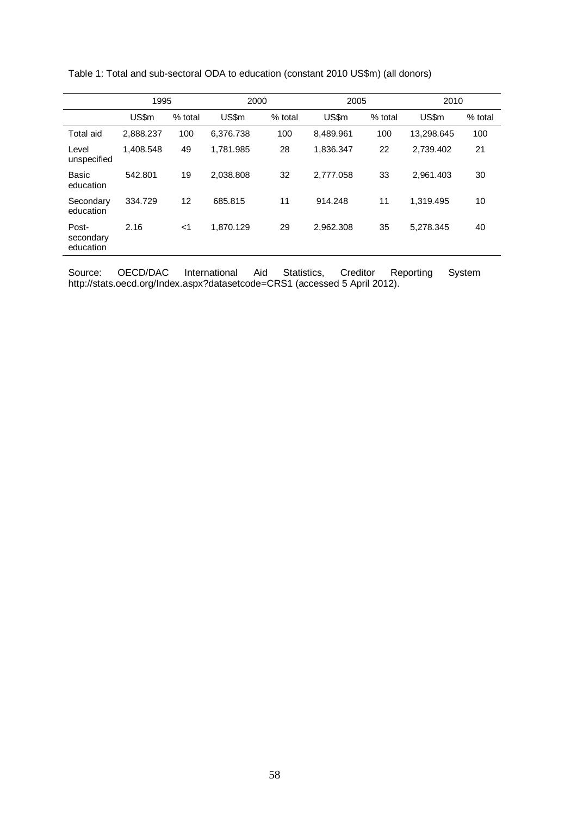|                                 | 1995      |         | 2000      |         | 2005      |         | 2010       |         |
|---------------------------------|-----------|---------|-----------|---------|-----------|---------|------------|---------|
|                                 | US\$m     | % total | US\$m     | % total | US\$m     | % total | US\$m      | % total |
| Total aid                       | 2,888.237 | 100     | 6,376.738 | 100     | 8,489.961 | 100     | 13,298.645 | 100     |
| Level<br>unspecified            | 1,408.548 | 49      | 1,781.985 | 28      | 1,836.347 | 22      | 2,739.402  | 21      |
| Basic<br>education              | 542.801   | 19      | 2.038.808 | 32      | 2.777.058 | 33      | 2,961.403  | 30      |
| Secondary<br>education          | 334.729   | 12      | 685.815   | 11      | 914.248   | 11      | 1.319.495  | 10      |
| Post-<br>secondary<br>education | 2.16      | $<$ 1   | 1,870.129 | 29      | 2,962.308 | 35      | 5,278.345  | 40      |

Table 1: Total and sub-sectoral ODA to education (constant 2010 US\$m) (all donors)

Source: OECD/DAC International Aid Statistics, Creditor Reporting System http://stats.oecd.org/Index.aspx?datasetcode=CRS1 (accessed 5 April 2012).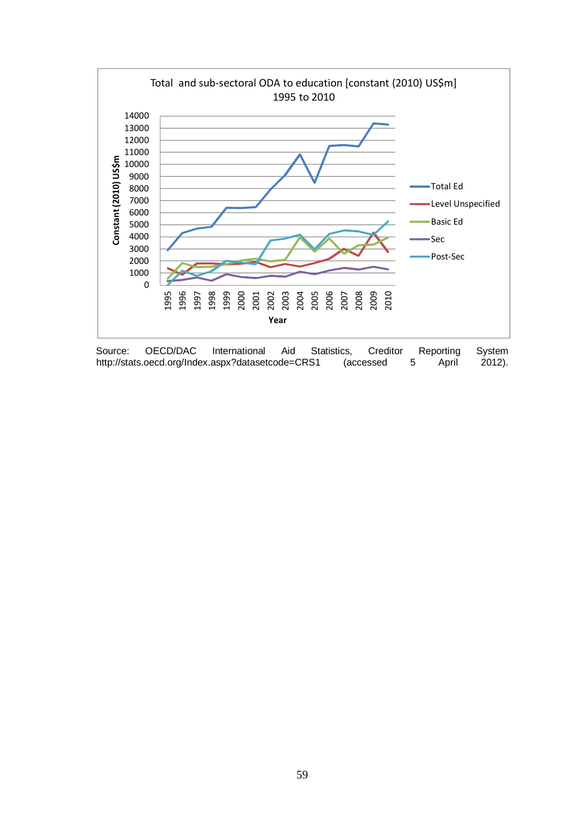

Source: OECD/DAC International Aid Statistics, Creditor Reporting System http://stats.oecd.org/Index.aspx?datasetcode=CRS1 (accessed 5 April 2012).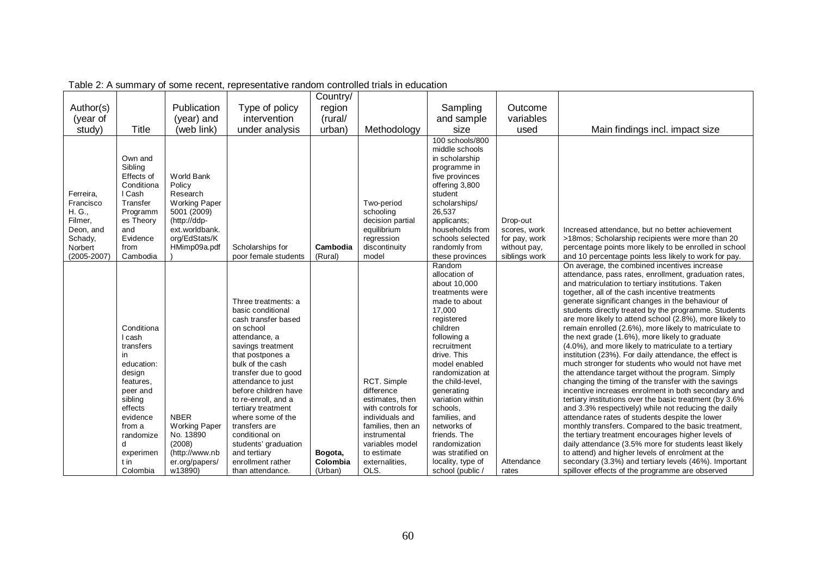|                      |                     |                                   |                                    | Country/ |                                   |                                     |                               |                                                                                                           |
|----------------------|---------------------|-----------------------------------|------------------------------------|----------|-----------------------------------|-------------------------------------|-------------------------------|-----------------------------------------------------------------------------------------------------------|
| Author(s)            |                     | Publication                       | Type of policy                     | region   |                                   | Sampling                            | Outcome                       |                                                                                                           |
| (year of             |                     | (year) and                        | intervention                       | (rural/  |                                   | and sample                          | variables                     |                                                                                                           |
| study)               | Title               | (web link)                        | under analysis                     | urban)   | Methodology                       | size                                | used                          | Main findings incl. impact size                                                                           |
|                      |                     |                                   |                                    |          |                                   | 100 schools/800                     |                               |                                                                                                           |
|                      |                     |                                   |                                    |          |                                   | middle schools                      |                               |                                                                                                           |
|                      | Own and             |                                   |                                    |          |                                   | in scholarship                      |                               |                                                                                                           |
|                      | Sibling             |                                   |                                    |          |                                   | programme in                        |                               |                                                                                                           |
|                      | Effects of          | <b>World Bank</b>                 |                                    |          |                                   | five provinces                      |                               |                                                                                                           |
|                      | Conditiona          | Policy                            |                                    |          |                                   | offering 3,800                      |                               |                                                                                                           |
| Ferreira,            | I Cash              | Research                          |                                    |          |                                   | student                             |                               |                                                                                                           |
| Francisco            | Transfer            | <b>Working Paper</b>              |                                    |          | Two-period                        | scholarships/                       |                               |                                                                                                           |
| H. G.,               | Programm            | 5001 (2009)                       |                                    |          | schooling                         | 26,537                              |                               |                                                                                                           |
| Filmer,              | es Theory           | (http://ddp-                      |                                    |          | decision partial                  | applicants;                         | Drop-out                      |                                                                                                           |
| Deon, and<br>Schady, | and<br>Evidence     | ext.worldbank.<br>org/EdStats/K   |                                    |          | equilibrium<br>regression         | households from<br>schools selected | scores, work<br>for pay, work | Increased attendance, but no better achievement<br>>18mos: Scholarship recipients were more than 20       |
| Norbert              | from                | HMimp09a.pdf                      | Scholarships for                   | Cambodia | discontinuity                     | randomly from                       | without pay,                  | percentage points more likely to be enrolled in school                                                    |
| (2005-2007           | Cambodia            |                                   | poor female students               | (Rural)  | model                             | these provinces                     | siblings work                 | and 10 percentage points less likely to work for pay.                                                     |
|                      |                     |                                   |                                    |          |                                   | Random                              |                               | On average, the combined incentives increase                                                              |
|                      |                     |                                   |                                    |          |                                   | allocation of                       |                               | attendance, pass rates, enrollment, graduation rates,                                                     |
|                      |                     |                                   |                                    |          |                                   | about 10,000                        |                               | and matriculation to tertiary institutions. Taken                                                         |
|                      |                     |                                   |                                    |          |                                   | treatments were                     |                               | together, all of the cash incentive treatments                                                            |
|                      |                     |                                   | Three treatments: a                |          |                                   | made to about                       |                               | generate significant changes in the behaviour of                                                          |
|                      |                     |                                   | basic conditional                  |          |                                   | 17,000                              |                               | students directly treated by the programme. Students                                                      |
|                      |                     |                                   | cash transfer based                |          |                                   | registered                          |                               | are more likely to attend school (2.8%), more likely to                                                   |
|                      | Conditiona          |                                   | on school                          |          |                                   | children                            |                               | remain enrolled (2.6%), more likely to matriculate to                                                     |
|                      | cash<br>transfers   |                                   | attendance, a<br>savings treatment |          |                                   | following a<br>recruitment          |                               | the next grade (1.6%), more likely to graduate<br>(4.0%), and more likely to matriculate to a tertiary    |
|                      | in.                 |                                   | that postpones a                   |          |                                   | drive. This                         |                               | institution (23%). For daily attendance, the effect is                                                    |
|                      | education:          |                                   | bulk of the cash                   |          |                                   | model enabled                       |                               | much stronger for students who would not have met                                                         |
|                      | design              |                                   | transfer due to good               |          |                                   | randomization at                    |                               | the attendance target without the program. Simply                                                         |
|                      | features.           |                                   | attendance to just                 |          | RCT. Simple                       | the child-level.                    |                               | changing the timing of the transfer with the savings                                                      |
|                      | peer and            |                                   | before children have               |          | difference                        | generating                          |                               | incentive increases enrolment in both secondary and                                                       |
|                      | sibling             |                                   | to re-enroll, and a                |          | estimates, then                   | variation within                    |                               | tertiary institutions over the basic treatment (by 3.6%                                                   |
|                      | effects             |                                   | tertiary treatment                 |          | with controls for                 | schools.                            |                               | and 3.3% respectively) while not reducing the daily                                                       |
|                      | evidence            | <b>NBER</b>                       | where some of the<br>transfers are |          | individuals and                   | families, and<br>networks of        |                               | attendance rates of students despite the lower                                                            |
|                      | from a<br>randomize | <b>Working Paper</b><br>No. 13890 | conditional on                     |          | families, then an<br>instrumental | friends. The                        |                               | monthly transfers. Compared to the basic treatment,<br>the tertiary treatment encourages higher levels of |
|                      | d                   | (2008)                            | students' graduation               |          | variables model                   | randomization                       |                               | daily attendance (3.5% more for students least likely                                                     |
|                      | experimen           | (http://www.nb                    | and tertiary                       | Bogota,  | to estimate                       | was stratified on                   |                               | to attend) and higher levels of enrolment at the                                                          |
|                      | t in                | er.org/papers/                    | enrollment rather                  | Colombia | externalities,                    | locality, type of                   | Attendance                    | secondary (3.3%) and tertiary levels (46%). Important                                                     |
|                      | Colombia            | w13890)                           | than attendance.                   | (Urban)  | OLS.                              | school (public)                     | rates                         | spillover effects of the programme are observed                                                           |

Table 2: A summary of some recent, representative random controlled trials in education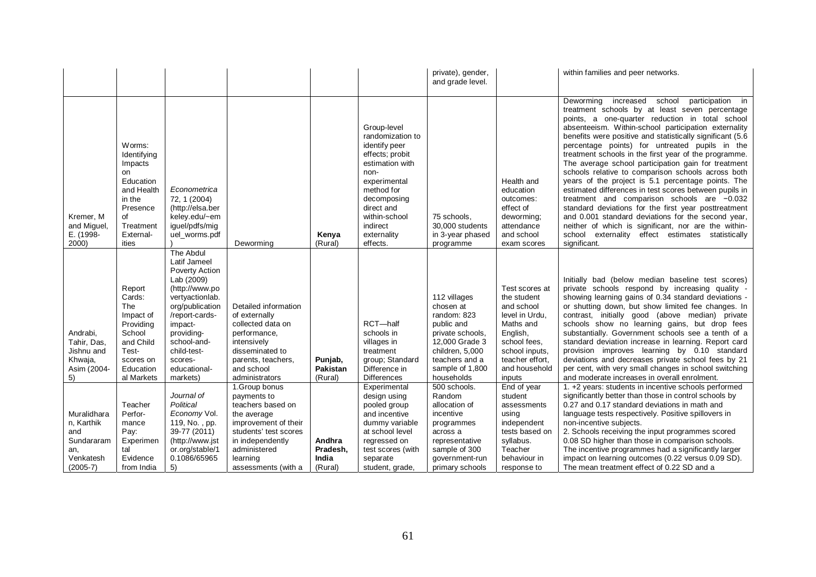|                                                                                    |                                                                                                                                         |                                                                                                                                                                                                                                          |                                                                                                                                                                                          |                                        |                                                                                                                                                                                                                   | private), gender,<br>and grade level.                                                                                                                              |                                                                                                                                                                        | within families and peer networks.                                                                                                                                                                                                                                                                                                                                                                                                                                                                                                                                                                                                                                                                                                                                                                                                                                                                                |
|------------------------------------------------------------------------------------|-----------------------------------------------------------------------------------------------------------------------------------------|------------------------------------------------------------------------------------------------------------------------------------------------------------------------------------------------------------------------------------------|------------------------------------------------------------------------------------------------------------------------------------------------------------------------------------------|----------------------------------------|-------------------------------------------------------------------------------------------------------------------------------------------------------------------------------------------------------------------|--------------------------------------------------------------------------------------------------------------------------------------------------------------------|------------------------------------------------------------------------------------------------------------------------------------------------------------------------|-------------------------------------------------------------------------------------------------------------------------------------------------------------------------------------------------------------------------------------------------------------------------------------------------------------------------------------------------------------------------------------------------------------------------------------------------------------------------------------------------------------------------------------------------------------------------------------------------------------------------------------------------------------------------------------------------------------------------------------------------------------------------------------------------------------------------------------------------------------------------------------------------------------------|
| Kremer, M<br>and Miguel,<br>E. (1998-<br>2000)                                     | Worms:<br>Identifying<br>Impacts<br><b>on</b><br>Education<br>and Health<br>in the<br>Presence<br>of<br>Treatment<br>External-<br>ities | Econometrica<br>72, 1 (2004)<br>(http://elsa.ber<br>keley.edu/~em<br>iguel/pdfs/mig<br>uel worms.pdf                                                                                                                                     | Deworming                                                                                                                                                                                | Kenya<br>(Rural)                       | Group-level<br>randomization to<br>identify peer<br>effects; probit<br>estimation with<br>non-<br>experimental<br>method for<br>decomposing<br>direct and<br>within-school<br>indirect<br>externality<br>effects. | 75 schools.<br>30,000 students<br>in 3-year phased<br>programme                                                                                                    | Health and<br>education<br>outcomes:<br>effect of<br>deworming;<br>attendance<br>and school<br>exam scores                                                             | Deworming<br>increased<br>school<br>participation in<br>treatment schools by at least seven percentage<br>points, a one-quarter reduction in total school<br>absenteeism. Within-school participation externality<br>benefits were positive and statistically significant (5.6)<br>percentage points) for untreated pupils in the<br>treatment schools in the first year of the programme.<br>The average school participation gain for treatment<br>schools relative to comparison schools across both<br>years of the project is 5.1 percentage points. The<br>estimated differences in test scores between pupils in<br>treatment and comparison schools are -0.032<br>standard deviations for the first year posttreatment<br>and 0.001 standard deviations for the second year,<br>neither of which is significant, nor are the within-<br>school externality effect estimates statistically<br>significant. |
| Andrabi,<br>Tahir, Das.<br>Jishnu and<br>Khwaja,<br>Asim (2004-<br>5)              | Report<br>Cards:<br>The<br>Impact of<br>Providing<br>School<br>and Child<br>Test-<br>scores on<br>Education<br>al Markets               | The Abdul<br>Latif Jameel<br><b>Poverty Action</b><br>Lab (2009)<br>(http://www.po<br>vertyactionlab.<br>org/publication<br>/report-cards-<br>impact-<br>providing-<br>school-and-<br>child-test-<br>scores-<br>educational-<br>markets) | Detailed information<br>of externally<br>collected data on<br>performance,<br>intensively<br>disseminated to<br>parents, teachers,<br>and school<br>administrators                       | Punjab,<br>Pakistan<br>(Rural)         | RCT-half<br>schools in<br>villages in<br>treatment<br>group; Standard<br>Difference in<br><b>Differences</b>                                                                                                      | 112 villages<br>chosen at<br>random: 823<br>public and<br>private schools,<br>12,000 Grade 3<br>children, 5,000<br>teachers and a<br>sample of 1,800<br>households | Test scores at<br>the student<br>and school<br>level in Urdu,<br>Maths and<br>English,<br>school fees.<br>school inputs,<br>teacher effort,<br>and household<br>inputs | Initially bad (below median baseline test scores)<br>private schools respond by increasing quality -<br>showing learning gains of 0.34 standard deviations -<br>or shutting down, but show limited fee changes. In<br>contrast, initially good (above median) private<br>schools show no learning gains, but drop fees<br>substantially. Government schools see a tenth of a<br>standard deviation increase in learning. Report card<br>provision improves learning by 0.10 standard<br>deviations and decreases private school fees by 21<br>per cent, with very small changes in school switching<br>and moderate increases in overall enrolment.                                                                                                                                                                                                                                                               |
| Muralidhara<br>n, Karthik<br>and<br>Sundararam<br>an,<br>Venkatesh<br>$(2005 - 7)$ | Teacher<br>Perfor-<br>mance<br>Pay:<br>Experimen<br>tal<br>Evidence<br>from India                                                       | Journal of<br>Political<br>Economy Vol.<br>119, No., pp.<br>39-77 (2011)<br>(http://www.jst<br>or.org/stable/1<br>0.1086/65965<br>5)                                                                                                     | 1.Group bonus<br>payments to<br>teachers based on<br>the average<br>improvement of their<br>students' test scores<br>in independently<br>administered<br>learning<br>assessments (with a | Andhra<br>Pradesh,<br>India<br>(Rural) | Experimental<br>design using<br>pooled group<br>and incentive<br>dummy variable<br>at school level<br>regressed on<br>test scores (with<br>separate<br>student, grade,                                            | 500 schools.<br>Random<br>allocation of<br>incentive<br>programmes<br>across a<br>representative<br>sample of 300<br>government-run<br>primary schools             | End of year<br>student<br>assessments<br>using<br>independent<br>tests based on<br>syllabus.<br>Teacher<br>behaviour in<br>response to                                 | 1. +2 years: students in incentive schools performed<br>significantly better than those in control schools by<br>0.27 and 0.17 standard deviations in math and<br>language tests respectively. Positive spillovers in<br>non-incentive subjects.<br>2. Schools receiving the input programmes scored<br>0.08 SD higher than those in comparison schools.<br>The incentive programmes had a significantly larger<br>impact on learning outcomes (0.22 versus 0.09 SD).<br>The mean treatment effect of 0.22 SD and a                                                                                                                                                                                                                                                                                                                                                                                               |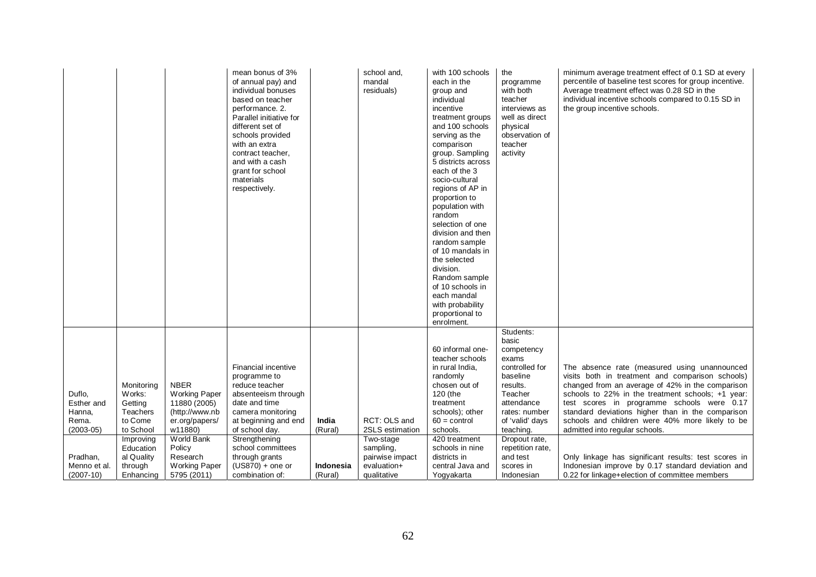|                                                                    |                                                                                                             |                                                                                                                                        | mean bonus of 3%<br>of annual pay) and<br>individual bonuses<br>based on teacher<br>performance. 2.<br>Parallel initiative for<br>different set of<br>schools provided<br>with an extra<br>contract teacher,<br>and with a cash<br>grant for school<br>materials<br>respectively. |                      | school and,<br>mandal<br>residuals)                                          | with 100 schools<br>each in the<br>group and<br>individual<br>incentive<br>treatment groups<br>and 100 schools<br>serving as the<br>comparison<br>group. Sampling<br>5 districts across<br>each of the 3<br>socio-cultural<br>regions of AP in<br>proportion to<br>population with<br>random<br>selection of one<br>division and then<br>random sample<br>of 10 mandals in<br>the selected<br>division.<br>Random sample<br>of 10 schools in<br>each mandal<br>with probability<br>proportional to<br>enrolment. | the<br>programme<br>with both<br>teacher<br>interviews as<br>well as direct<br>physical<br>observation of<br>teacher<br>activity                                                                               | minimum average treatment effect of 0.1 SD at every<br>percentile of baseline test scores for group incentive.<br>Average treatment effect was 0.28 SD in the<br>individual incentive schools compared to 0.15 SD in<br>the group incentive schools.                                                                                                                                                                                                      |
|--------------------------------------------------------------------|-------------------------------------------------------------------------------------------------------------|----------------------------------------------------------------------------------------------------------------------------------------|-----------------------------------------------------------------------------------------------------------------------------------------------------------------------------------------------------------------------------------------------------------------------------------|----------------------|------------------------------------------------------------------------------|------------------------------------------------------------------------------------------------------------------------------------------------------------------------------------------------------------------------------------------------------------------------------------------------------------------------------------------------------------------------------------------------------------------------------------------------------------------------------------------------------------------|----------------------------------------------------------------------------------------------------------------------------------------------------------------------------------------------------------------|-----------------------------------------------------------------------------------------------------------------------------------------------------------------------------------------------------------------------------------------------------------------------------------------------------------------------------------------------------------------------------------------------------------------------------------------------------------|
| Duflo,<br>Esther and<br>Hanna.<br>Rema.<br>$(2003-05)$<br>Pradhan, | Monitoring<br>Works:<br>Getting<br>Teachers<br>to Come<br>to School<br>Improving<br>Education<br>al Quality | <b>NBER</b><br><b>Working Paper</b><br>11880 (2005)<br>(http://www.nb<br>er.org/papers/<br>w11880)<br>World Bank<br>Policy<br>Research | Financial incentive<br>programme to<br>reduce teacher<br>absenteeism through<br>date and time<br>camera monitoring<br>at beginning and end<br>of school day.<br>Strengthening<br>school committees<br>through grants                                                              | India<br>(Rural)     | RCT: OLS and<br>2SLS estimation<br>Two-stage<br>sampling,<br>pairwise impact | 60 informal one-<br>teacher schools<br>in rural India,<br>randomly<br>chosen out of<br>120 (the<br>treatment<br>schools); other<br>$60 =$ control<br>schools.<br>420 treatment<br>schools in nine<br>districts in                                                                                                                                                                                                                                                                                                | Students:<br>basic<br>competency<br>exams<br>controlled for<br>baseline<br>results.<br>Teacher<br>attendance<br>rates: number<br>of 'valid' days<br>teaching.<br>Dropout rate,<br>repetition rate.<br>and test | The absence rate (measured using unannounced<br>visits both in treatment and comparison schools)<br>changed from an average of 42% in the comparison<br>schools to 22% in the treatment schools; +1 year:<br>test scores in programme schools were 0.17<br>standard deviations higher than in the comparison<br>schools and children were 40% more likely to be<br>admitted into regular schools.<br>Only linkage has significant results: test scores in |
| Menno et al.<br>$(2007-10)$                                        | through<br>Enhancing                                                                                        | Working Paper<br>5795 (2011)                                                                                                           | $(US870) +$ one or<br>combination of:                                                                                                                                                                                                                                             | Indonesia<br>(Rural) | evaluation+<br>qualitative                                                   | central Java and<br>Yogyakarta                                                                                                                                                                                                                                                                                                                                                                                                                                                                                   | scores in<br>Indonesian                                                                                                                                                                                        | Indonesian improve by 0.17 standard deviation and<br>0.22 for linkage+election of committee members                                                                                                                                                                                                                                                                                                                                                       |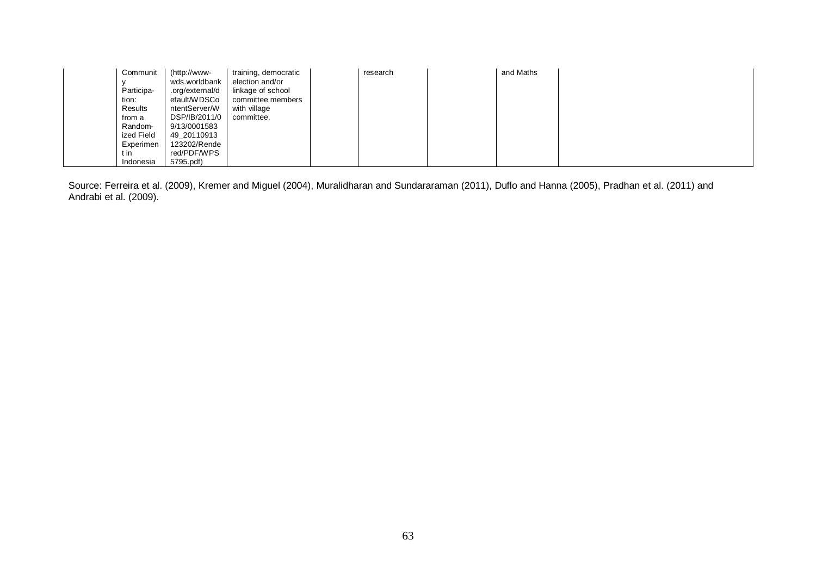| Communit   | http://www-     | training, democratic | research | and Maths |  |
|------------|-----------------|----------------------|----------|-----------|--|
|            | wds.worldbank   | election and/or      |          |           |  |
| Participa- | .org/external/d | linkage of school    |          |           |  |
| tion:      | efault/WDSCo    | committee members    |          |           |  |
| Results    | ntentServer/W   | with village         |          |           |  |
| from a     | DSP/IB/2011/0   | committee.           |          |           |  |
| Random-    | 9/13/0001583    |                      |          |           |  |
| ized Field | 49 20110913     |                      |          |           |  |
| Experimen  | 123202/Rende    |                      |          |           |  |
| t in       | red/PDF/WPS     |                      |          |           |  |
| Indonesia  | 5795.pdf)       |                      |          |           |  |

Source: Ferreira et al. (2009), Kremer and Miguel (2004), Muralidharan and Sundararaman (2011), Duflo and Hanna (2005), Pradhan et al. (2011) and Andrabi et al. (2009).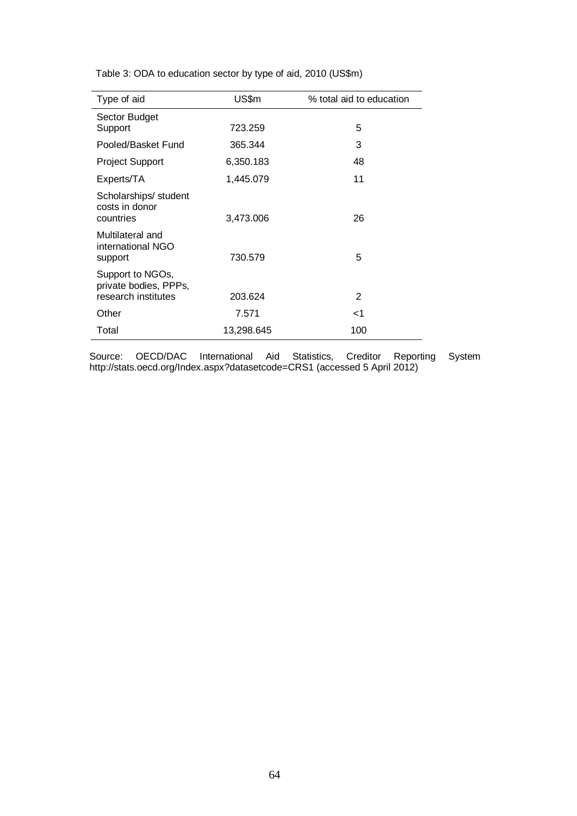| Type of aid                                                      | US\$m      | % total aid to education |
|------------------------------------------------------------------|------------|--------------------------|
| Sector Budget<br>Support                                         | 723.259    | 5                        |
| Pooled/Basket Fund                                               | 365.344    | 3                        |
| <b>Project Support</b>                                           | 6,350.183  | 48                       |
| Experts/TA                                                       | 1,445.079  | 11                       |
| Scholarships/ student<br>costs in donor<br>countries             | 3,473.006  | 26                       |
| Multilateral and<br>international NGO<br>support                 | 730.579    | 5                        |
| Support to NGOs,<br>private bodies, PPPs,<br>research institutes | 203.624    | 2                        |
| Other                                                            | 7.571      | ا>                       |
| Total                                                            | 13,298.645 | 100                      |

Table 3: ODA to education sector by type of aid, 2010 (US\$m)

Source: OECD/DAC International Aid Statistics, Creditor Reporting System http://stats.oecd.org/Index.aspx?datasetcode=CRS1 (accessed 5 April 2012)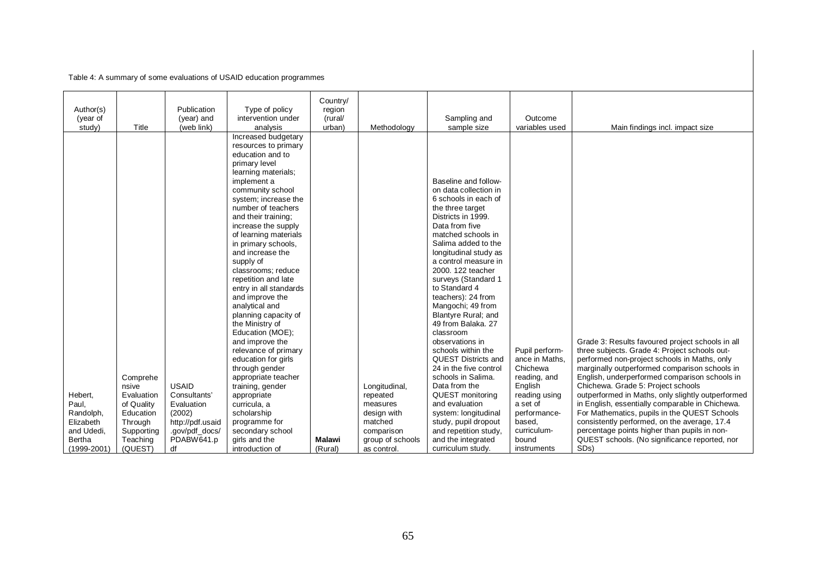## Table 4: A summary of some evaluations of USAID education programmes

|                 |            |                  |                        | Country/      |                  |                        |                |                                                   |
|-----------------|------------|------------------|------------------------|---------------|------------------|------------------------|----------------|---------------------------------------------------|
| Author(s)       |            | Publication      | Type of policy         | region        |                  |                        |                |                                                   |
| (year of        |            | (year) and       | intervention under     | (rural/       |                  | Sampling and           | Outcome        |                                                   |
| study)          | Title      | (web link)       | analysis               | urban)        | Methodology      | sample size            | variables used | Main findings incl. impact size                   |
|                 |            |                  | Increased budgetary    |               |                  |                        |                |                                                   |
|                 |            |                  | resources to primary   |               |                  |                        |                |                                                   |
|                 |            |                  | education and to       |               |                  |                        |                |                                                   |
|                 |            |                  | primary level          |               |                  |                        |                |                                                   |
|                 |            |                  | learning materials;    |               |                  |                        |                |                                                   |
|                 |            |                  | implement a            |               |                  | Baseline and follow-   |                |                                                   |
|                 |            |                  | community school       |               |                  | on data collection in  |                |                                                   |
|                 |            |                  | system; increase the   |               |                  | 6 schools in each of   |                |                                                   |
|                 |            |                  | number of teachers     |               |                  | the three target       |                |                                                   |
|                 |            |                  | and their training;    |               |                  | Districts in 1999.     |                |                                                   |
|                 |            |                  | increase the supply    |               |                  | Data from five         |                |                                                   |
|                 |            |                  | of learning materials  |               |                  | matched schools in     |                |                                                   |
|                 |            |                  | in primary schools,    |               |                  | Salima added to the    |                |                                                   |
|                 |            |                  | and increase the       |               |                  | longitudinal study as  |                |                                                   |
|                 |            |                  | supply of              |               |                  | a control measure in   |                |                                                   |
|                 |            |                  | classrooms; reduce     |               |                  | 2000, 122 teacher      |                |                                                   |
|                 |            |                  | repetition and late    |               |                  | surveys (Standard 1    |                |                                                   |
|                 |            |                  | entry in all standards |               |                  | to Standard 4          |                |                                                   |
|                 |            |                  | and improve the        |               |                  | teachers): 24 from     |                |                                                   |
|                 |            |                  | analytical and         |               |                  | Mangochi; 49 from      |                |                                                   |
|                 |            |                  | planning capacity of   |               |                  | Blantyre Rural; and    |                |                                                   |
|                 |            |                  | the Ministry of        |               |                  | 49 from Balaka, 27     |                |                                                   |
|                 |            |                  | Education (MOE);       |               |                  | classroom              |                |                                                   |
|                 |            |                  | and improve the        |               |                  | observations in        |                | Grade 3: Results favoured project schools in all  |
|                 |            |                  | relevance of primary   |               |                  | schools within the     | Pupil perform- | three subjects. Grade 4: Project schools out-     |
|                 |            |                  | education for girls    |               |                  | QUEST Districts and    | ance in Maths, | performed non-project schools in Maths, only      |
|                 |            |                  | through gender         |               |                  | 24 in the five control | Chichewa       | marginally outperformed comparison schools in     |
|                 | Comprehe   |                  | appropriate teacher    |               |                  | schools in Salima.     | reading, and   | English, underperformed comparison schools in     |
|                 | nsive      | <b>USAID</b>     | training, gender       |               | Longitudinal,    | Data from the          | English        | Chichewa. Grade 5: Project schools                |
| Hebert,         | Evaluation | Consultants'     | appropriate            |               | repeated         | QUEST monitoring       | reading using  | outperformed in Maths, only slightly outperformed |
| Paul,           | of Quality | Evaluation       | curricula, a           |               | measures         | and evaluation         | a set of       | in English, essentially comparable in Chichewa.   |
| Randolph,       | Education  | (2002)           | scholarship            |               | design with      | system: longitudinal   | performance-   | For Mathematics, pupils in the QUEST Schools      |
| Elizabeth       | Through    | http://pdf.usaid | programme for          |               | matched          | study, pupil dropout   | based,         | consistently performed, on the average, 17.4      |
| and Udedi,      | Supporting | .gov/pdf_docs/   | secondary school       |               | comparison       | and repetition study,  | curriculum-    | percentage points higher than pupils in non-      |
| Bertha          | Teaching   | PDABW641.p       | girls and the          | <b>Malawi</b> | group of schools | and the integrated     | bound          | QUEST schools. (No significance reported, nor     |
| $(1999 - 2001)$ | (QUEST)    | df               | introduction of        | (Rural)       | as control.      | curriculum study.      | instruments    | SD <sub>s</sub> )                                 |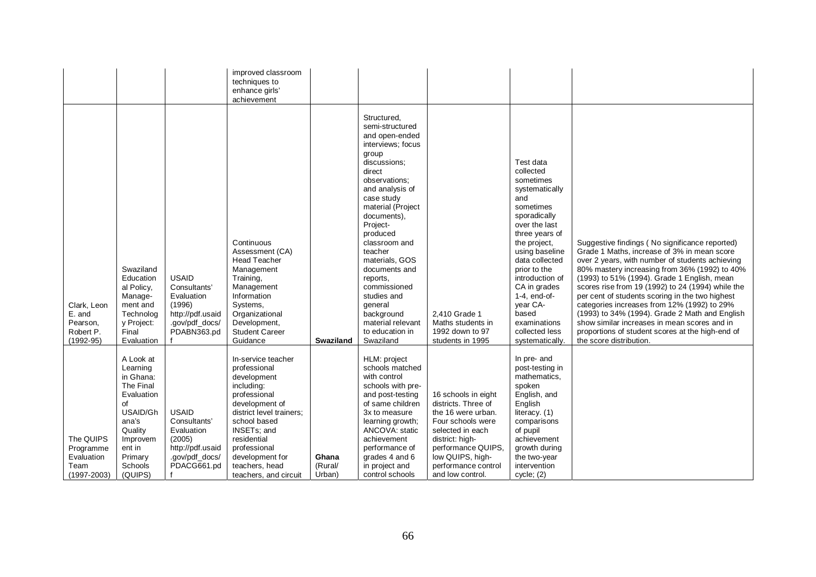| The QUIPS<br>Programme<br>Evaluation<br>Team<br>$(1997 - 2003)$                                                                                                                                                                                             | Clark. Leon<br>E. and<br>Pearson,<br>Robert P.<br>$(1992 - 95)$                                                                                                                                                                                                                                                                                                                                                                                                                                                                                                                          |                                                       |
|-------------------------------------------------------------------------------------------------------------------------------------------------------------------------------------------------------------------------------------------------------------|------------------------------------------------------------------------------------------------------------------------------------------------------------------------------------------------------------------------------------------------------------------------------------------------------------------------------------------------------------------------------------------------------------------------------------------------------------------------------------------------------------------------------------------------------------------------------------------|-------------------------------------------------------|
| A Look at<br>Learning<br>in Ghana:<br>The Final<br>Evaluation<br>of<br>USAID/Gh<br>ana's<br>Quality<br>Improvem<br>ent in<br>Primary<br>Schools<br>(QUIPS)                                                                                                  | Swaziland<br>Education<br>al Policy,<br>Manage-<br>ment and<br>Technolog<br>y Project:<br>Final<br>Evaluation                                                                                                                                                                                                                                                                                                                                                                                                                                                                            |                                                       |
| <b>USAID</b><br>Consultants'<br>Evaluation<br>(2005)<br>http://pdf.usaid<br>.gov/pdf_docs/<br>PDACG661.pd                                                                                                                                                   | <b>USAID</b><br>Consultants'<br>Evaluation<br>(1996)<br>http://pdf.usaid<br>.gov/pdf_docs/<br>PDABN363.pd                                                                                                                                                                                                                                                                                                                                                                                                                                                                                |                                                       |
| In-service teacher<br>professional<br>development<br>including:<br>professional<br>development of<br>district level trainers:<br>school based<br>INSETs; and<br>residential<br>professional<br>development for<br>teachers, head<br>teachers, and circuit   | achievement<br>Continuous<br>Assessment (CA)<br><b>Head Teacher</b><br>Management<br>Training,<br>Management<br>Information<br>Systems,<br>Organizational<br>Development,<br><b>Student Career</b><br>Guidance                                                                                                                                                                                                                                                                                                                                                                           | improved classroom<br>techniques to<br>enhance girls' |
| Ghana<br>(Rural/<br>Urban)                                                                                                                                                                                                                                  | <b>Swaziland</b>                                                                                                                                                                                                                                                                                                                                                                                                                                                                                                                                                                         |                                                       |
| HLM: project<br>schools matched<br>with control<br>schools with pre-<br>and post-testing<br>of same children<br>3x to measure<br>learning growth;<br>ANCOVA: static<br>achievement<br>performance of<br>grades 4 and 6<br>in project and<br>control schools | Structured,<br>semi-structured<br>and open-ended<br>interviews; focus<br>group<br>discussions;<br>direct<br>observations:<br>and analysis of<br>case study<br>material (Project<br>documents),<br>Project-<br>produced<br>classroom and<br>teacher<br>materials, GOS<br>documents and<br>reports,<br>commissioned<br>studies and<br>general<br>background<br>material relevant<br>to education in<br>Swaziland                                                                                                                                                                           |                                                       |
| 16 schools in eight<br>districts. Three of<br>the 16 were urban.<br>Four schools were<br>selected in each<br>district: high-<br>performance QUIPS,<br>low QUIPS, high-<br>performance control<br>and low control.                                           | 2.410 Grade 1<br>Maths students in<br>1992 down to 97<br>students in 1995                                                                                                                                                                                                                                                                                                                                                                                                                                                                                                                |                                                       |
| In pre- and<br>post-testing in<br>mathematics,<br>spoken<br>English, and<br>English<br>literacy. (1)<br>comparisons<br>of pupil<br>achievement<br>growth during<br>the two-year<br>intervention<br>cycle; (2)                                               | Test data<br>collected<br>sometimes<br>systematically<br>and<br>sometimes<br>sporadically<br>over the last<br>three years of<br>the project,<br>using baseline<br>data collected<br>prior to the<br>introduction of<br>CA in grades<br>$1-4$ , end-of-<br>year CA-<br>based<br>examinations<br>collected less<br>systematically.                                                                                                                                                                                                                                                         |                                                       |
|                                                                                                                                                                                                                                                             | Suggestive findings (No significance reported)<br>Grade 1 Maths, increase of 3% in mean score<br>over 2 years, with number of students achieving<br>80% mastery increasing from 36% (1992) to 40%<br>(1993) to 51% (1994). Grade 1 English, mean<br>scores rise from 19 (1992) to 24 (1994) while the<br>per cent of students scoring in the two highest<br>categories increases from 12% (1992) to 29%<br>(1993) to 34% (1994). Grade 2 Math and English<br>show similar increases in mean scores and in<br>proportions of student scores at the high-end of<br>the score distribution. |                                                       |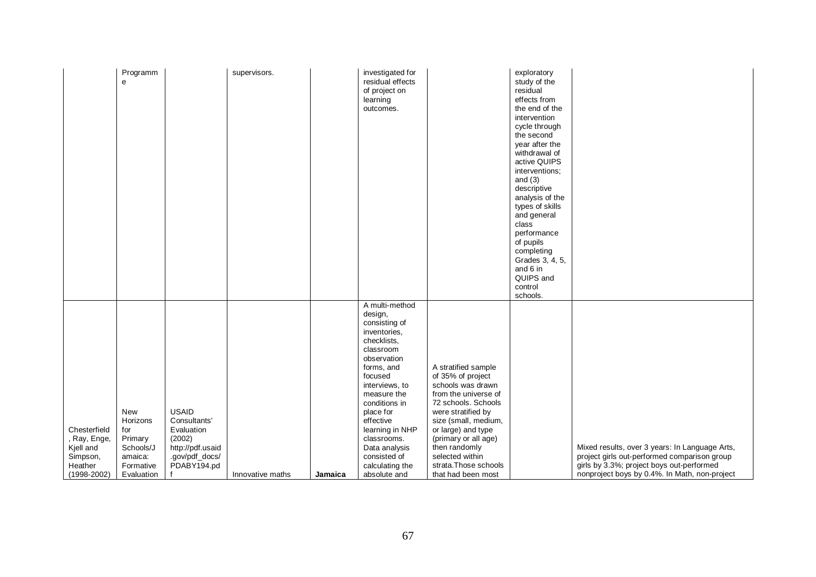|                                                                                     | Programm<br>e                                                                        |                                                                                                           | supervisors.     |         | investigated for<br>residual effects<br>of project on<br>learning<br>outcomes.                                                                                                                                                                                                                                   |                                                                                                                                                                                                                                                                                             | exploratory<br>study of the<br>residual<br>effects from<br>the end of the<br>intervention<br>cycle through<br>the second<br>year after the<br>withdrawal of<br>active QUIPS<br>interventions;<br>and $(3)$<br>descriptive<br>analysis of the<br>types of skills<br>and general<br>class<br>performance<br>of pupils<br>completing<br>Grades 3, 4, 5,<br>and 6 in<br>QUIPS and<br>control<br>schools. |                                                                                                                                                                                              |
|-------------------------------------------------------------------------------------|--------------------------------------------------------------------------------------|-----------------------------------------------------------------------------------------------------------|------------------|---------|------------------------------------------------------------------------------------------------------------------------------------------------------------------------------------------------------------------------------------------------------------------------------------------------------------------|---------------------------------------------------------------------------------------------------------------------------------------------------------------------------------------------------------------------------------------------------------------------------------------------|------------------------------------------------------------------------------------------------------------------------------------------------------------------------------------------------------------------------------------------------------------------------------------------------------------------------------------------------------------------------------------------------------|----------------------------------------------------------------------------------------------------------------------------------------------------------------------------------------------|
| Chesterfield<br>, Ray, Enge,<br>Kjell and<br>Simpson,<br>Heather<br>$(1998 - 2002)$ | New<br>Horizons<br>for<br>Primary<br>Schools/J<br>amaica:<br>Formative<br>Evaluation | <b>USAID</b><br>Consultants'<br>Evaluation<br>(2002)<br>http://pdf.usaid<br>.gov/pdf_docs/<br>PDABY194.pd | Innovative maths | Jamaica | A multi-method<br>design,<br>consisting of<br>inventories,<br>checklists,<br>classroom<br>observation<br>forms, and<br>focused<br>interviews, to<br>measure the<br>conditions in<br>place for<br>effective<br>learning in NHP<br>classrooms.<br>Data analysis<br>consisted of<br>calculating the<br>absolute and | A stratified sample<br>of 35% of project<br>schools was drawn<br>from the universe of<br>72 schools. Schools<br>were stratified by<br>size (small, medium,<br>or large) and type<br>(primary or all age)<br>then randomly<br>selected within<br>strata. Those schools<br>that had been most |                                                                                                                                                                                                                                                                                                                                                                                                      | Mixed results, over 3 years: In Language Arts,<br>project girls out-performed comparison group<br>girls by 3.3%; project boys out-performed<br>nonproject boys by 0.4%. In Math, non-project |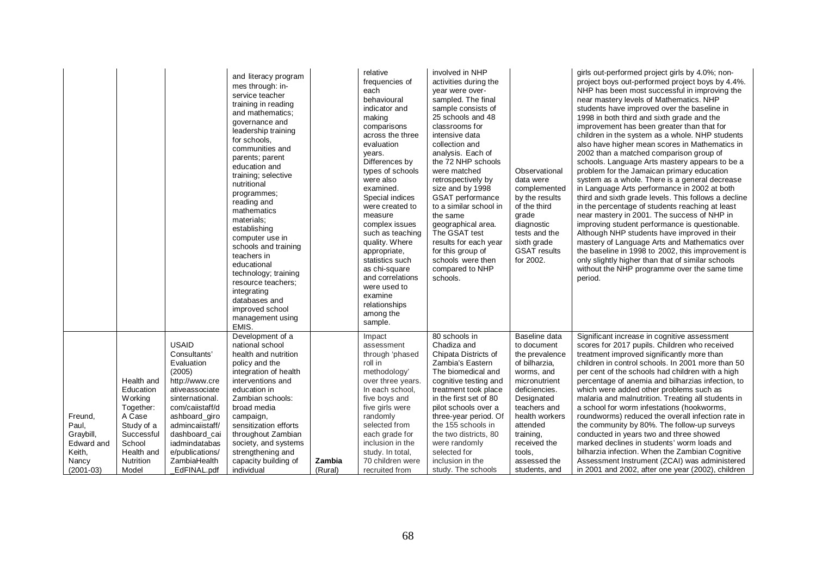|                                                                |                                                                                                                                   |                                                                                                                                                                                                                                         | and literacy program<br>mes through: in-<br>service teacher<br>training in reading<br>and mathematics;<br>governance and<br>leadership training<br>for schools.<br>communities and<br>parents; parent<br>education and<br>training; selective<br>nutritional<br>programmes;<br>reading and<br>mathematics<br>materials;<br>establishing<br>computer use in<br>schools and training<br>teachers in<br>educational<br>technology; training<br>resource teachers;<br>integrating<br>databases and<br>improved school<br>management using<br>EMIS. |         | relative<br>frequencies of<br>each<br>behavioural<br>indicator and<br>making<br>comparisons<br>across the three<br>evaluation<br>years.<br>Differences by<br>types of schools<br>were also<br>examined.<br>Special indices<br>were created to<br>measure<br>complex issues<br>such as teaching<br>quality. Where<br>appropriate,<br>statistics such<br>as chi-square<br>and correlations<br>were used to<br>examine<br>relationships<br>among the<br>sample. | involved in NHP<br>activities during the<br>year were over-<br>sampled. The final<br>sample consists of<br>25 schools and 48<br>classrooms for<br>intensive data<br>collection and<br>analysis. Each of<br>the 72 NHP schools<br>were matched<br>retrospectively by<br>size and by 1998<br><b>GSAT</b> performance<br>to a similar school in<br>the same<br>geographical area.<br>The GSAT test<br>results for each year<br>for this group of<br>schools were then<br>compared to NHP<br>schools. | Observational<br>data were<br>complemented<br>by the results<br>of the third<br>grade<br>diagnostic<br>tests and the<br>sixth grade<br><b>GSAT</b> results<br>for 2002.                                                            | girls out-performed project girls by 4.0%; non-<br>project boys out-performed project boys by 4.4%.<br>NHP has been most successful in improving the<br>near mastery levels of Mathematics. NHP<br>students have improved over the baseline in<br>1998 in both third and sixth grade and the<br>improvement has been greater than that for<br>children in the system as a whole. NHP students<br>also have higher mean scores in Mathematics in<br>2002 than a matched comparison group of<br>schools. Language Arts mastery appears to be a<br>problem for the Jamaican primary education<br>system as a whole. There is a general decrease<br>in Language Arts performance in 2002 at both<br>third and sixth grade levels. This follows a decline<br>in the percentage of students reaching at least<br>near mastery in 2001. The success of NHP in<br>improving student performance is questionable.<br>Although NHP students have improved in their<br>mastery of Language Arts and Mathematics over<br>the baseline in 1998 to 2002, this improvement is<br>only slightly higher than that of similar schools<br>without the NHP programme over the same time<br>period. |
|----------------------------------------------------------------|-----------------------------------------------------------------------------------------------------------------------------------|-----------------------------------------------------------------------------------------------------------------------------------------------------------------------------------------------------------------------------------------|------------------------------------------------------------------------------------------------------------------------------------------------------------------------------------------------------------------------------------------------------------------------------------------------------------------------------------------------------------------------------------------------------------------------------------------------------------------------------------------------------------------------------------------------|---------|--------------------------------------------------------------------------------------------------------------------------------------------------------------------------------------------------------------------------------------------------------------------------------------------------------------------------------------------------------------------------------------------------------------------------------------------------------------|---------------------------------------------------------------------------------------------------------------------------------------------------------------------------------------------------------------------------------------------------------------------------------------------------------------------------------------------------------------------------------------------------------------------------------------------------------------------------------------------------|------------------------------------------------------------------------------------------------------------------------------------------------------------------------------------------------------------------------------------|--------------------------------------------------------------------------------------------------------------------------------------------------------------------------------------------------------------------------------------------------------------------------------------------------------------------------------------------------------------------------------------------------------------------------------------------------------------------------------------------------------------------------------------------------------------------------------------------------------------------------------------------------------------------------------------------------------------------------------------------------------------------------------------------------------------------------------------------------------------------------------------------------------------------------------------------------------------------------------------------------------------------------------------------------------------------------------------------------------------------------------------------------------------------------------|
| Freund,<br>Paul,<br>Graybill,<br>Edward and<br>Keith,<br>Nancy | Health and<br>Education<br>Working<br>Together:<br>A Case<br>Study of a<br>Successful<br>School<br>Health and<br><b>Nutrition</b> | <b>USAID</b><br>Consultants'<br>Evaluation<br>(2005)<br>http://www.cre<br>ativeassociate<br>sinternational.<br>com/caiistaff/d<br>ashboard_giro<br>admincaiistaff/<br>dashboard cai<br>iadmindatabas<br>e/publications/<br>ZambiaHealth | Development of a<br>national school<br>health and nutrition<br>policy and the<br>integration of health<br>interventions and<br>education in<br>Zambian schools:<br>broad media<br>campaign,<br>sensitization efforts<br>throughout Zambian<br>society, and systems<br>strengthening and<br>capacity building of                                                                                                                                                                                                                                | Zambia  | Impact<br>assessment<br>through 'phased<br>roll in<br>methodology'<br>over three years.<br>In each school,<br>five boys and<br>five girls were<br>randomly<br>selected from<br>each grade for<br>inclusion in the<br>study. In total,<br>70 children were                                                                                                                                                                                                    | 80 schools in<br>Chadiza and<br>Chipata Districts of<br>Zambia's Eastern<br>The biomedical and<br>cognitive testing and<br>treatment took place<br>in the first set of 80<br>pilot schools over a<br>three-year period. Of<br>the 155 schools in<br>the two districts, 80<br>were randomly<br>selected for<br>inclusion in the                                                                                                                                                                    | Baseline data<br>to document<br>the prevalence<br>of bilharzia,<br>worms, and<br>micronutrient<br>deficiencies.<br>Designated<br>teachers and<br>health workers<br>attended<br>training,<br>received the<br>tools,<br>assessed the | Significant increase in cognitive assessment<br>scores for 2017 pupils. Children who received<br>treatment improved significantly more than<br>children in control schools. In 2001 more than 50<br>per cent of the schools had children with a high<br>percentage of anemia and bilharzias infection, to<br>which were added other problems such as<br>malaria and malnutrition. Treating all students in<br>a school for worm infestations (hookworms,<br>roundworms) reduced the overall infection rate in<br>the community by 80%. The follow-up surveys<br>conducted in years two and three showed<br>marked declines in students' worm loads and<br>bilharzia infection. When the Zambian Cognitive<br>Assessment Instrument (ZCAI) was administered                                                                                                                                                                                                                                                                                                                                                                                                                     |
| $(2001-03)$                                                    | Model                                                                                                                             | EdFINAL.pdf                                                                                                                                                                                                                             | individual                                                                                                                                                                                                                                                                                                                                                                                                                                                                                                                                     | (Rural) | recruited from                                                                                                                                                                                                                                                                                                                                                                                                                                               | study. The schools                                                                                                                                                                                                                                                                                                                                                                                                                                                                                | students, and                                                                                                                                                                                                                      | in 2001 and 2002, after one year (2002), children                                                                                                                                                                                                                                                                                                                                                                                                                                                                                                                                                                                                                                                                                                                                                                                                                                                                                                                                                                                                                                                                                                                              |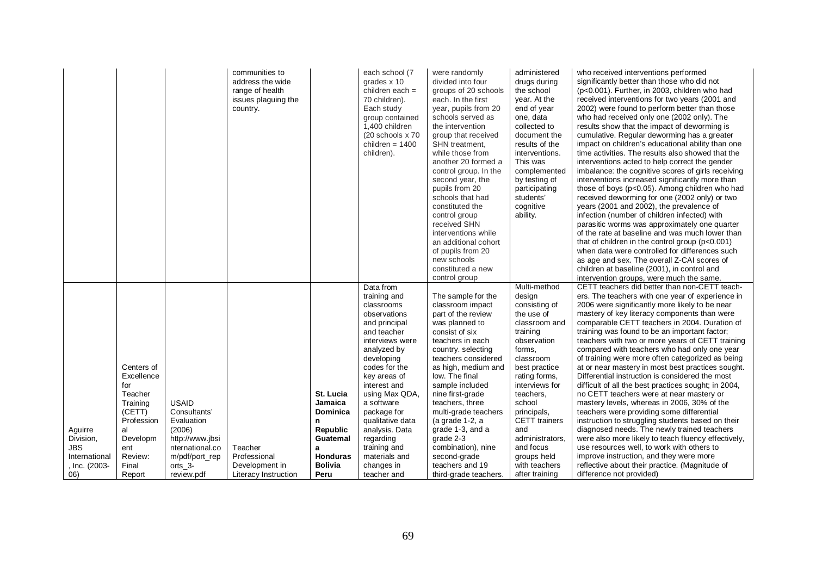|               |            |                 | communities to<br>address the wide<br>range of health<br>issues plaguing the<br>country. |                 | each school (7<br>grades x 10<br>children each $=$<br>70 children).<br>Each study<br>group contained<br>1,400 children<br>(20 schools x 70<br>children = $1400$<br>children). | were randomly<br>divided into four<br>groups of 20 schools<br>each. In the first<br>year, pupils from 20<br>schools served as<br>the intervention<br>group that received<br>SHN treatment,<br>while those from<br>another 20 formed a<br>control group. In the<br>second year, the<br>pupils from 20<br>schools that had<br>constituted the<br>control group<br>received SHN<br>interventions while<br>an additional cohort<br>of pupils from 20<br>new schools<br>constituted a new<br>control group | administered<br>drugs during<br>the school<br>year. At the<br>end of year<br>one, data<br>collected to<br>document the<br>results of the<br>interventions.<br>This was<br>complemented<br>by testing of<br>participating<br>students'<br>cognitive<br>ability. | who received interventions performed<br>significantly better than those who did not<br>(p<0.001). Further, in 2003, children who had<br>received interventions for two years (2001 and<br>2002) were found to perform better than those<br>who had received only one (2002 only). The<br>results show that the impact of deworming is<br>cumulative. Regular deworming has a greater<br>impact on children's educational ability than one<br>time activities. The results also showed that the<br>interventions acted to help correct the gender<br>imbalance: the cognitive scores of girls receiving<br>interventions increased significantly more than<br>those of boys (p<0.05). Among children who had<br>received deworming for one (2002 only) or two<br>years (2001 and 2002), the prevalence of<br>infection (number of children infected) with<br>parasitic worms was approximately one quarter<br>of the rate at baseline and was much lower than<br>that of children in the control group $(p<0.001)$<br>when data were controlled for differences such<br>as age and sex. The overall Z-CAI scores of<br>children at baseline (2001), in control and<br>intervention groups, were much the same. |
|---------------|------------|-----------------|------------------------------------------------------------------------------------------|-----------------|-------------------------------------------------------------------------------------------------------------------------------------------------------------------------------|-------------------------------------------------------------------------------------------------------------------------------------------------------------------------------------------------------------------------------------------------------------------------------------------------------------------------------------------------------------------------------------------------------------------------------------------------------------------------------------------------------|----------------------------------------------------------------------------------------------------------------------------------------------------------------------------------------------------------------------------------------------------------------|---------------------------------------------------------------------------------------------------------------------------------------------------------------------------------------------------------------------------------------------------------------------------------------------------------------------------------------------------------------------------------------------------------------------------------------------------------------------------------------------------------------------------------------------------------------------------------------------------------------------------------------------------------------------------------------------------------------------------------------------------------------------------------------------------------------------------------------------------------------------------------------------------------------------------------------------------------------------------------------------------------------------------------------------------------------------------------------------------------------------------------------------------------------------------------------------------------------|
|               |            |                 |                                                                                          |                 | Data from<br>training and                                                                                                                                                     | The sample for the                                                                                                                                                                                                                                                                                                                                                                                                                                                                                    | Multi-method<br>design                                                                                                                                                                                                                                         | CETT teachers did better than non-CETT teach-<br>ers. The teachers with one year of experience in                                                                                                                                                                                                                                                                                                                                                                                                                                                                                                                                                                                                                                                                                                                                                                                                                                                                                                                                                                                                                                                                                                             |
|               |            |                 |                                                                                          |                 | classrooms                                                                                                                                                                    | classroom impact                                                                                                                                                                                                                                                                                                                                                                                                                                                                                      | consisting of                                                                                                                                                                                                                                                  | 2006 were significantly more likely to be near                                                                                                                                                                                                                                                                                                                                                                                                                                                                                                                                                                                                                                                                                                                                                                                                                                                                                                                                                                                                                                                                                                                                                                |
|               |            |                 |                                                                                          |                 | observations                                                                                                                                                                  | part of the review                                                                                                                                                                                                                                                                                                                                                                                                                                                                                    | the use of                                                                                                                                                                                                                                                     | mastery of key literacy components than were                                                                                                                                                                                                                                                                                                                                                                                                                                                                                                                                                                                                                                                                                                                                                                                                                                                                                                                                                                                                                                                                                                                                                                  |
|               |            |                 |                                                                                          |                 | and principal                                                                                                                                                                 | was planned to                                                                                                                                                                                                                                                                                                                                                                                                                                                                                        | classroom and                                                                                                                                                                                                                                                  | comparable CETT teachers in 2004. Duration of                                                                                                                                                                                                                                                                                                                                                                                                                                                                                                                                                                                                                                                                                                                                                                                                                                                                                                                                                                                                                                                                                                                                                                 |
|               |            |                 |                                                                                          |                 | and teacher<br>interviews were                                                                                                                                                | consist of six<br>teachers in each                                                                                                                                                                                                                                                                                                                                                                                                                                                                    | training<br>observation                                                                                                                                                                                                                                        | training was found to be an important factor;<br>teachers with two or more years of CETT training                                                                                                                                                                                                                                                                                                                                                                                                                                                                                                                                                                                                                                                                                                                                                                                                                                                                                                                                                                                                                                                                                                             |
|               |            |                 |                                                                                          |                 | analyzed by                                                                                                                                                                   | country. selecting                                                                                                                                                                                                                                                                                                                                                                                                                                                                                    | forms,                                                                                                                                                                                                                                                         | compared with teachers who had only one year                                                                                                                                                                                                                                                                                                                                                                                                                                                                                                                                                                                                                                                                                                                                                                                                                                                                                                                                                                                                                                                                                                                                                                  |
|               |            |                 |                                                                                          |                 | developing                                                                                                                                                                    | teachers considered                                                                                                                                                                                                                                                                                                                                                                                                                                                                                   | classroom                                                                                                                                                                                                                                                      | of training were more often categorized as being                                                                                                                                                                                                                                                                                                                                                                                                                                                                                                                                                                                                                                                                                                                                                                                                                                                                                                                                                                                                                                                                                                                                                              |
|               | Centers of |                 |                                                                                          |                 | codes for the                                                                                                                                                                 | as high, medium and                                                                                                                                                                                                                                                                                                                                                                                                                                                                                   | best practice                                                                                                                                                                                                                                                  | at or near mastery in most best practices sought.                                                                                                                                                                                                                                                                                                                                                                                                                                                                                                                                                                                                                                                                                                                                                                                                                                                                                                                                                                                                                                                                                                                                                             |
|               | Excellence |                 |                                                                                          |                 | key areas of                                                                                                                                                                  | low. The final                                                                                                                                                                                                                                                                                                                                                                                                                                                                                        | rating forms,                                                                                                                                                                                                                                                  | Differential instruction is considered the most                                                                                                                                                                                                                                                                                                                                                                                                                                                                                                                                                                                                                                                                                                                                                                                                                                                                                                                                                                                                                                                                                                                                                               |
|               | for        |                 |                                                                                          |                 | interest and                                                                                                                                                                  | sample included                                                                                                                                                                                                                                                                                                                                                                                                                                                                                       | interviews for                                                                                                                                                                                                                                                 | difficult of all the best practices sought; in 2004,                                                                                                                                                                                                                                                                                                                                                                                                                                                                                                                                                                                                                                                                                                                                                                                                                                                                                                                                                                                                                                                                                                                                                          |
|               | Teacher    |                 |                                                                                          | St. Lucia       | using Max QDA,                                                                                                                                                                | nine first-grade                                                                                                                                                                                                                                                                                                                                                                                                                                                                                      | teachers,                                                                                                                                                                                                                                                      | no CETT teachers were at near mastery or                                                                                                                                                                                                                                                                                                                                                                                                                                                                                                                                                                                                                                                                                                                                                                                                                                                                                                                                                                                                                                                                                                                                                                      |
|               | Training   | <b>USAID</b>    |                                                                                          | Jamaica         | a software                                                                                                                                                                    | teachers, three                                                                                                                                                                                                                                                                                                                                                                                                                                                                                       | school                                                                                                                                                                                                                                                         | mastery levels, whereas in 2006, 30% of the                                                                                                                                                                                                                                                                                                                                                                                                                                                                                                                                                                                                                                                                                                                                                                                                                                                                                                                                                                                                                                                                                                                                                                   |
|               | (CETT)     | Consultants'    |                                                                                          | Dominica        | package for                                                                                                                                                                   | multi-grade teachers                                                                                                                                                                                                                                                                                                                                                                                                                                                                                  | principals,                                                                                                                                                                                                                                                    | teachers were providing some differential                                                                                                                                                                                                                                                                                                                                                                                                                                                                                                                                                                                                                                                                                                                                                                                                                                                                                                                                                                                                                                                                                                                                                                     |
|               | Profession | Evaluation      |                                                                                          | n               | qualitative data                                                                                                                                                              | (a grade 1-2, a                                                                                                                                                                                                                                                                                                                                                                                                                                                                                       | <b>CETT</b> trainers                                                                                                                                                                                                                                           | instruction to struggling students based on their                                                                                                                                                                                                                                                                                                                                                                                                                                                                                                                                                                                                                                                                                                                                                                                                                                                                                                                                                                                                                                                                                                                                                             |
| Aguirre       | al         | (2006)          |                                                                                          | <b>Republic</b> | analysis. Data                                                                                                                                                                | grade 1-3, and a                                                                                                                                                                                                                                                                                                                                                                                                                                                                                      | and                                                                                                                                                                                                                                                            | diagnosed needs. The newly trained teachers                                                                                                                                                                                                                                                                                                                                                                                                                                                                                                                                                                                                                                                                                                                                                                                                                                                                                                                                                                                                                                                                                                                                                                   |
| Division,     | Developm   | http://www.jbsi |                                                                                          | Guatemal        | regarding                                                                                                                                                                     | grade 2-3                                                                                                                                                                                                                                                                                                                                                                                                                                                                                             | administrators,                                                                                                                                                                                                                                                | were also more likely to teach fluency effectively,                                                                                                                                                                                                                                                                                                                                                                                                                                                                                                                                                                                                                                                                                                                                                                                                                                                                                                                                                                                                                                                                                                                                                           |
| JBS           | ent        | nternational.co | Teacher                                                                                  | a               | training and                                                                                                                                                                  | combination), nine                                                                                                                                                                                                                                                                                                                                                                                                                                                                                    | and focus                                                                                                                                                                                                                                                      | use resources well, to work with others to                                                                                                                                                                                                                                                                                                                                                                                                                                                                                                                                                                                                                                                                                                                                                                                                                                                                                                                                                                                                                                                                                                                                                                    |
| International | Review:    | m/pdf/port rep  | Professional                                                                             | <b>Honduras</b> | materials and                                                                                                                                                                 | second-grade                                                                                                                                                                                                                                                                                                                                                                                                                                                                                          | groups held                                                                                                                                                                                                                                                    | improve instruction, and they were more                                                                                                                                                                                                                                                                                                                                                                                                                                                                                                                                                                                                                                                                                                                                                                                                                                                                                                                                                                                                                                                                                                                                                                       |
| , Inc. (2003- | Final      | $orts_3$ -      | Development in                                                                           | <b>Bolivia</b>  | changes in                                                                                                                                                                    | teachers and 19                                                                                                                                                                                                                                                                                                                                                                                                                                                                                       | with teachers                                                                                                                                                                                                                                                  | reflective about their practice. (Magnitude of                                                                                                                                                                                                                                                                                                                                                                                                                                                                                                                                                                                                                                                                                                                                                                                                                                                                                                                                                                                                                                                                                                                                                                |
| 06)           | Report     | review.pdf      | Literacy Instruction                                                                     | Peru            | teacher and                                                                                                                                                                   | third-grade teachers.                                                                                                                                                                                                                                                                                                                                                                                                                                                                                 | after training                                                                                                                                                                                                                                                 | difference not provided)                                                                                                                                                                                                                                                                                                                                                                                                                                                                                                                                                                                                                                                                                                                                                                                                                                                                                                                                                                                                                                                                                                                                                                                      |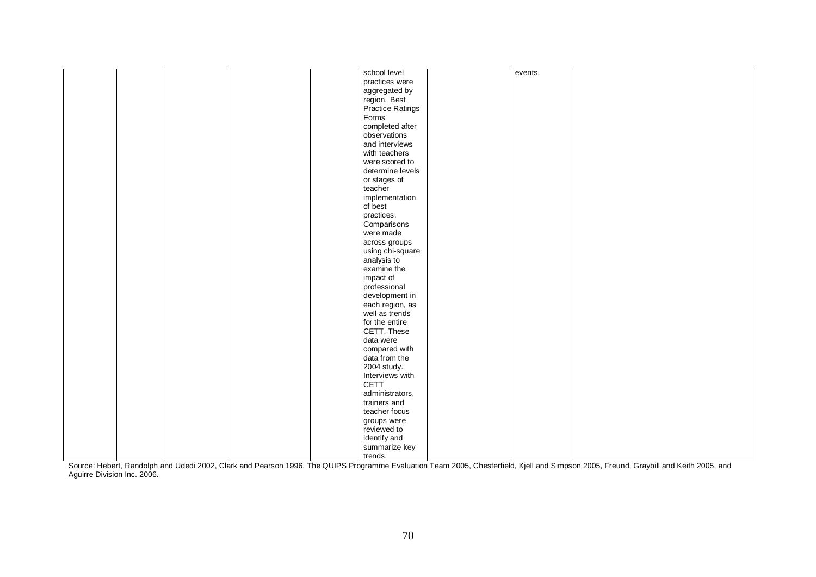|  |  | school level     | events. |  |
|--|--|------------------|---------|--|
|  |  | practices were   |         |  |
|  |  | aggregated by    |         |  |
|  |  | region. Best     |         |  |
|  |  | Practice Ratings |         |  |
|  |  | Forms            |         |  |
|  |  | completed after  |         |  |
|  |  | observations     |         |  |
|  |  | and interviews   |         |  |
|  |  | with teachers    |         |  |
|  |  |                  |         |  |
|  |  | were scored to   |         |  |
|  |  | determine levels |         |  |
|  |  | or stages of     |         |  |
|  |  | teacher          |         |  |
|  |  | implementation   |         |  |
|  |  | of best          |         |  |
|  |  | practices.       |         |  |
|  |  | Comparisons      |         |  |
|  |  | were made        |         |  |
|  |  | across groups    |         |  |
|  |  | using chi-square |         |  |
|  |  | analysis to      |         |  |
|  |  | examine the      |         |  |
|  |  | impact of        |         |  |
|  |  | professional     |         |  |
|  |  | development in   |         |  |
|  |  |                  |         |  |
|  |  | each region, as  |         |  |
|  |  | well as trends   |         |  |
|  |  | for the entire   |         |  |
|  |  | CETT. These      |         |  |
|  |  | data were        |         |  |
|  |  | compared with    |         |  |
|  |  | data from the    |         |  |
|  |  | 2004 study.      |         |  |
|  |  | Interviews with  |         |  |
|  |  | <b>CETT</b>      |         |  |
|  |  | administrators,  |         |  |
|  |  | trainers and     |         |  |
|  |  | teacher focus    |         |  |
|  |  | groups were      |         |  |
|  |  | reviewed to      |         |  |
|  |  |                  |         |  |
|  |  | identify and     |         |  |
|  |  | summarize key    |         |  |
|  |  | trends.          |         |  |

Source: Hebert, Randolph and Udedi 2002, Clark and Pearson 1996, The QUIPS Programme Evaluation Team 2005, Chesterfield, Kjell and Simpson 2005, Freund, Graybill and Keith 2005, and Aguirre Division Inc. 2006.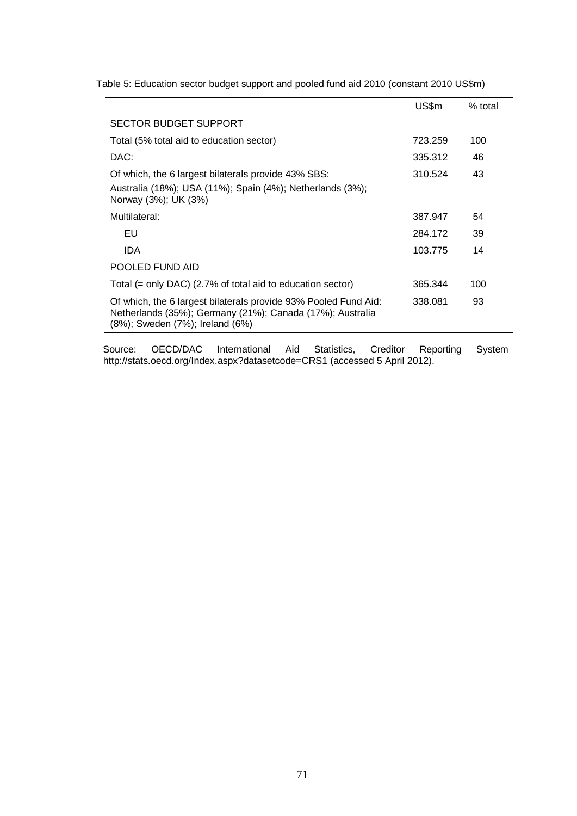|                                                                                                                                                                 | US\$m   | $%$ total |
|-----------------------------------------------------------------------------------------------------------------------------------------------------------------|---------|-----------|
| <b>SECTOR BUDGET SUPPORT</b>                                                                                                                                    |         |           |
| Total (5% total aid to education sector)                                                                                                                        | 723.259 | 100       |
| DAC:                                                                                                                                                            | 335.312 | 46        |
| Of which, the 6 largest bilaterals provide 43% SBS:                                                                                                             | 310.524 | 43        |
| Australia (18%); USA (11%); Spain (4%); Netherlands (3%);<br>Norway (3%); UK (3%)                                                                               |         |           |
| Multilateral:                                                                                                                                                   | 387.947 | 54        |
| EU                                                                                                                                                              | 284.172 | 39        |
| IDA.                                                                                                                                                            | 103.775 | 14        |
| POOLED FUND AID                                                                                                                                                 |         |           |
| Total $(=$ only DAC) (2.7% of total aid to education sector)                                                                                                    | 365.344 | 100       |
| Of which, the 6 largest bilaterals provide 93% Pooled Fund Aid:<br>Netherlands (35%); Germany (21%); Canada (17%); Australia<br>(8%); Sweden (7%); Ireland (6%) | 338.081 | 93        |
|                                                                                                                                                                 |         |           |

Table 5: Education sector budget support and pooled fund aid 2010 (constant 2010 US\$m)

Source: OECD/DAC International Aid Statistics, Creditor Reporting System http://stats.oecd.org/Index.aspx?datasetcode=CRS1 (accessed 5 April 2012).